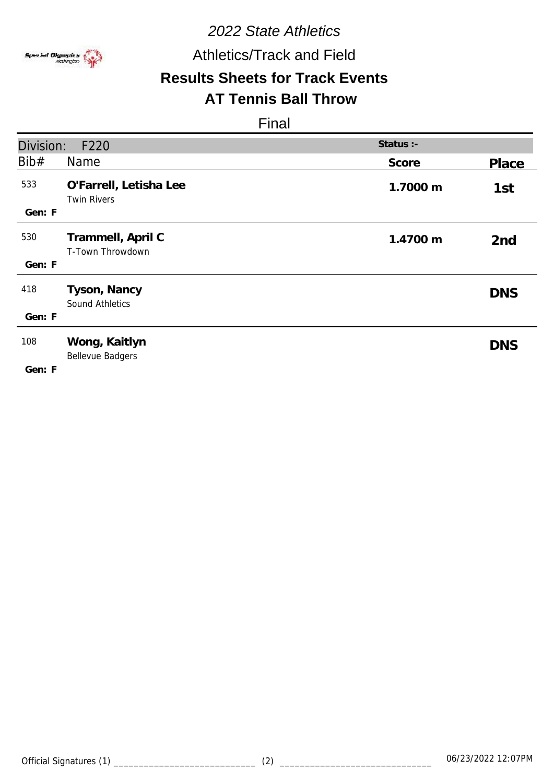

Athletics/Track and Field

# **Results Sheets for Track Events**

#### **AT Tennis Ball Throw**

| Division:     | F220                                         | Status :- |                 |
|---------------|----------------------------------------------|-----------|-----------------|
| Bib#          | Name                                         | Score     | Place           |
| 533<br>Gen: F | O'Farrell, Letisha Lee<br><b>Twin Rivers</b> | 1.7000 m  | 1st             |
| 530<br>Gen: F | Trammell, April C<br>T-Town Throwdown        | 1.4700 m  | 2 <sub>nd</sub> |
| 418<br>Gen: F | Tyson, Nancy<br>Sound Athletics              |           | <b>DNS</b>      |
| 108<br>Gen: F | Wong, Kaitlyn<br><b>Bellevue Badgers</b>     |           | <b>DNS</b>      |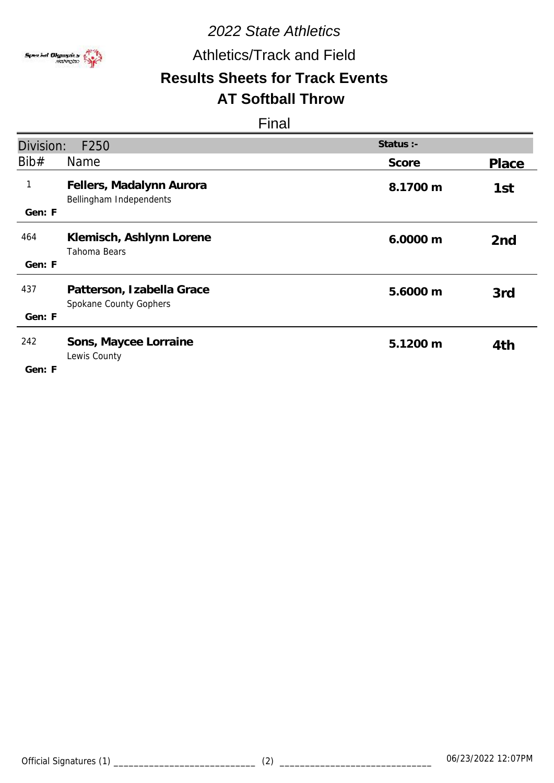

## Athletics/Track and Field

#### **Results Sheets for Track Events AT Softball Throw**

| Division:    | F250                                                | Status :- |                 |
|--------------|-----------------------------------------------------|-----------|-----------------|
| Bib#         | <b>Name</b>                                         | Score     | Place           |
| $\mathbf{1}$ | Fellers, Madalynn Aurora<br>Bellingham Independents | 8.1700 m  | 1st             |
| Gen: F       |                                                     |           |                 |
| 464          | Klemisch, Ashlynn Lorene<br>Tahoma Bears            | 6.0000 m  | 2 <sub>nd</sub> |
| Gen: F       |                                                     |           |                 |
| 437          | Patterson, Izabella Grace<br>Spokane County Gophers | 5.6000 m  | 3rd             |
| Gen: F       |                                                     |           |                 |
| 242          | Sons, Maycee Lorraine<br>Lewis County               | 5.1200 m  | 4th             |
| Gen: F       |                                                     |           |                 |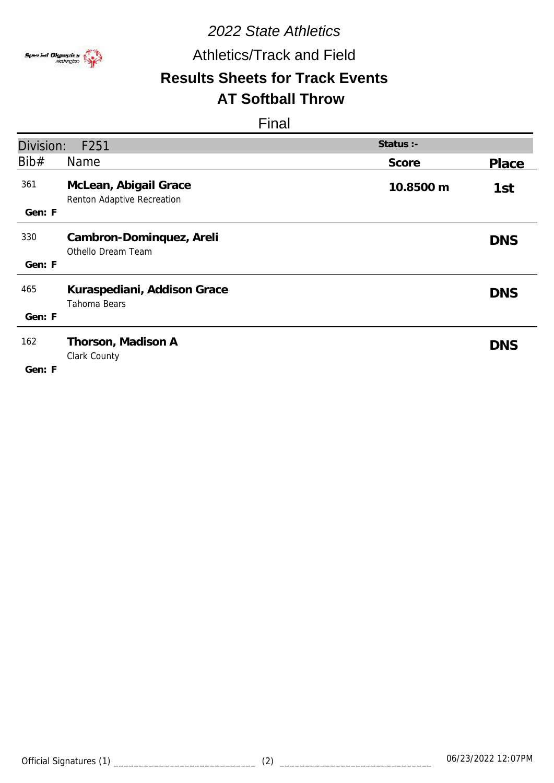

## Athletics/Track and Field

#### **Results Sheets for Track Events AT Softball Throw**

| Division:     | F251                                                | Status :- |            |
|---------------|-----------------------------------------------------|-----------|------------|
| Bib#          | <b>Name</b>                                         | Score     | Place      |
| 361<br>Gen: F | McLean, Abigail Grace<br>Renton Adaptive Recreation | 10.8500 m | 1st        |
| 330<br>Gen: F | Cambron-Dominquez, Areli<br>Othello Dream Team      |           | <b>DNS</b> |
| 465<br>Gen: F | Kuraspediani, Addison Grace<br>Tahoma Bears         |           | <b>DNS</b> |
| 162<br>Gen: F | Thorson, Madison A<br>Clark County                  |           | <b>DNS</b> |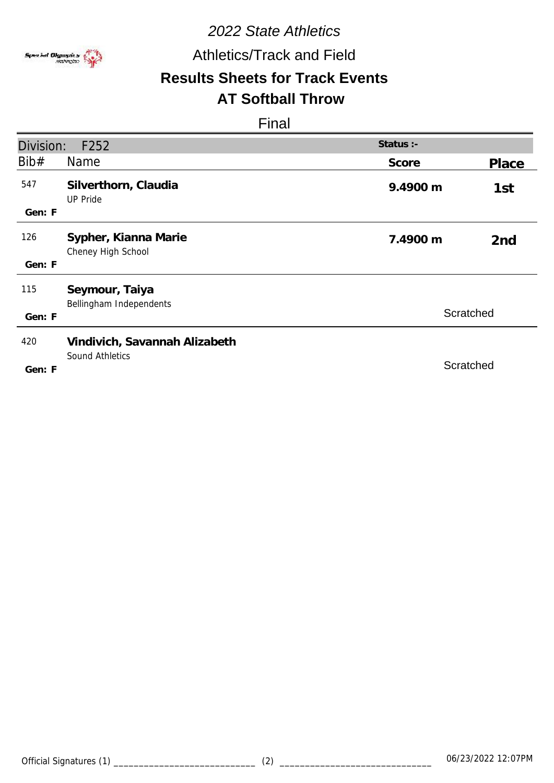

## Athletics/Track and Field

# **Results Sheets for Track Events**

#### **AT Softball Throw**

| Division: | F252                                       | Status :- |                 |
|-----------|--------------------------------------------|-----------|-----------------|
| Bib#      | Name                                       | Score     | Place           |
| 547       | Silverthorn, Claudia<br><b>UP Pride</b>    | 9.4900 m  | 1st             |
| Gen: F    |                                            |           |                 |
| 126       | Sypher, Kianna Marie<br>Cheney High School | 7.4900 m  | 2 <sub>nd</sub> |
| Gen: F    |                                            |           |                 |
| 115       | Seymour, Taiya<br>Bellingham Independents  |           |                 |
| Gen: F    |                                            | Scratched |                 |
| 420       | Vindivich, Savannah Alizabeth              |           |                 |
| Gen: F    | <b>Sound Athletics</b>                     | Scratched |                 |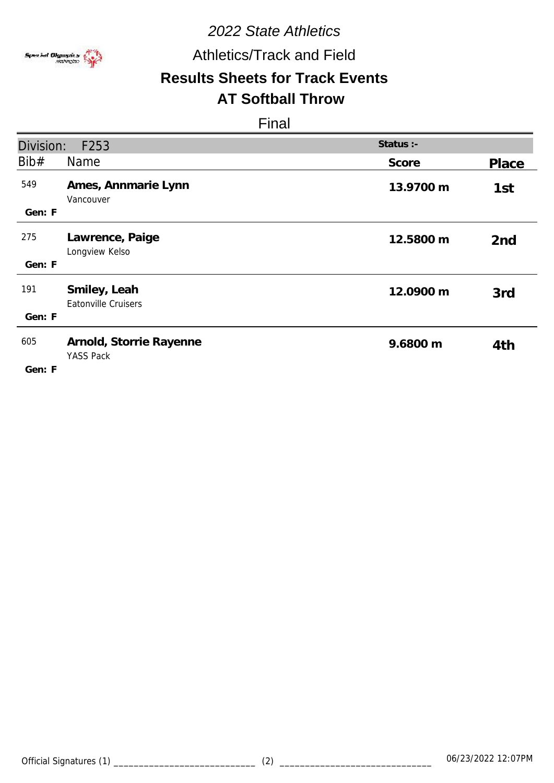

## Athletics/Track and Field

# **Results Sheets for Track Events**

# **AT Softball Throw**

| Division:     | F253                                        | Status :- |                 |
|---------------|---------------------------------------------|-----------|-----------------|
| Bib#          | Name                                        | Score     | Place           |
| 549<br>Gen: F | Ames, Annmarie Lynn<br>Vancouver            | 13.9700 m | 1st             |
|               |                                             |           |                 |
| 275           | Lawrence, Paige<br>Longview Kelso           | 12.5800 m | 2 <sub>nd</sub> |
| Gen: F        |                                             |           |                 |
| 191           | Smiley, Leah<br>Eatonville Cruisers         | 12.0900 m | 3rd             |
| Gen: F        |                                             |           |                 |
| 605           | Arnold, Storrie Rayenne<br><b>YASS Pack</b> | 9.6800 m  | 4th             |
| Gen: F        |                                             |           |                 |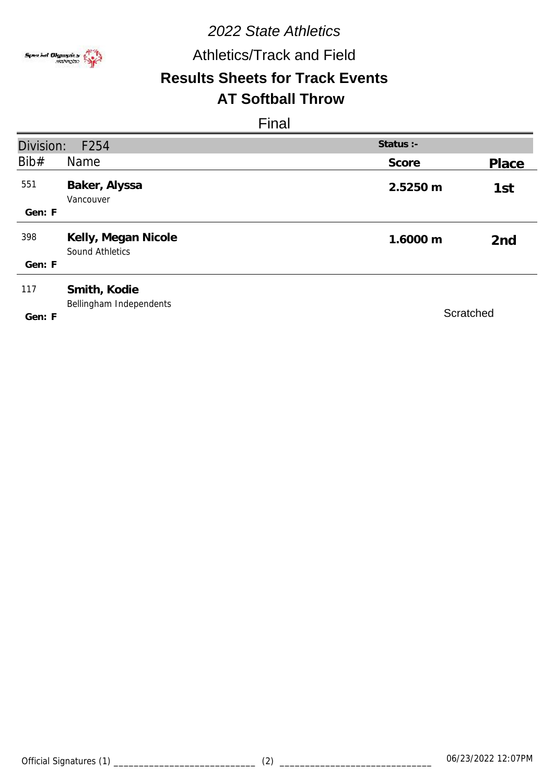

Athletics/Track and Field

# **Results Sheets for Track Events**

#### **AT Softball Throw**

| Division: | F254                                    | Status :- |                 |
|-----------|-----------------------------------------|-----------|-----------------|
| Bib#      | Name                                    | Score     | Place           |
| 551       | Baker, Alyssa<br>Vancouver              | 2.5250 m  | 1st             |
| Gen: F    |                                         |           |                 |
| 398       | Kelly, Megan Nicole<br>Sound Athletics  | 1.6000 m  | 2 <sub>nd</sub> |
| Gen: F    |                                         |           |                 |
| 117       | Smith, Kodie<br>Bellingham Independents |           |                 |
| Gen: F    |                                         | Scratched |                 |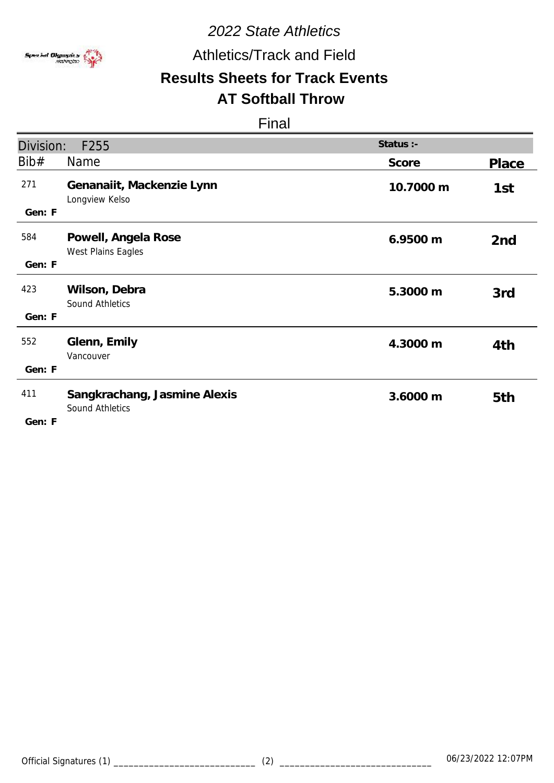

## Athletics/Track and Field

# **Results Sheets for Track Events**

## **AT Softball Throw**

| Division:     | F255                                            | Status :- |                 |
|---------------|-------------------------------------------------|-----------|-----------------|
| Bib#          | <b>Name</b>                                     | Score     | Place           |
| 271<br>Gen: F | Genanaiit, Mackenzie Lynn<br>Longview Kelso     | 10.7000 m | 1st             |
| 584<br>Gen: F | Powell, Angela Rose<br>West Plains Eagles       | 6.9500 m  | 2 <sub>nd</sub> |
| 423<br>Gen: F | Wilson, Debra<br><b>Sound Athletics</b>         | 5.3000 m  | 3rd             |
| 552<br>Gen: F | Glenn, Emily<br>Vancouver                       | 4.3000 m  | 4th             |
| 411<br>Gen: F | Sangkrachang, Jasmine Alexis<br>Sound Athletics | 3.6000 m  | 5th             |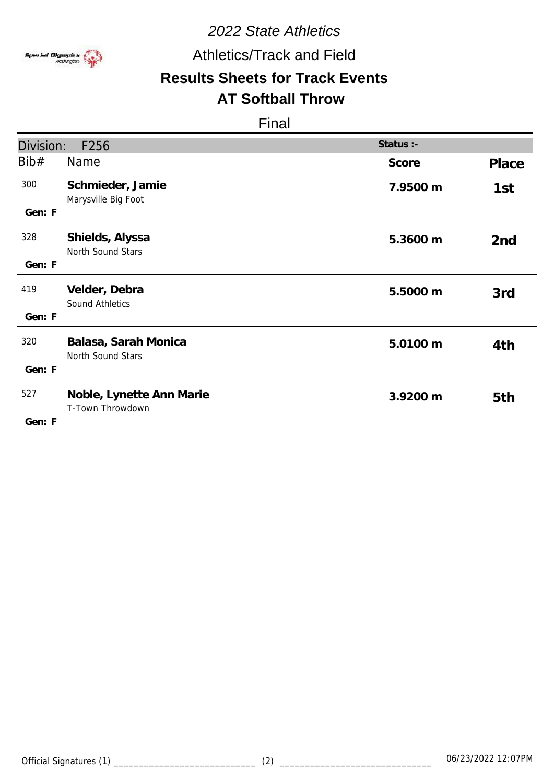

Athletics/Track and Field

# **Results Sheets for Track Events**

## **AT Softball Throw**

| Division:     | F256                                         | Status :- |                 |
|---------------|----------------------------------------------|-----------|-----------------|
| Bib#          | <b>Name</b>                                  | Score     | Place           |
| 300<br>Gen: F | Schmieder, Jamie<br>Marysville Big Foot      | 7.9500 m  | 1st             |
| 328<br>Gen: F | Shields, Alyssa<br>North Sound Stars         | 5.3600 m  | 2 <sub>nd</sub> |
| 419<br>Gen: F | Velder, Debra<br>Sound Athletics             | 5.5000 m  | 3rd             |
| 320<br>Gen: F | Balasa, Sarah Monica<br>North Sound Stars    | 5.0100 m  | 4th             |
| 527<br>Gen: F | Noble, Lynette Ann Marie<br>T-Town Throwdown | 3.9200 m  | 5th             |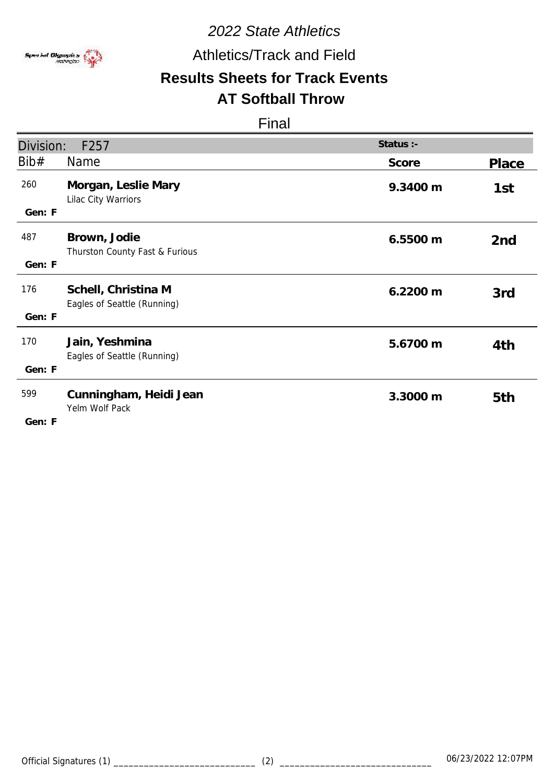

## Athletics/Track and Field

#### **Results Sheets for Track Events AT Softball Throw**

| Division:     | F257                                               | Status :- |                 |
|---------------|----------------------------------------------------|-----------|-----------------|
| Bib#          | <b>Name</b>                                        | Score     | Place           |
| 260<br>Gen: F | Morgan, Leslie Mary<br>Lilac City Warriors         | 9.3400 m  | 1st             |
| 487<br>Gen: F | Brown, Jodie<br>Thurston County Fast & Furious     | 6.5500 m  | 2 <sub>nd</sub> |
| 176<br>Gen: F | Schell, Christina M<br>Eagles of Seattle (Running) | 6.2200 m  | 3rd             |
| 170<br>Gen: F | Jain, Yeshmina<br>Eagles of Seattle (Running)      | 5.6700 m  | 4th             |
| 599<br>Gen: F | Cunningham, Heidi Jean<br>Yelm Wolf Pack           | 3.3000 m  | 5th             |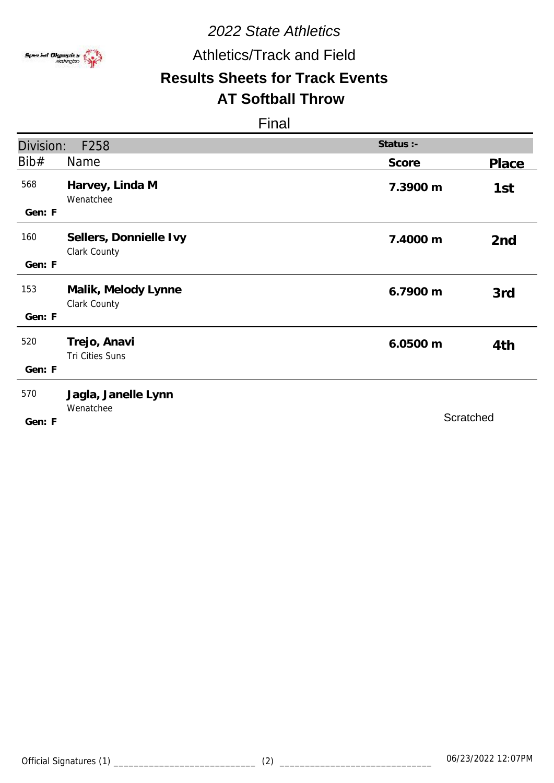

## Athletics/Track and Field

# **Results Sheets for Track Events**

## **AT Softball Throw**

| Division:     | F258                                   | Status :- |                 |
|---------------|----------------------------------------|-----------|-----------------|
| Bib#          | Name                                   | Score     | Place           |
| 568<br>Gen: F | Harvey, Linda M<br>Wenatchee           | 7.3900 m  | 1st             |
| 160<br>Gen: F | Sellers, Donnielle Ivy<br>Clark County | 7.4000 m  | 2 <sub>nd</sub> |
| 153<br>Gen: F | Malik, Melody Lynne<br>Clark County    | 6.7900 m  | 3rd             |
| 520<br>Gen: F | Trejo, Anavi<br>Tri Cities Suns        | 6.0500 m  | 4th             |
| 570<br>Gen: F | Jagla, Janelle Lynn<br>Wenatchee       | Scratched |                 |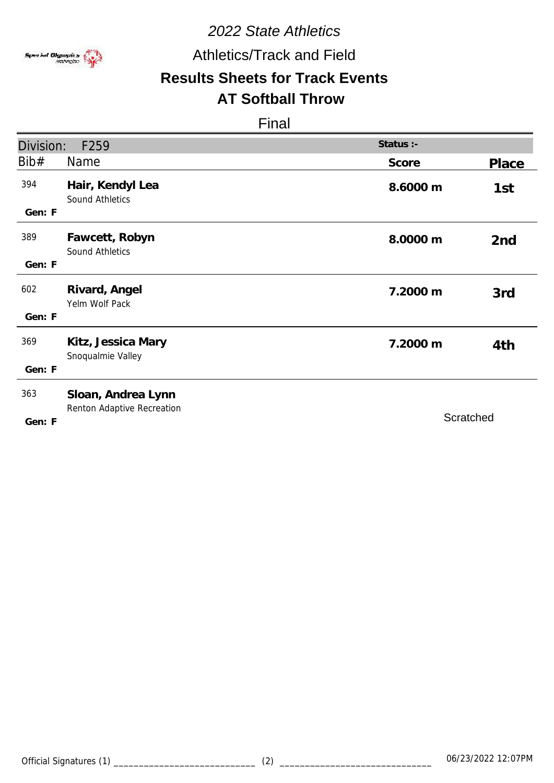

Athletics/Track and Field

# **Results Sheets for Track Events**

#### **AT Softball Throw**

| Division:     | F259                                             | Status :- |                 |
|---------------|--------------------------------------------------|-----------|-----------------|
| Bib#          | <b>Name</b>                                      | Score     | Place           |
| 394<br>Gen: F | Hair, Kendyl Lea<br>Sound Athletics              | 8.6000 m  | 1st             |
| 389<br>Gen: F | Fawcett, Robyn<br>Sound Athletics                | 8.0000 m  | 2 <sub>nd</sub> |
| 602<br>Gen: F | Rivard, Angel<br>Yelm Wolf Pack                  | 7.2000 m  | 3rd             |
| 369<br>Gen: F | Kitz, Jessica Mary<br>Snoqualmie Valley          | 7.2000 m  | 4th             |
| 363<br>Gen: F | Sloan, Andrea Lynn<br>Renton Adaptive Recreation | Scratched |                 |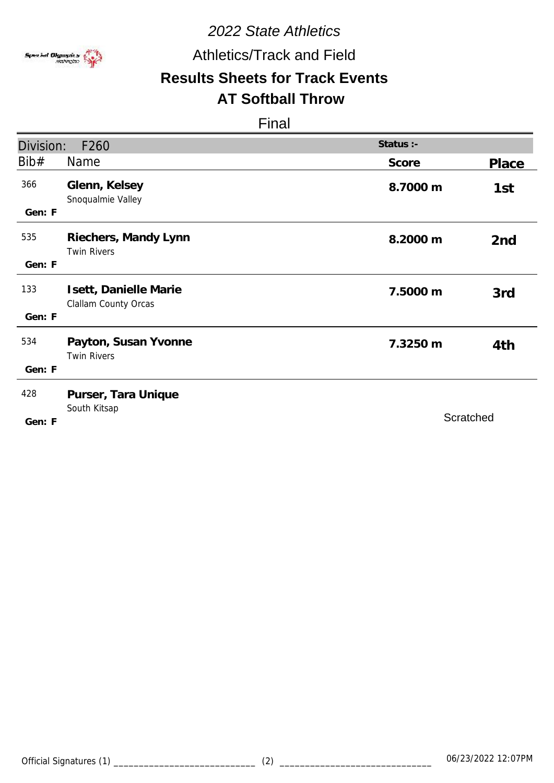

Athletics/Track and Field

# **Results Sheets for Track Events**

## **AT Softball Throw**

| Division:     | F260                                          | Status :- |                 |
|---------------|-----------------------------------------------|-----------|-----------------|
| Bib#          | <b>Name</b>                                   | Score     | Place           |
| 366<br>Gen: F | Glenn, Kelsey<br>Snoqualmie Valley            | 8.7000 m  | 1st             |
| 535<br>Gen: F | Riechers, Mandy Lynn<br><b>Twin Rivers</b>    | 8.2000 m  | 2 <sub>nd</sub> |
| 133<br>Gen: F | Isett, Danielle Marie<br>Clallam County Orcas | 7.5000 m  | 3rd             |
| 534<br>Gen: F | Payton, Susan Yvonne<br><b>Twin Rivers</b>    | 7.3250 m  | 4th             |
| 428<br>Gen: F | Purser, Tara Unique<br>South Kitsap           |           | Scratched       |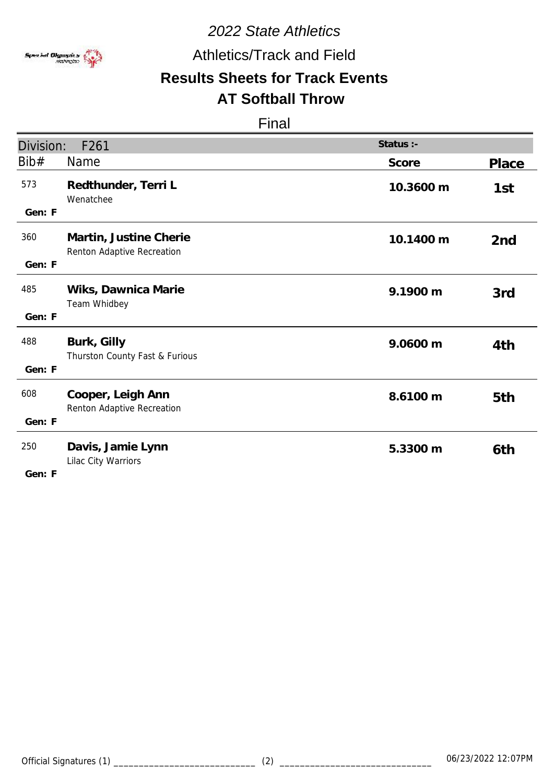

## Athletics/Track and Field

# **Results Sheets for Track Events**

# **AT Softball Throw**

| Division:     | F261                                                 | Status :- |                 |
|---------------|------------------------------------------------------|-----------|-----------------|
| Bib#          | Name                                                 | Score     | <b>Place</b>    |
| 573<br>Gen: F | Redthunder, Terri L<br>Wenatchee                     | 10.3600 m | 1st             |
| 360<br>Gen: F | Martin, Justine Cherie<br>Renton Adaptive Recreation | 10.1400 m | 2 <sub>nd</sub> |
| 485<br>Gen: F | Wiks, Dawnica Marie<br>Team Whidbey                  | 9.1900 m  | 3rd             |
| 488<br>Gen: F | Burk, Gilly<br>Thurston County Fast & Furious        | 9.0600 m  | 4th             |
| 608<br>Gen: F | Cooper, Leigh Ann<br>Renton Adaptive Recreation      | 8.6100 m  | 5th             |
| 250<br>Gen: F | Davis, Jamie Lynn<br>Lilac City Warriors             | 5.3300 m  | 6th             |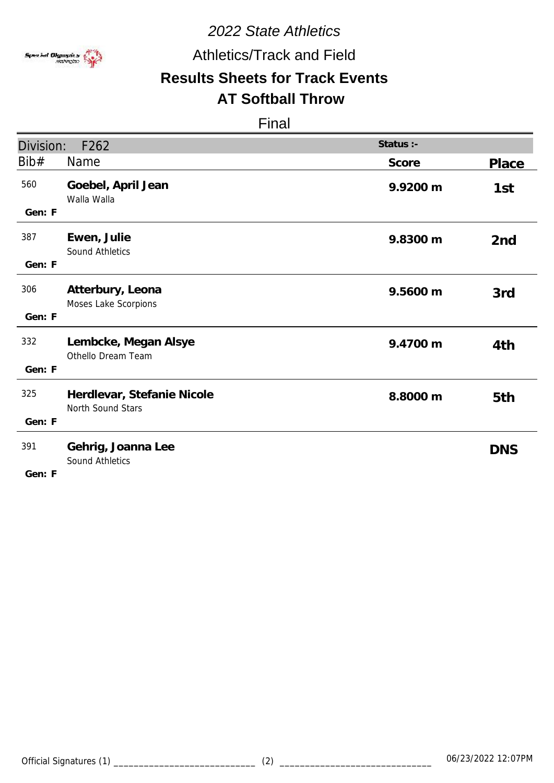

Athletics/Track and Field

# **Results Sheets for Track Events**

# **AT Softball Throw**

|               |                                                 | Status :- |                 |
|---------------|-------------------------------------------------|-----------|-----------------|
| Division:     | F262                                            |           |                 |
| Bib#          | Name                                            | Score     | <b>Place</b>    |
| 560<br>Gen: F | Goebel, April Jean<br>Walla Walla               | 9.9200 m  | 1st             |
| 387<br>Gen: F | Ewen, Julie<br><b>Sound Athletics</b>           | 9.8300 m  | 2 <sub>nd</sub> |
| 306<br>Gen: F | Atterbury, Leona<br>Moses Lake Scorpions        | 9.5600 m  | 3rd             |
| 332<br>Gen: F | Lembcke, Megan Alsye<br>Othello Dream Team      | 9.4700 m  | 4th             |
| 325<br>Gen: F | Herdlevar, Stefanie Nicole<br>North Sound Stars | 8.8000 m  | 5th             |
| 391<br>Gen: F | Gehrig, Joanna Lee<br><b>Sound Athletics</b>    |           | <b>DNS</b>      |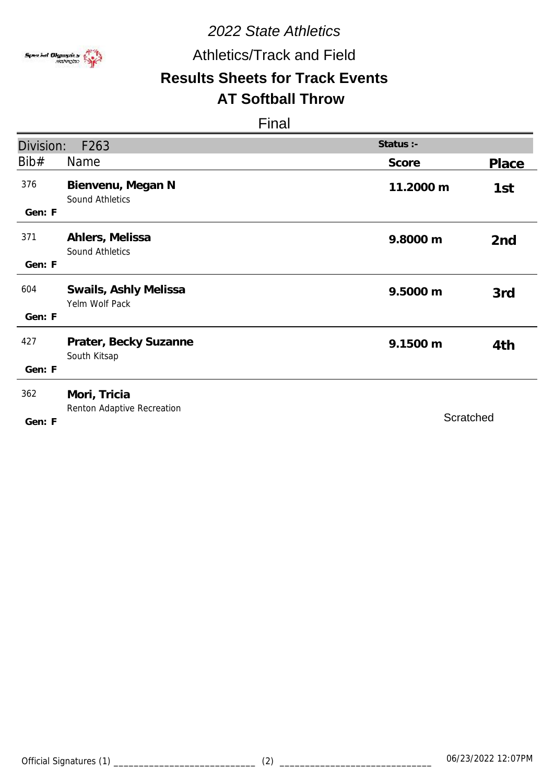

Athletics/Track and Field

# **Results Sheets for Track Events**

#### **AT Softball Throw**

| Division:     | F <sub>263</sub>                           | Status :- |                 |
|---------------|--------------------------------------------|-----------|-----------------|
| Bib#          | Name                                       | Score     | Place           |
| 376<br>Gen: F | Bienvenu, Megan N<br>Sound Athletics       | 11.2000 m | 1st             |
| 371<br>Gen: F | Ahlers, Melissa<br><b>Sound Athletics</b>  | 9.8000 m  | 2 <sub>nd</sub> |
| 604<br>Gen: F | Swails, Ashly Melissa<br>Yelm Wolf Pack    | 9.5000 m  | 3rd             |
| 427<br>Gen: F | Prater, Becky Suzanne<br>South Kitsap      | 9.1500 m  | 4th             |
| 362<br>Gen: F | Mori, Tricia<br>Renton Adaptive Recreation | Scratched |                 |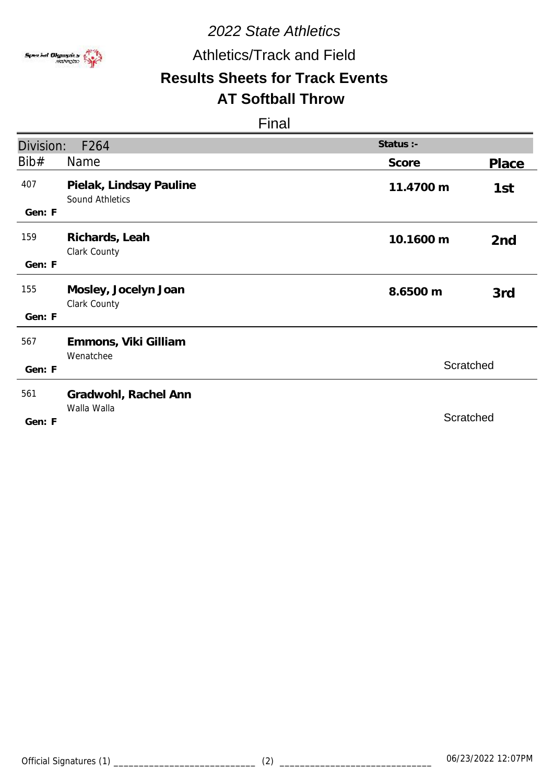

## Athletics/Track and Field

# **Results Sheets for Track Events**

## **AT Softball Throw**

| Division:     | F264                                       | Status :- |                 |
|---------------|--------------------------------------------|-----------|-----------------|
| Bib#          | Name                                       | Score     | Place           |
| 407<br>Gen: F | Pielak, Lindsay Pauline<br>Sound Athletics | 11.4700 m | 1st             |
| 159<br>Gen: F | Richards, Leah<br>Clark County             | 10.1600 m | 2 <sub>nd</sub> |
| 155<br>Gen: F | Mosley, Jocelyn Joan<br>Clark County       | 8.6500 m  | 3rd             |
| 567<br>Gen: F | Emmons, Viki Gilliam<br>Wenatchee          | Scratched |                 |
| 561<br>Gen: F | Gradwohl, Rachel Ann<br>Walla Walla        | Scratched |                 |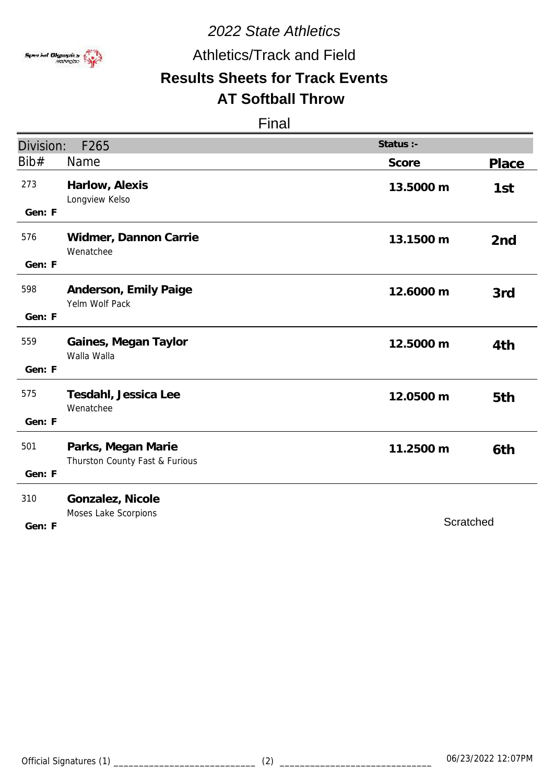

Athletics/Track and Field

# **Results Sheets for Track Events**

# **AT Softball Throw**

| Division: | F265                                                 | Status :- |                 |
|-----------|------------------------------------------------------|-----------|-----------------|
| Bib#      | Name                                                 | Score     | <b>Place</b>    |
| 273       | Harlow, Alexis<br>Longview Kelso                     | 13.5000 m | 1st             |
| Gen: F    |                                                      |           |                 |
| 576       | Widmer, Dannon Carrie<br>Wenatchee                   | 13.1500 m | 2 <sub>nd</sub> |
| Gen: F    |                                                      |           |                 |
| 598       | Anderson, Emily Paige<br>Yelm Wolf Pack              | 12.6000 m | 3rd             |
| Gen: F    |                                                      |           |                 |
| 559       | Gaines, Megan Taylor<br>Walla Walla                  | 12.5000 m | 4th             |
| Gen: F    |                                                      |           |                 |
| 575       | Tesdahl, Jessica Lee<br>Wenatchee                    | 12.0500 m | 5th             |
| Gen: F    |                                                      |           |                 |
| 501       | Parks, Megan Marie<br>Thurston County Fast & Furious | 11.2500 m | 6th             |
| Gen: F    |                                                      |           |                 |
| 310       | Gonzalez, Nicole                                     |           |                 |
| Gen: F    | Moses Lake Scorpions                                 | Scratched |                 |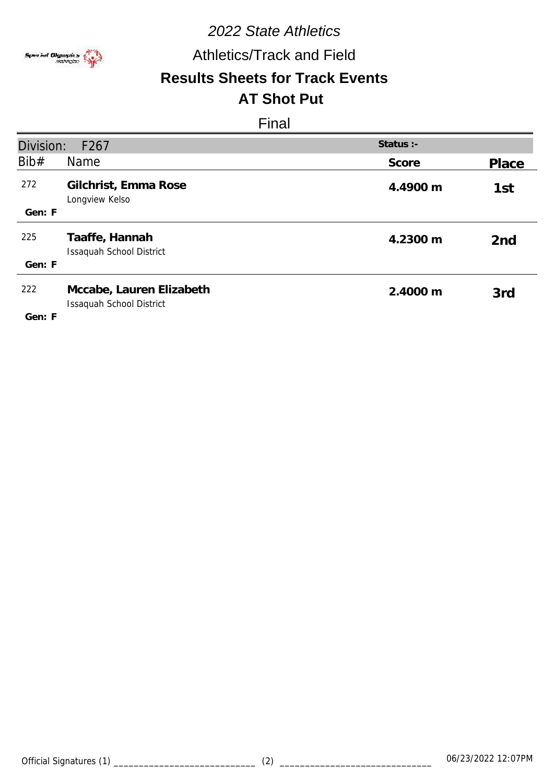

Athletics/Track and Field

#### **Results Sheets for Track Events AT Shot Put**

| Division:<br>F <sub>267</sub> |                                                             | Status :- |                 |
|-------------------------------|-------------------------------------------------------------|-----------|-----------------|
| Bib#                          | Name                                                        | Score     | Place           |
| 272                           | Gilchrist, Emma Rose<br>Longview Kelso                      | 4.4900 m  | 1st             |
| Gen: F                        |                                                             |           |                 |
| 225                           | Taaffe, Hannah<br><b>Issaquah School District</b>           | 4.2300 m  | 2 <sub>nd</sub> |
| Gen: F                        |                                                             |           |                 |
| 222<br>Gen: F                 | Mccabe, Lauren Elizabeth<br><b>Issaquah School District</b> | 2.4000 m  | 3rd             |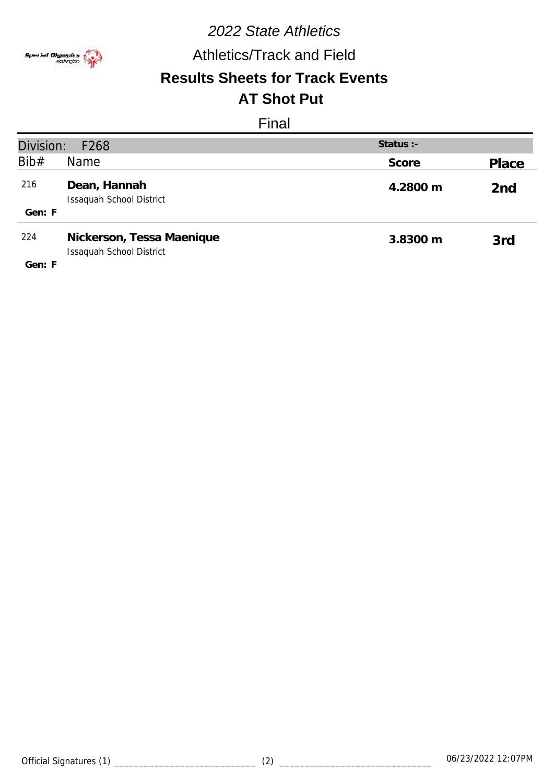

# Athletics/Track and Field

#### **Results Sheets for Track Events AT Shot Put**

| Division:<br>Status $:$ -<br>F <sub>268</sub> |                                                              |          |                 |
|-----------------------------------------------|--------------------------------------------------------------|----------|-----------------|
| Bib#                                          | Name                                                         | Score    | Place           |
| 216                                           | Dean, Hannah<br><b>Issaquah School District</b>              | 4.2800 m | 2 <sub>nd</sub> |
| Gen: F                                        |                                                              |          |                 |
| 224                                           | Nickerson, Tessa Maenique<br><b>Issaquah School District</b> | 3.8300 m | 3rd             |
| Gen: F                                        |                                                              |          |                 |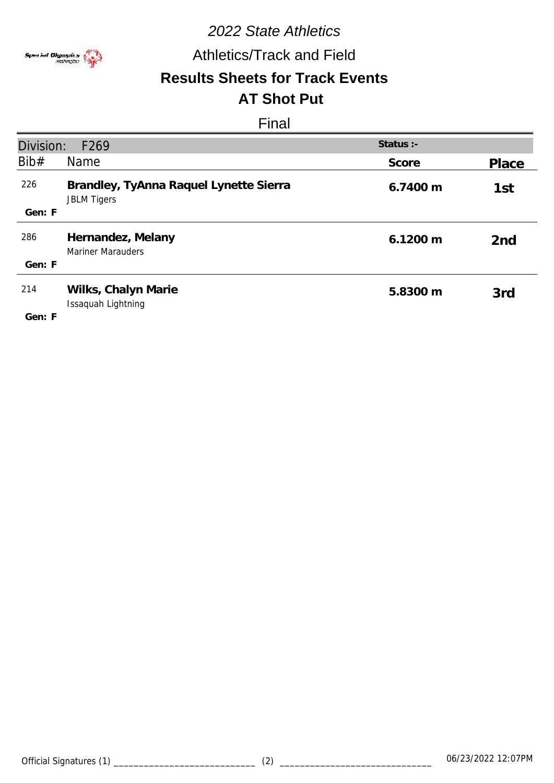

Athletics/Track and Field

#### **Results Sheets for Track Events AT Shot Put**

| Division:     | F <sub>269</sub>                                             | Status :-          |                 |
|---------------|--------------------------------------------------------------|--------------------|-----------------|
| Bib#          | Name                                                         | Score              | Place           |
| 226           | Brandley, TyAnna Raquel Lynette Sierra<br><b>JBLM Tigers</b> | 6.7400 m           | 1st             |
| Gen: F        |                                                              |                    |                 |
| 286           | Hernandez, Melany<br><b>Mariner Marauders</b>                | $6.1200 \text{ m}$ | 2 <sub>nd</sub> |
| Gen: F        |                                                              |                    |                 |
| 214<br>Gen: F | Wilks, Chalyn Marie<br>Issaquah Lightning                    | 5.8300 m           | 3rd             |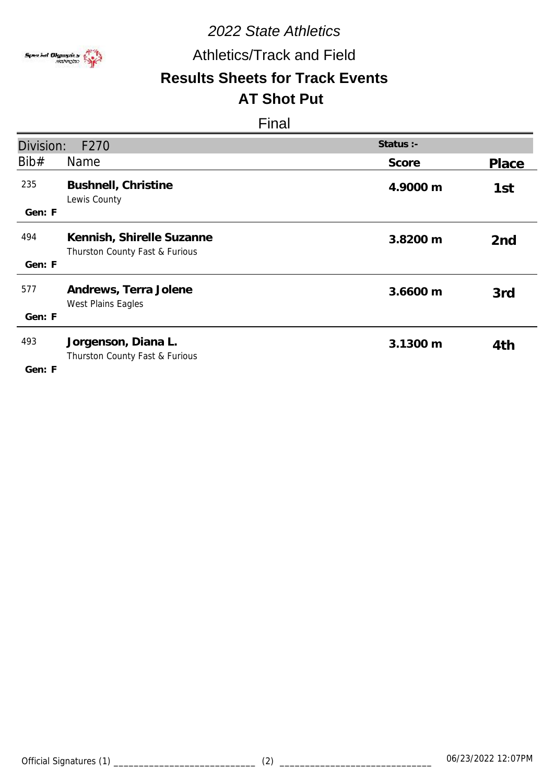

# Athletics/Track and Field

#### **Results Sheets for Track Events AT Shot Put**

| Division:     | F270                                                        | Status :- |                 |
|---------------|-------------------------------------------------------------|-----------|-----------------|
| Bib#          | Name                                                        | Score     | Place           |
| 235<br>Gen: F | Bushnell, Christine<br>Lewis County                         | 4.9000 m  | 1st             |
| 494<br>Gen: F | Kennish, Shirelle Suzanne<br>Thurston County Fast & Furious | 3.8200 m  | 2 <sub>nd</sub> |
| 577<br>Gen: F | Andrews, Terra Jolene<br>West Plains Eagles                 | 3.6600 m  | 3rd             |
| 493<br>Gen: F | Jorgenson, Diana L.<br>Thurston County Fast & Furious       | 3.1300 m  | 4th             |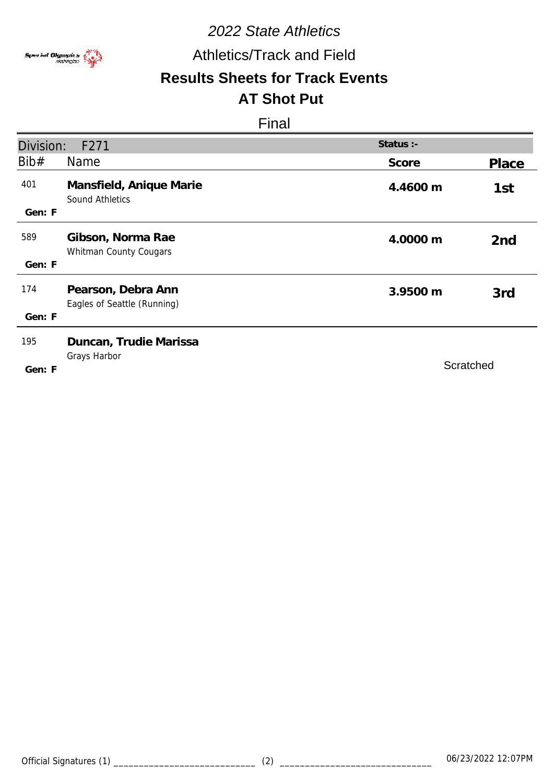

Athletics/Track and Field

#### **Results Sheets for Track Events AT Shot Put**

| Division:     | F271                                              | Status :- |                 |
|---------------|---------------------------------------------------|-----------|-----------------|
| Bib#          | Name                                              | Score     | Place           |
| 401<br>Gen: F | Mansfield, Anique Marie<br><b>Sound Athletics</b> | 4.4600 m  | 1st             |
| 589<br>Gen: F | Gibson, Norma Rae<br>Whitman County Cougars       | 4.0000 m  | 2 <sub>nd</sub> |
| 174<br>Gen: F | Pearson, Debra Ann<br>Eagles of Seattle (Running) | 3.9500 m  | 3rd             |
| 195<br>Gen: F | Duncan, Trudie Marissa<br>Grays Harbor            | Scratched |                 |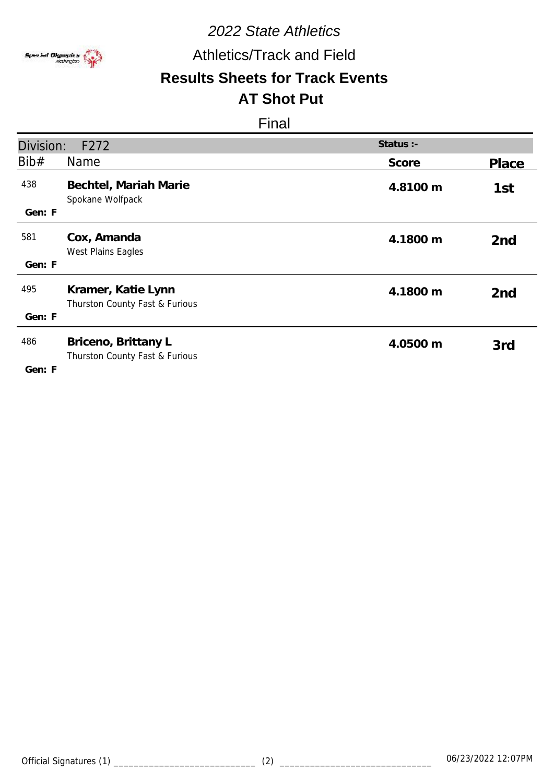

Athletics/Track and Field

#### **Results Sheets for Track Events AT Shot Put**

| Division:     | F272                                                  | Status :- |                 |
|---------------|-------------------------------------------------------|-----------|-----------------|
| Bib#          | <b>Name</b>                                           | Score     | Place           |
| 438<br>Gen: F | Bechtel, Mariah Marie<br>Spokane Wolfpack             | 4.8100 m  | 1st             |
| 581<br>Gen: F | Cox, Amanda<br>West Plains Eagles                     | 4.1800 m  | 2 <sub>nd</sub> |
|               |                                                       |           |                 |
| 495           | Kramer, Katie Lynn<br>Thurston County Fast & Furious  | 4.1800 m  | 2 <sub>nd</sub> |
| Gen: F        |                                                       |           |                 |
| 486<br>Gen: F | Briceno, Brittany L<br>Thurston County Fast & Furious | 4.0500 m  | 3rd             |
|               |                                                       |           |                 |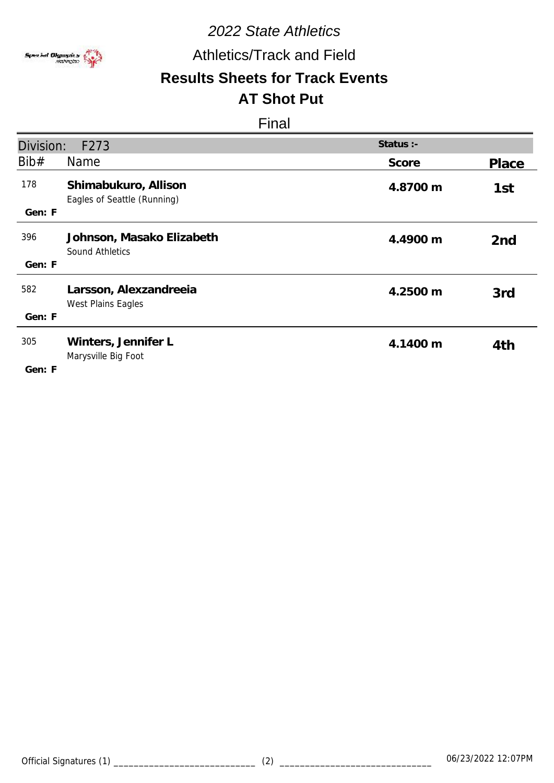

## Athletics/Track and Field

#### **Results Sheets for Track Events AT Shot Put**

| Division:     | F273                                                | Status :- |                 |
|---------------|-----------------------------------------------------|-----------|-----------------|
| Bib#          | Name                                                | Score     | Place           |
| 178<br>Gen: F | Shimabukuro, Allison<br>Eagles of Seattle (Running) | 4.8700 m  | 1st             |
| 396<br>Gen: F | Johnson, Masako Elizabeth<br><b>Sound Athletics</b> | 4.4900 m  | 2 <sub>nd</sub> |
| 582<br>Gen: F | Larsson, Alexzandreeia<br>West Plains Eagles        | 4.2500 m  | 3rd             |
| 305<br>Gen: F | Winters, Jennifer L<br>Marysville Big Foot          | 4.1400 m  | 4th             |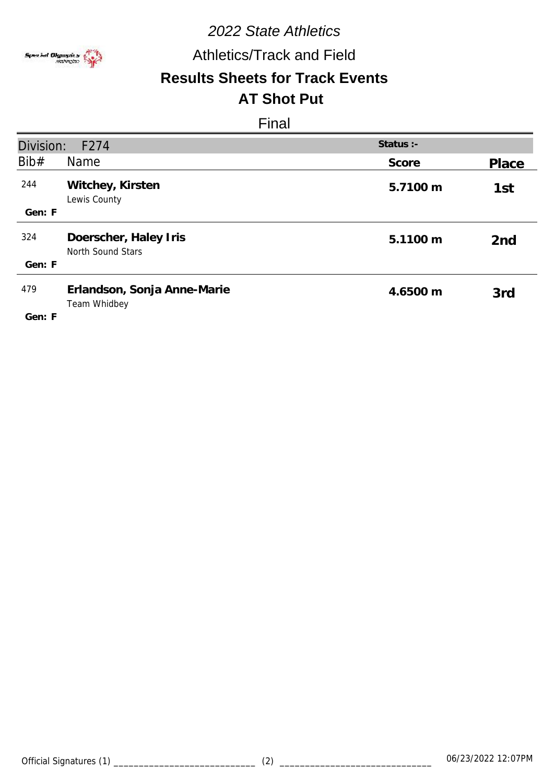

Athletics/Track and Field

#### **Results Sheets for Track Events AT Shot Put**

| Division:     | F274                                        | Status :- |                 |
|---------------|---------------------------------------------|-----------|-----------------|
| Bib#          | Name                                        | Score     | Place           |
| 244           | Witchey, Kirsten<br>Lewis County            | 5.7100 m  | 1st             |
| Gen: F        |                                             |           |                 |
| 324           | Doerscher, Haley Iris<br>North Sound Stars  | 5.1100 m  | 2 <sub>nd</sub> |
| Gen: F        |                                             |           |                 |
| 479<br>Gen: F | Erlandson, Sonja Anne-Marie<br>Team Whidbey | 4.6500 m  | 3rd             |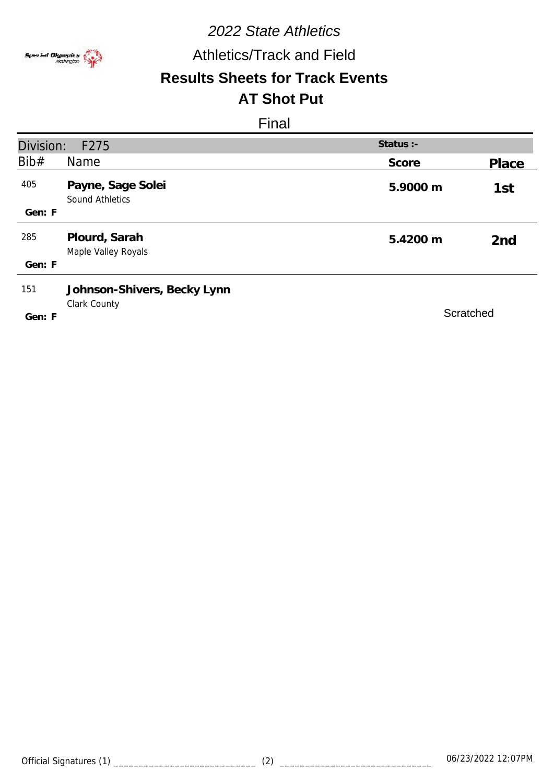

Athletics/Track and Field

# **Results Sheets for Track Events**

# **AT Shot Put**

| Division: | F275                                        | Status :- |                 |
|-----------|---------------------------------------------|-----------|-----------------|
| Bib#      | Name                                        | Score     | Place           |
| 405       | Payne, Sage Solei<br>Sound Athletics        | 5.9000 m  | 1st             |
| Gen: F    |                                             |           |                 |
| 285       | Plourd, Sarah<br>Maple Valley Royals        | 5.4200 m  | 2 <sub>nd</sub> |
| Gen: F    |                                             |           |                 |
| 151       | Johnson-Shivers, Becky Lynn<br>Clark County |           |                 |
| Gen: F    |                                             | Scratched |                 |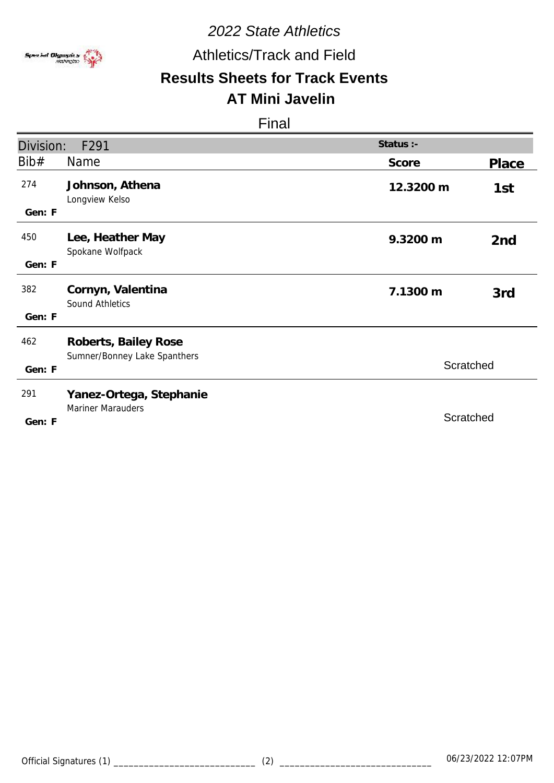

Athletics/Track and Field

# **Results Sheets for Track Events**

# **AT Mini Javelin**

| Division: | F291                                                 | Status :- |                 |
|-----------|------------------------------------------------------|-----------|-----------------|
| Bib#      | <b>Name</b>                                          | Score     |                 |
|           |                                                      |           | Place           |
| 274       | Johnson, Athena<br>Longview Kelso                    | 12.3200 m | 1st             |
| Gen: F    |                                                      |           |                 |
| 450       | Lee, Heather May<br>Spokane Wolfpack                 | 9.3200 m  | 2 <sub>nd</sub> |
| Gen: F    |                                                      |           |                 |
| 382       | Cornyn, Valentina<br><b>Sound Athletics</b>          | 7.1300 m  | 3rd             |
| Gen: F    |                                                      |           |                 |
| 462       | Roberts, Bailey Rose<br>Sumner/Bonney Lake Spanthers |           |                 |
| Gen: F    |                                                      | Scratched |                 |
| 291       | Yanez-Ortega, Stephanie                              |           |                 |
| Gen: F    | <b>Mariner Marauders</b>                             | Scratched |                 |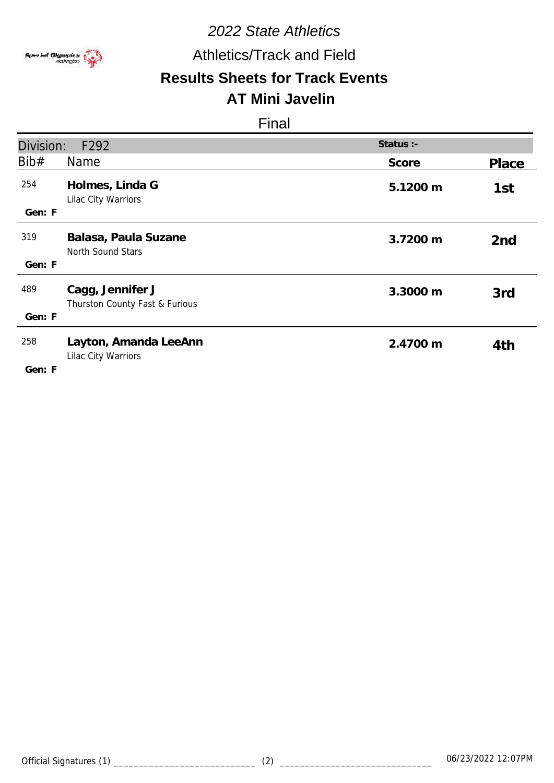

## Athletics/Track and Field

#### **Results Sheets for Track Events AT Mini Javelin**

| Division:     | F292                                               | Status :- |                 |
|---------------|----------------------------------------------------|-----------|-----------------|
| Bib#          | Name                                               | Score     | Place           |
| 254           | Holmes, Linda G<br>Lilac City Warriors             | 5.1200 m  | 1st             |
| Gen: F        |                                                    |           |                 |
| 319           | Balasa, Paula Suzane<br>North Sound Stars          | 3.7200 m  | 2 <sub>nd</sub> |
| Gen: F        |                                                    |           |                 |
| 489           | Cagg, Jennifer J<br>Thurston County Fast & Furious | 3.3000 m  | 3rd             |
| Gen: F        |                                                    |           |                 |
| 258<br>Gen: F | Layton, Amanda LeeAnn<br>Lilac City Warriors       | 2.4700 m  | 4th             |
|               |                                                    |           |                 |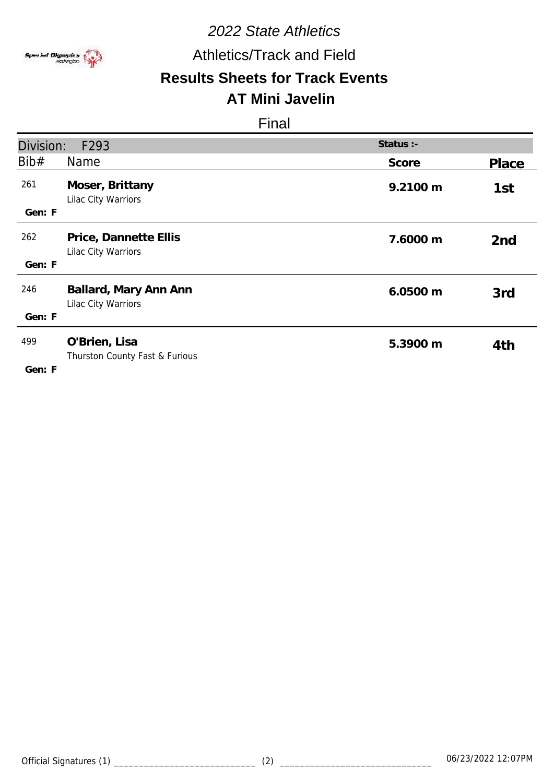

## Athletics/Track and Field

#### **Results Sheets for Track Events AT Mini Javelin**

| Division:     | F293                                            | Status :- |                 |
|---------------|-------------------------------------------------|-----------|-----------------|
| Bib#          | Name                                            | Score     | Place           |
| 261<br>Gen: F | Moser, Brittany<br>Lilac City Warriors          | 9.2100 m  | 1st             |
| 262<br>Gen: F | Price, Dannette Ellis<br>Lilac City Warriors    | 7.6000 m  | 2 <sub>nd</sub> |
|               |                                                 |           |                 |
| 246           | Ballard, Mary Ann Ann<br>Lilac City Warriors    | 6.0500 m  | 3rd             |
| Gen: F        |                                                 |           |                 |
| 499<br>Gen: F | O'Brien, Lisa<br>Thurston County Fast & Furious | 5.3900 m  | 4th             |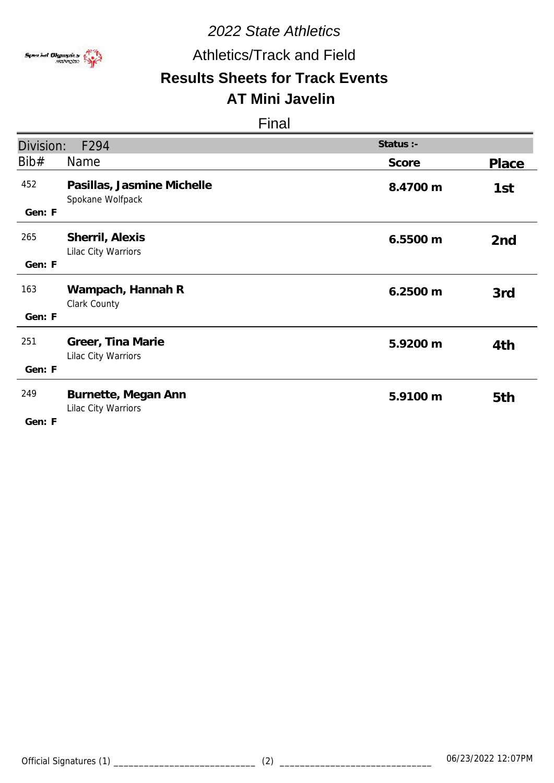

## Athletics/Track and Field

#### **Results Sheets for Track Events AT Mini Javelin**

| Division:     | F294                                           | Status :- |                 |
|---------------|------------------------------------------------|-----------|-----------------|
| Bib#          | <b>Name</b>                                    | Score     | Place           |
| 452<br>Gen: F | Pasillas, Jasmine Michelle<br>Spokane Wolfpack | 8.4700 m  | 1st             |
| 265<br>Gen: F | Sherril, Alexis<br>Lilac City Warriors         | 6.5500 m  | 2 <sub>nd</sub> |
| 163<br>Gen: F | Wampach, Hannah R<br>Clark County              | 6.2500 m  | 3rd             |
| 251<br>Gen: F | Greer, Tina Marie<br>Lilac City Warriors       | 5.9200 m  | 4th             |
| 249<br>Gen: F | Burnette, Megan Ann<br>Lilac City Warriors     | 5.9100 m  | 5th             |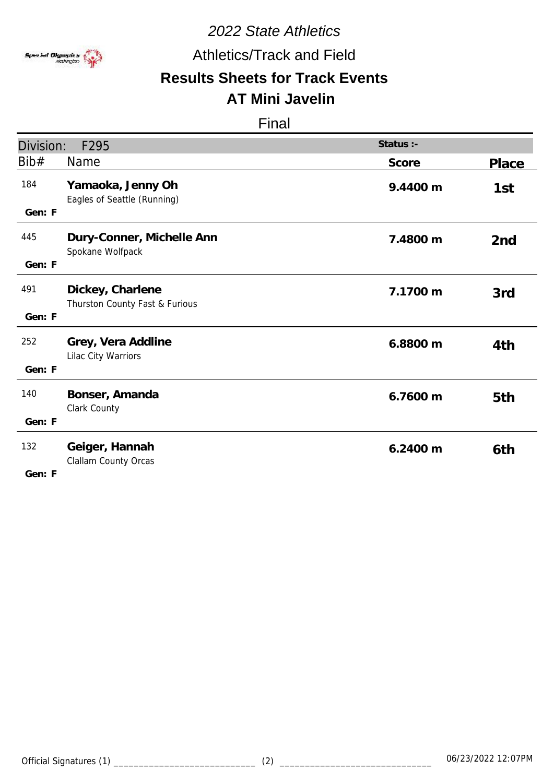

## Athletics/Track and Field

#### **Results Sheets for Track Events AT Mini Javelin**

#### Final

| Division:                           | F295                                               | Status :- |                 |
|-------------------------------------|----------------------------------------------------|-----------|-----------------|
| Bib#                                | Name                                               | Score     | Place           |
| 184<br>Gen: F                       | Yamaoka, Jenny Oh<br>Eagles of Seattle (Running)   | 9.4400 m  | 1st             |
| 445<br>Gen: F                       | Dury-Conner, Michelle Ann<br>Spokane Wolfpack      | 7.4800 m  | 2 <sub>nd</sub> |
| 491<br>Gen: F                       | Dickey, Charlene<br>Thurston County Fast & Furious | 7.1700 m  | 3rd             |
| 252<br>Gen: F                       | Grey, Vera Addline<br>Lilac City Warriors          | 6.8800 m  | 4th             |
| 140<br>Gen: F                       | Bonser, Amanda<br>Clark County                     | 6.7600 m  | 5th             |
| 132<br>$C \cap \mathbb{R}$ $\vdash$ | Geiger, Hannah<br>Clallam County Orcas             | 6.2400 m  | 6th             |

**F Gen:**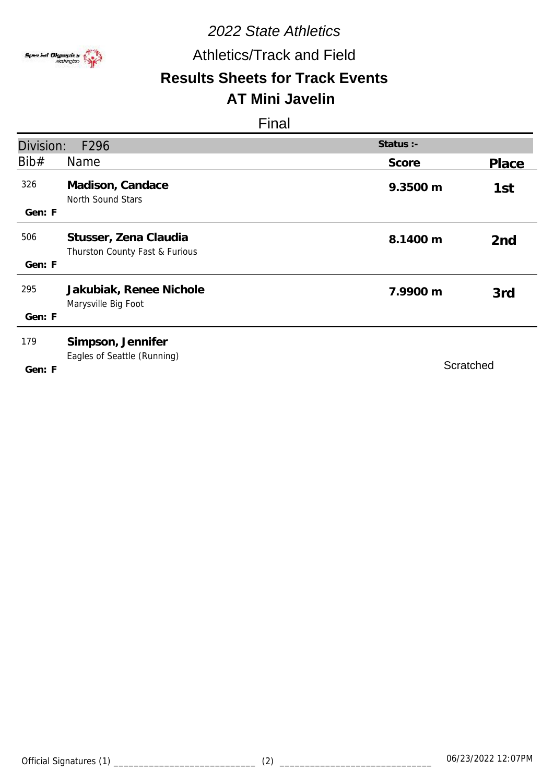

### Athletics/Track and Field

#### **Results Sheets for Track Events AT Mini Javelin**

| Division:     | F296                                                    | Status :- |                 |
|---------------|---------------------------------------------------------|-----------|-----------------|
| Bib#          | <b>Name</b>                                             | Score     | Place           |
| 326<br>Gen: F | Madison, Candace<br>North Sound Stars                   | 9.3500 m  | 1st             |
| 506<br>Gen: F | Stusser, Zena Claudia<br>Thurston County Fast & Furious | 8.1400 m  | 2 <sub>nd</sub> |
| 295<br>Gen: F | Jakubiak, Renee Nichole<br>Marysville Big Foot          | 7.9900 m  | 3rd             |
| 179<br>Gen: F | Simpson, Jennifer<br>Eagles of Seattle (Running)        | Scratched |                 |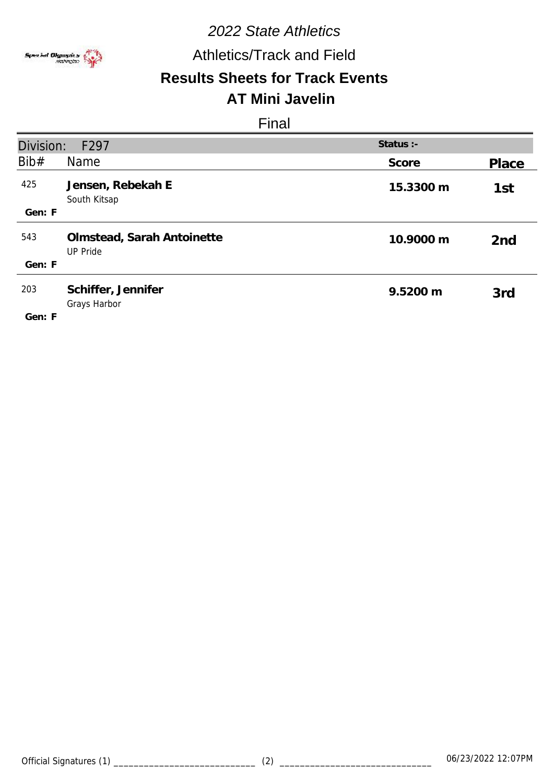

## Athletics/Track and Field

#### **Results Sheets for Track Events AT Mini Javelin**

| Division:     | F <sub>297</sub>                              | Status :- |                 |
|---------------|-----------------------------------------------|-----------|-----------------|
| Bib#          | Name                                          | Score     | Place           |
| 425           | Jensen, Rebekah E<br>South Kitsap             | 15.3300 m | 1st             |
| Gen: F        |                                               |           |                 |
| 543           | Olmstead, Sarah Antoinette<br><b>UP Pride</b> | 10.9000 m | 2 <sub>nd</sub> |
| Gen: F        |                                               |           |                 |
| 203<br>Gen: F | Schiffer, Jennifer<br>Grays Harbor            | 9.5200 m  | 3rd             |
|               |                                               |           |                 |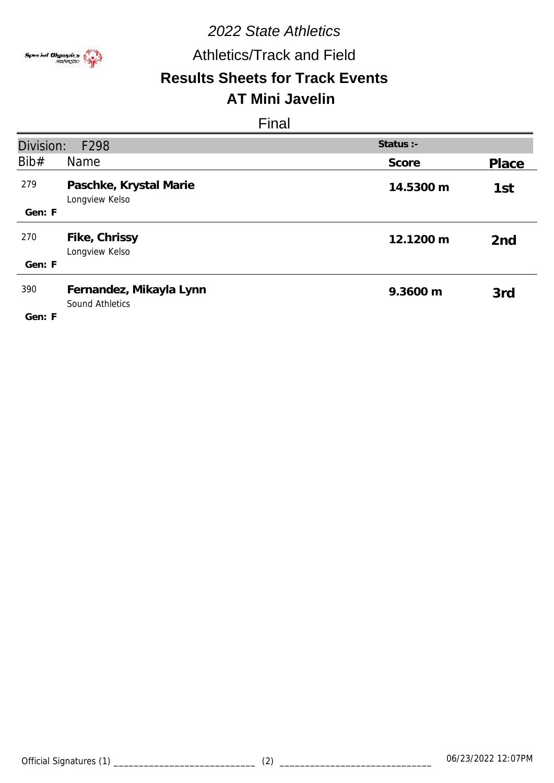

## Athletics/Track and Field

# **Results Sheets for Track Events**

# **AT Mini Javelin**

| Division:<br>Status :-<br>F298 |                                                   |           |                 |
|--------------------------------|---------------------------------------------------|-----------|-----------------|
| Bib#                           | <b>Name</b>                                       | Score     | Place           |
| 279                            | Paschke, Krystal Marie<br>Longview Kelso          | 14.5300 m | 1st             |
| Gen: F                         |                                                   |           |                 |
| 270                            | Fike, Chrissy<br>Longview Kelso                   | 12.1200 m | 2 <sub>nd</sub> |
| Gen: F                         |                                                   |           |                 |
| 390<br>Gen: F                  | Fernandez, Mikayla Lynn<br><b>Sound Athletics</b> | 9.3600 m  | 3rd             |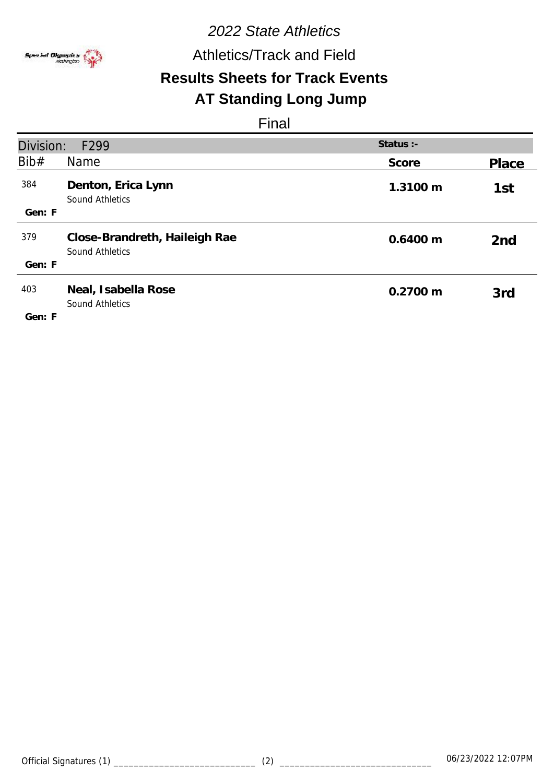

Athletics/Track and Field

# **Results Sheets for Track Events**

# **AT Standing Long Jump**

| Division:     | F299                                                    | Status :- |                 |
|---------------|---------------------------------------------------------|-----------|-----------------|
| Bib#          | Name                                                    | Score     | Place           |
| 384           | Denton, Erica Lynn<br>Sound Athletics                   | 1.3100 m  | 1st             |
| Gen: F        |                                                         |           |                 |
| 379           | Close-Brandreth, Haileigh Rae<br><b>Sound Athletics</b> | 0.6400 m  | 2 <sub>nd</sub> |
| Gen: F        |                                                         |           |                 |
| 403<br>Gen: F | Neal, Isabella Rose<br>Sound Athletics                  | 0.2700 m  | 3rd             |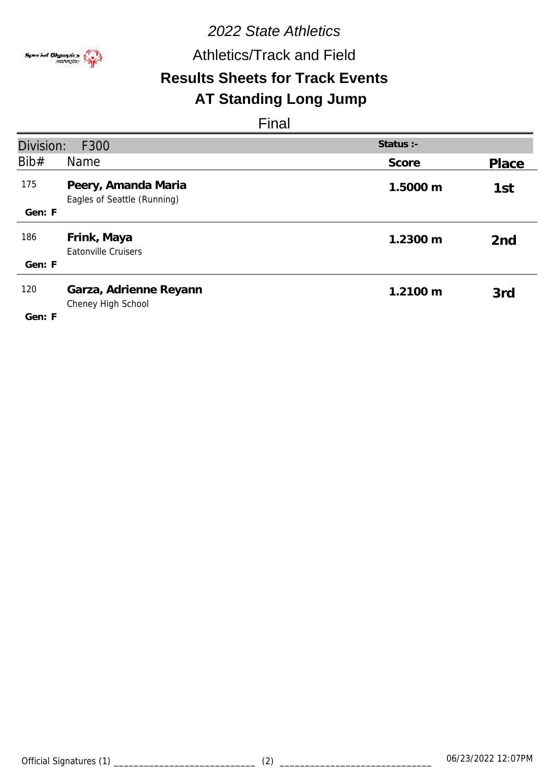

Athletics/Track and Field

# **Results Sheets for Track Events**

# **AT Standing Long Jump**

| Division:     | F300                                               | Status $:$ - |                 |
|---------------|----------------------------------------------------|--------------|-----------------|
| Bib#          | <b>Name</b>                                        | Score        | Place           |
| 175           | Peery, Amanda Maria<br>Eagles of Seattle (Running) | 1.5000 m     | 1st             |
| Gen: F        |                                                    |              |                 |
| 186           | Frink, Maya<br><b>Eatonville Cruisers</b>          | 1.2300 m     | 2 <sub>nd</sub> |
| Gen: F        |                                                    |              |                 |
| 120<br>Gen: F | Garza, Adrienne Reyann<br>Cheney High School       | 1.2100 m     | 3rd             |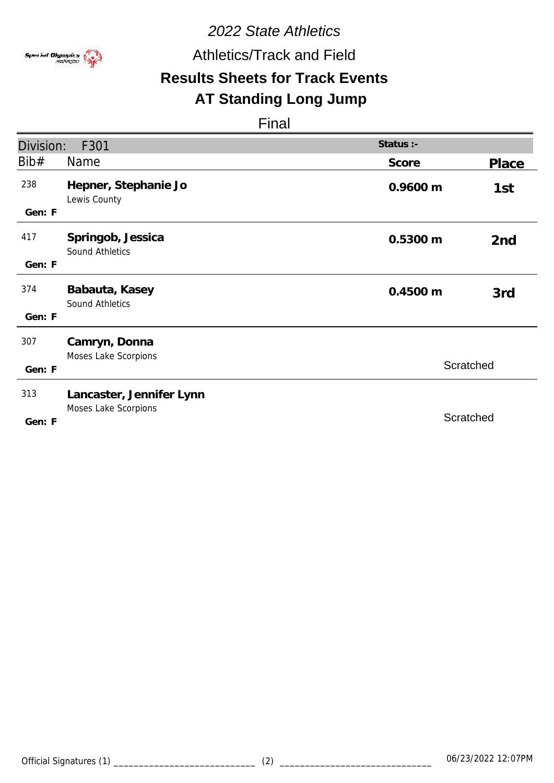

Athletics/Track and Field

# **Results Sheets for Track Events**

### **AT Standing Long Jump**

| Division: | F301                                  | Status :- |                 |
|-----------|---------------------------------------|-----------|-----------------|
| Bib#      | <b>Name</b>                           | Score     | Place           |
| 238       | Hepner, Stephanie Jo<br>Lewis County  | 0.9600 m  | 1st             |
| Gen: F    |                                       |           |                 |
| 417       | Springob, Jessica<br>Sound Athletics  | 0.5300 m  | 2 <sub>nd</sub> |
| Gen: F    |                                       |           |                 |
| 374       | Babauta, Kasey<br>Sound Athletics     | 0.4500 m  | 3rd             |
| Gen: F    |                                       |           |                 |
| 307       | Camryn, Donna<br>Moses Lake Scorpions |           |                 |
| Gen: F    |                                       | Scratched |                 |
| 313       | Lancaster, Jennifer Lynn              |           |                 |
| Gen: F    | Moses Lake Scorpions                  | Scratched |                 |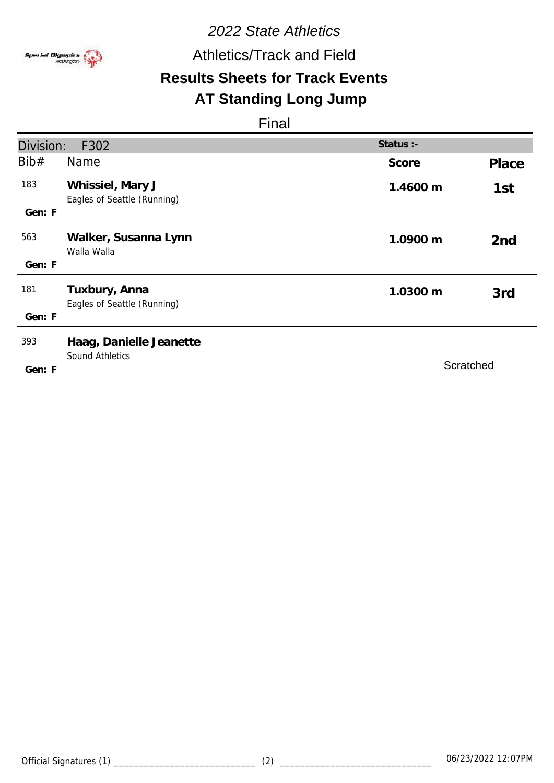

Athletics/Track and Field

# **Results Sheets for Track Events**

## **AT Standing Long Jump**

| Division: | F302                                              | Status :- |                 |
|-----------|---------------------------------------------------|-----------|-----------------|
| Bib#      | Name                                              | Score     | Place           |
| 183       | Whissiel, Mary J<br>Eagles of Seattle (Running)   | 1.4600 m  | 1st             |
| Gen: F    |                                                   |           |                 |
| 563       | Walker, Susanna Lynn<br>Walla Walla               | 1.0900 m  | 2 <sub>nd</sub> |
| Gen: F    |                                                   |           |                 |
| 181       | Tuxbury, Anna<br>Eagles of Seattle (Running)      | 1.0300 m  | 3rd             |
| Gen: F    |                                                   |           |                 |
| 393       | Haag, Danielle Jeanette<br><b>Sound Athletics</b> |           |                 |
| Gen: F    |                                                   | Scratched |                 |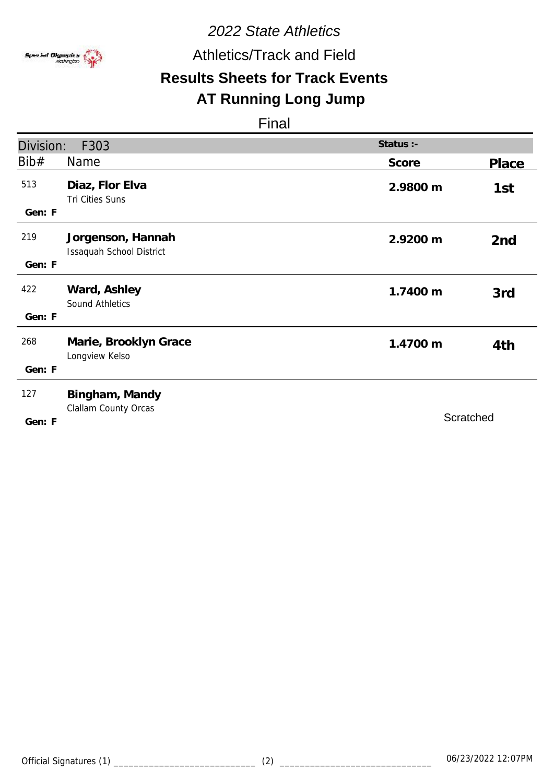

Athletics/Track and Field

# **Results Sheets for Track Events**

# **AT Running Long Jump**

| Division:     | F303                                          | Status :- |                 |
|---------------|-----------------------------------------------|-----------|-----------------|
| Bib#          | <b>Name</b>                                   | Score     | Place           |
| 513<br>Gen: F | Diaz, Flor Elva<br>Tri Cities Suns            | 2.9800 m  | 1st             |
| 219<br>Gen: F | Jorgenson, Hannah<br>Issaquah School District | 2.9200 m  | 2 <sub>nd</sub> |
| 422<br>Gen: F | Ward, Ashley<br>Sound Athletics               | 1.7400 m  | 3rd             |
| 268<br>Gen: F | Marie, Brooklyn Grace<br>Longview Kelso       | 1.4700 m  | 4th             |
| 127<br>Gen: F | Bingham, Mandy<br>Clallam County Orcas        |           | Scratched       |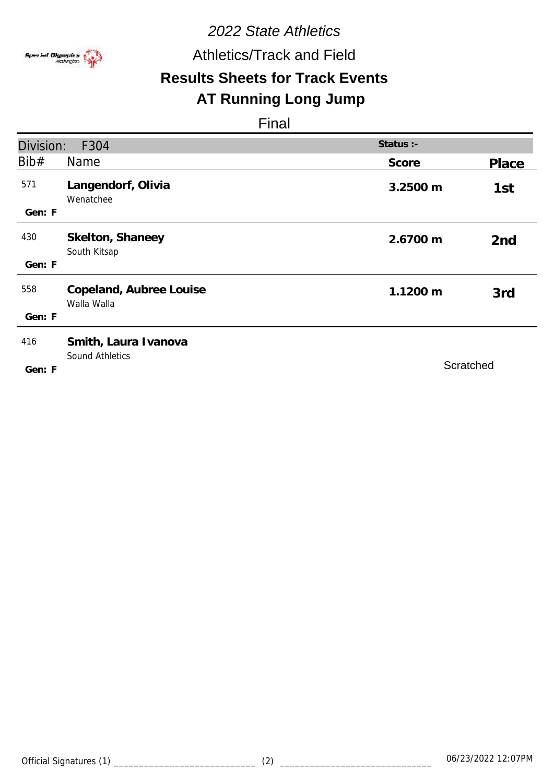

Athletics/Track and Field

# **Results Sheets for Track Events**

### **AT Running Long Jump**

| Division:     | F304                                           | Status :- |                 |
|---------------|------------------------------------------------|-----------|-----------------|
| Bib#          | Name                                           | Score     | Place           |
| 571           | Langendorf, Olivia<br>Wenatchee                | 3.2500 m  | 1st             |
| Gen: F        |                                                |           |                 |
| 430           | Skelton, Shaneey<br>South Kitsap               | 2.6700 m  | 2 <sub>nd</sub> |
| Gen: F        |                                                |           |                 |
| 558           | Copeland, Aubree Louise<br>Walla Walla         | 1.1200 m  | 3rd             |
| Gen: F        |                                                |           |                 |
| 416<br>Gen: F | Smith, Laura Ivanova<br><b>Sound Athletics</b> | Scratched |                 |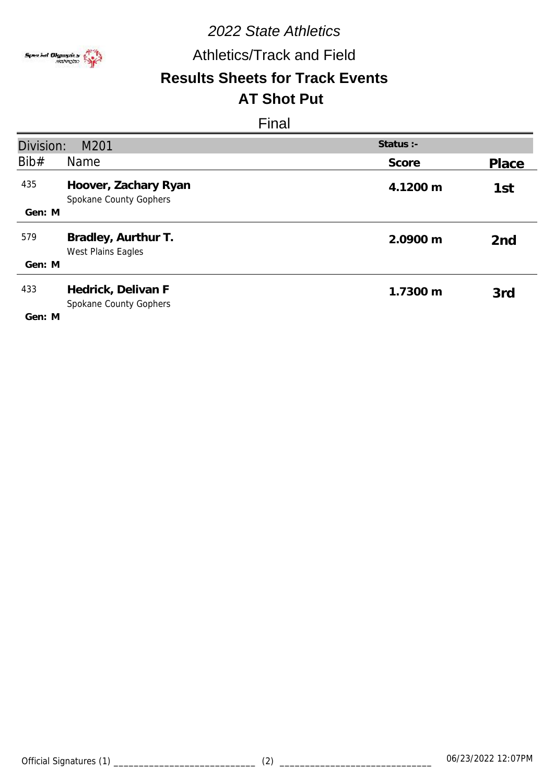

Athletics/Track and Field

### **Results Sheets for Track Events AT Shot Put**

| Division:<br>M201 |                                                | Status :- |                 |
|-------------------|------------------------------------------------|-----------|-----------------|
| Bib#              | Name                                           | Score     | Place           |
| 435               | Hoover, Zachary Ryan<br>Spokane County Gophers | 4.1200 m  | 1st             |
| Gen: M            |                                                |           |                 |
| 579               | Bradley, Aurthur T.<br>West Plains Eagles      | 2.0900 m  | 2 <sub>nd</sub> |
| Gen: M            |                                                |           |                 |
| 433               | Hedrick, Delivan F<br>Spokane County Gophers   | 1.7300 m  | 3rd             |
| Gen: M            |                                                |           |                 |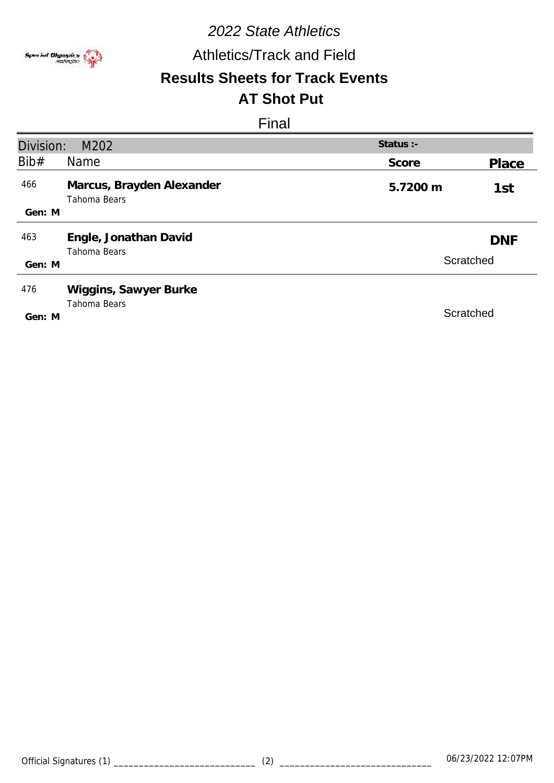

## Athletics/Track and Field

### **Results Sheets for Track Events AT Shot Put**

| Division: | M202                                      | Status :- |            |  |
|-----------|-------------------------------------------|-----------|------------|--|
| Bib#      | Name                                      | Score     | Place      |  |
| 466       | Marcus, Brayden Alexander<br>Tahoma Bears | 5.7200 m  | 1st        |  |
| Gen: M    |                                           |           |            |  |
| 463       | Engle, Jonathan David<br>Tahoma Bears     |           | <b>DNF</b> |  |
| Gen: M    |                                           |           | Scratched  |  |
| 476       | Wiggins, Sawyer Burke<br>Tahoma Bears     |           |            |  |
| Gen: M    |                                           | Scratched |            |  |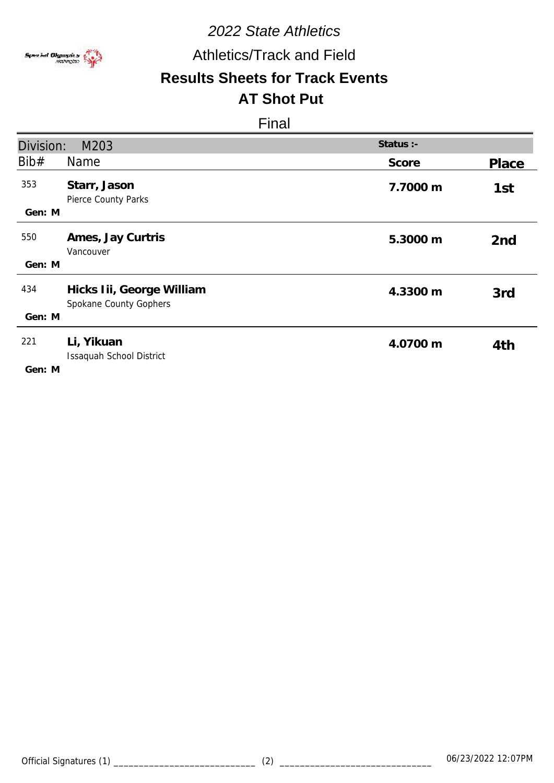

Athletics/Track and Field

### **Results Sheets for Track Events AT Shot Put**

| Division:     | M203                                                | Status :- |                 |
|---------------|-----------------------------------------------------|-----------|-----------------|
| Bib#          | Name                                                | Score     | Place           |
| 353<br>Gen: M | Starr, Jason<br>Pierce County Parks                 | 7.7000 m  | 1st             |
| 550<br>Gen: M | Ames, Jay Curtris<br>Vancouver                      | 5.3000 m  | 2 <sub>nd</sub> |
|               |                                                     |           |                 |
| 434           | Hicks Iii, George William<br>Spokane County Gophers | 4.3300 m  | 3rd             |
| Gen: M        |                                                     |           |                 |
| 221<br>Gen: M | Li, Yikuan<br>Issaquah School District              | 4.0700 m  | 4th             |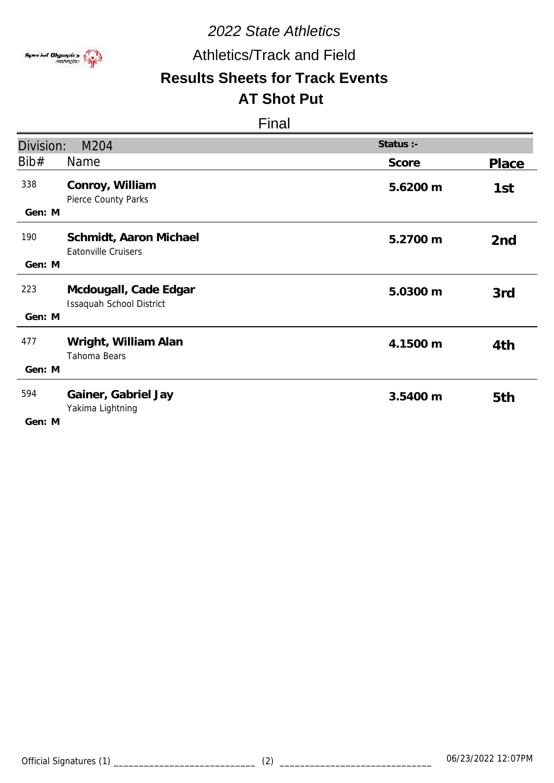

Athletics/Track and Field

### **Results Sheets for Track Events AT Shot Put**

| Division:     | M204                                              | Status :- |                 |
|---------------|---------------------------------------------------|-----------|-----------------|
| Bib#          | <b>Name</b>                                       | Score     | Place           |
| 338<br>Gen: M | Conroy, William<br>Pierce County Parks            | 5.6200 m  | 1st             |
| 190<br>Gen: M | Schmidt, Aaron Michael<br>Eatonville Cruisers     | 5.2700 m  | 2 <sub>nd</sub> |
| 223<br>Gen: M | Mcdougall, Cade Edgar<br>Issaquah School District | 5.0300 m  | 3rd             |
| 477<br>Gen: M | Wright, William Alan<br>Tahoma Bears              | 4.1500 m  | 4th             |
| 594<br>Gen: M | Gainer, Gabriel Jay<br>Yakima Lightning           | 3.5400 m  | 5th             |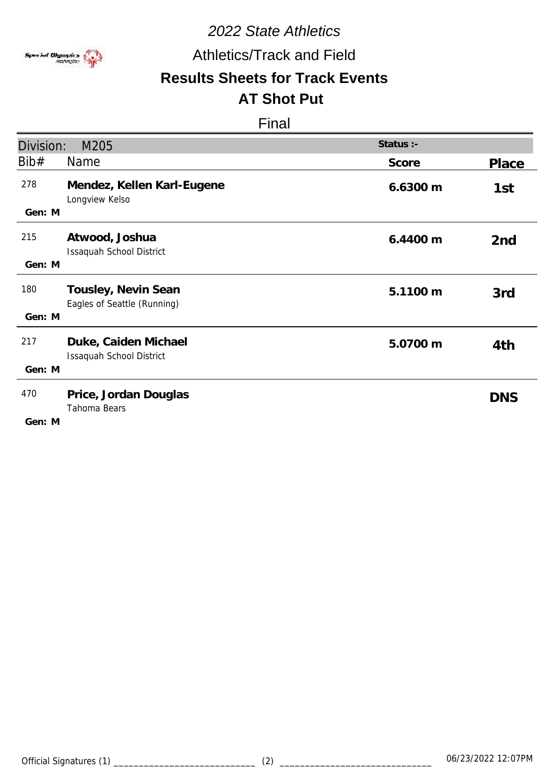

Athletics/Track and Field

### **Results Sheets for Track Events AT Shot Put**

| Division:     | M205                                               | Status :- |                 |
|---------------|----------------------------------------------------|-----------|-----------------|
| Bib#          | <b>Name</b>                                        | Score     | Place           |
| 278<br>Gen: M | Mendez, Kellen Karl-Eugene<br>Longview Kelso       | 6.6300 m  | 1st             |
| 215<br>Gen: M | Atwood, Joshua<br>Issaquah School District         | 6.4400 m  | 2 <sub>nd</sub> |
| 180<br>Gen: M | Tousley, Nevin Sean<br>Eagles of Seattle (Running) | 5.1100 m  | 3rd             |
| 217<br>Gen: M | Duke, Caiden Michael<br>Issaquah School District   | 5.0700 m  | 4th             |
| 470<br>Gen: M | Price, Jordan Douglas<br>Tahoma Bears              |           | <b>DNS</b>      |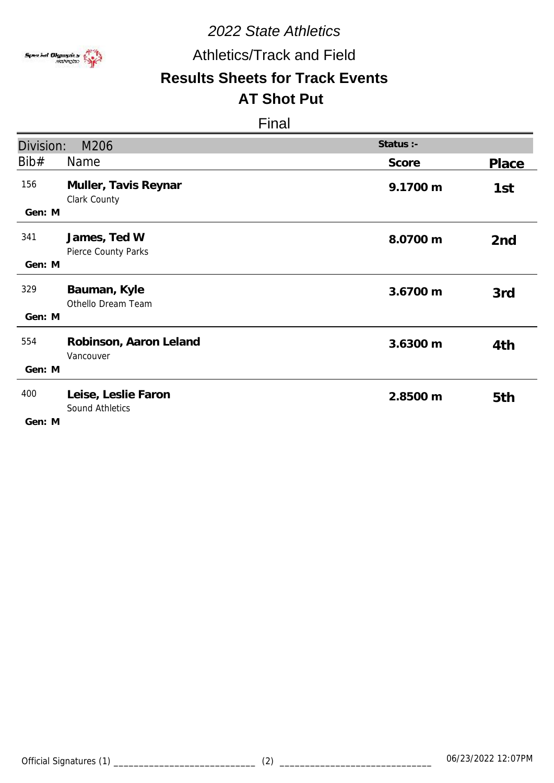

Athletics/Track and Field

### **Results Sheets for Track Events AT Shot Put**

| Division:     | M206                                   | Status :- |                 |
|---------------|----------------------------------------|-----------|-----------------|
| Bib#          | Name                                   | Score     | Place           |
| 156<br>Gen: M | Muller, Tavis Reynar<br>Clark County   | 9.1700 m  | 1st             |
| 341<br>Gen: M | James, Ted W<br>Pierce County Parks    | 8.0700 m  | 2 <sub>nd</sub> |
| 329<br>Gen: M | Bauman, Kyle<br>Othello Dream Team     | 3.6700 m  | 3rd             |
| 554<br>Gen: M | Robinson, Aaron Leland<br>Vancouver    | 3.6300 m  | 4th             |
| 400<br>Gen: M | Leise, Leslie Faron<br>Sound Athletics | 2.8500 m  | 5th             |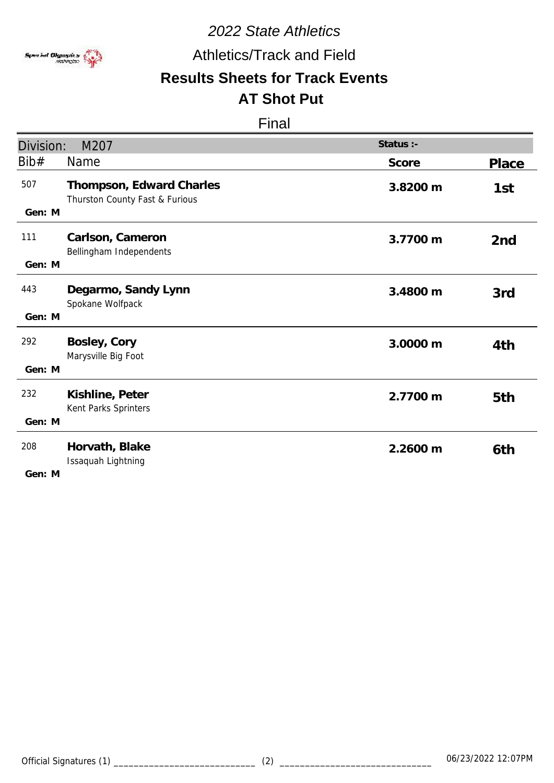

Athletics/Track and Field

### **Results Sheets for Track Events AT Shot Put**

### Final

|                         |                                                            | Status :- |                 |
|-------------------------|------------------------------------------------------------|-----------|-----------------|
| Division:               | M207                                                       |           |                 |
| Bib#                    | Name                                                       | Score     | Place           |
| 507<br>Gen: M           | Thompson, Edward Charles<br>Thurston County Fast & Furious | 3.8200 m  | 1st             |
| 111<br>Gen: M           | Carlson, Cameron<br>Bellingham Independents                | 3.7700 m  | 2 <sub>nd</sub> |
| 443<br>Gen: M           | Degarmo, Sandy Lynn<br>Spokane Wolfpack                    | 3.4800 m  | 3rd             |
| 292<br>Gen: M           | Bosley, Cory<br>Marysville Big Foot                        | 3.0000 m  | 4th             |
| 232<br>Gen: M           | Kishline, Peter<br>Kent Parks Sprinters                    | 2.7700 m  | 5th             |
| 208<br>$C_{\Omega}$ . M | Horvath, Blake<br>Issaquah Lightning                       | 2.2600 m  | 6th             |

**M Gen:**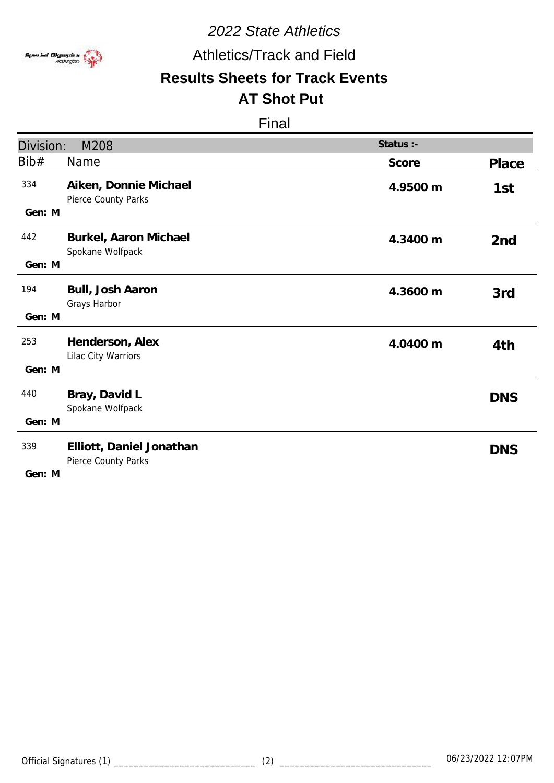

Athletics/Track and Field

### **Results Sheets for Track Events AT Shot Put**

| Division:     | M208                                            | Status :- |                 |
|---------------|-------------------------------------------------|-----------|-----------------|
| Bib#          | Name                                            | Score     | Place           |
| 334<br>Gen: M | Aiken, Donnie Michael<br>Pierce County Parks    | 4.9500 m  | 1st             |
| 442<br>Gen: M | Burkel, Aaron Michael<br>Spokane Wolfpack       | 4.3400 m  | 2 <sub>nd</sub> |
| 194<br>Gen: M | Bull, Josh Aaron<br>Grays Harbor                | 4.3600 m  | 3rd             |
| 253<br>Gen: M | Henderson, Alex<br>Lilac City Warriors          | 4.0400 m  | 4th             |
| 440<br>Gen: M | Bray, David L<br>Spokane Wolfpack               |           | <b>DNS</b>      |
| 339<br>Gen: M | Elliott, Daniel Jonathan<br>Pierce County Parks |           | <b>DNS</b>      |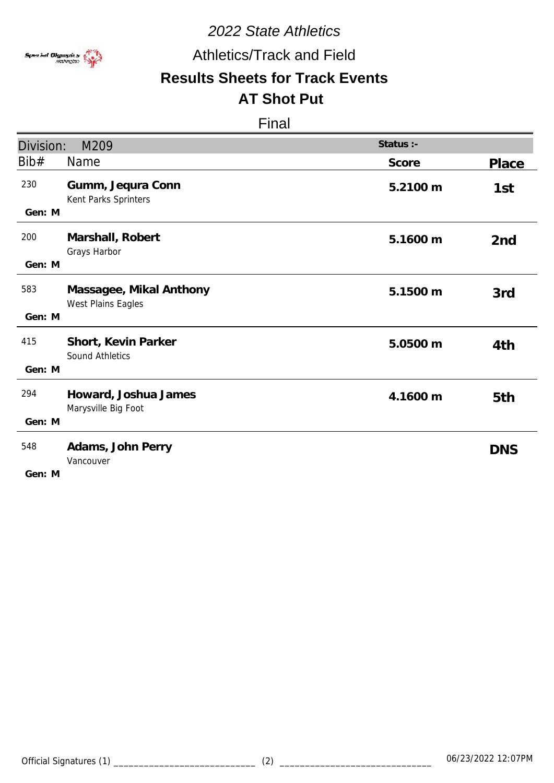

Athletics/Track and Field

### **Results Sheets for Track Events AT Shot Put**

| Division:     | M209                                          | Status :- |                 |
|---------------|-----------------------------------------------|-----------|-----------------|
| Bib#          | Name                                          | Score     | <b>Place</b>    |
| 230<br>Gen: M | Gumm, Jequra Conn<br>Kent Parks Sprinters     | 5.2100 m  | 1st             |
| 200<br>Gen: M | Marshall, Robert<br>Grays Harbor              | 5.1600 m  | 2 <sub>nd</sub> |
| 583<br>Gen: M | Massagee, Mikal Anthony<br>West Plains Eagles | 5.1500 m  | 3rd             |
| 415<br>Gen: M | Short, Kevin Parker<br><b>Sound Athletics</b> | 5.0500 m  | 4th             |
| 294<br>Gen: M | Howard, Joshua James<br>Marysville Big Foot   | 4.1600 m  | 5th             |
| 548<br>Gen: M | Adams, John Perry<br>Vancouver                |           | <b>DNS</b>      |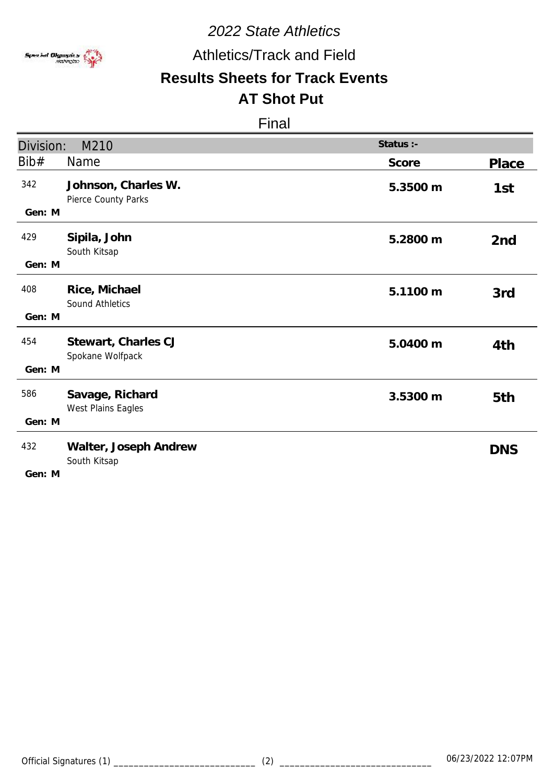

Athletics/Track and Field

### **Results Sheets for Track Events AT Shot Put**

| Division:     | M210                                       | Status :- |                 |
|---------------|--------------------------------------------|-----------|-----------------|
| Bib#          | Name                                       | Score     | Place           |
| 342<br>Gen: M | Johnson, Charles W.<br>Pierce County Parks | 5.3500 m  | 1st             |
| 429<br>Gen: M | Sipila, John<br>South Kitsap               | 5.2800 m  | 2 <sub>nd</sub> |
| 408<br>Gen: M | Rice, Michael<br><b>Sound Athletics</b>    | 5.1100 m  | 3rd             |
|               |                                            |           |                 |
| 454           | Stewart, Charles CJ<br>Spokane Wolfpack    | 5.0400 m  | 4th             |
| Gen: M        |                                            |           |                 |
| 586           | Savage, Richard<br>West Plains Eagles      | 3.5300 m  | 5th             |
| Gen: M        |                                            |           |                 |
| 432<br>Gen: M | Walter, Joseph Andrew<br>South Kitsap      |           | <b>DNS</b>      |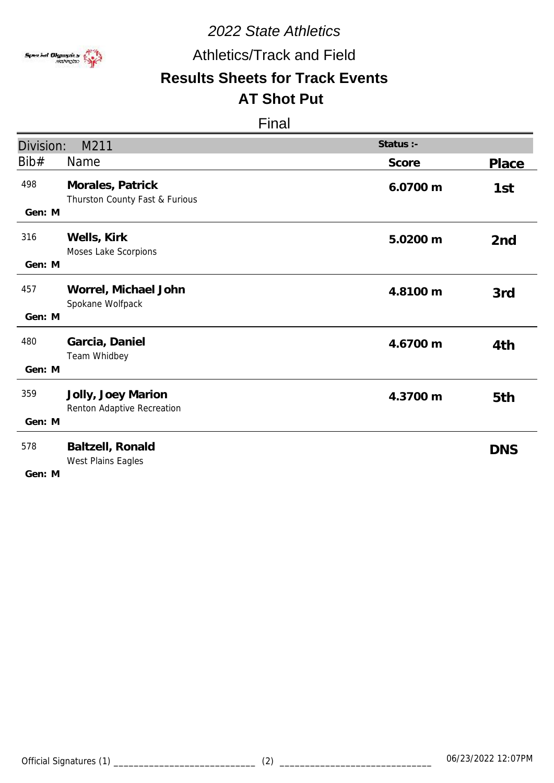

Athletics/Track and Field

### **Results Sheets for Track Events AT Shot Put**

| Division:     | M211                                               | Status :- |                 |
|---------------|----------------------------------------------------|-----------|-----------------|
| Bib#          | Name                                               | Score     | <b>Place</b>    |
| 498<br>Gen: M | Morales, Patrick<br>Thurston County Fast & Furious | 6.0700 m  | 1st             |
| 316<br>Gen: M | Wells, Kirk<br>Moses Lake Scorpions                | 5.0200 m  | 2 <sub>nd</sub> |
| 457<br>Gen: M | Worrel, Michael John<br>Spokane Wolfpack           | 4.8100 m  | 3rd             |
| 480<br>Gen: M | Garcia, Daniel<br>Team Whidbey                     | 4.6700 m  | 4th             |
| 359<br>Gen: M | Jolly, Joey Marion<br>Renton Adaptive Recreation   | 4.3700 m  | 5th             |
| 578<br>Gen: M | Baltzell, Ronald<br>West Plains Eagles             |           | <b>DNS</b>      |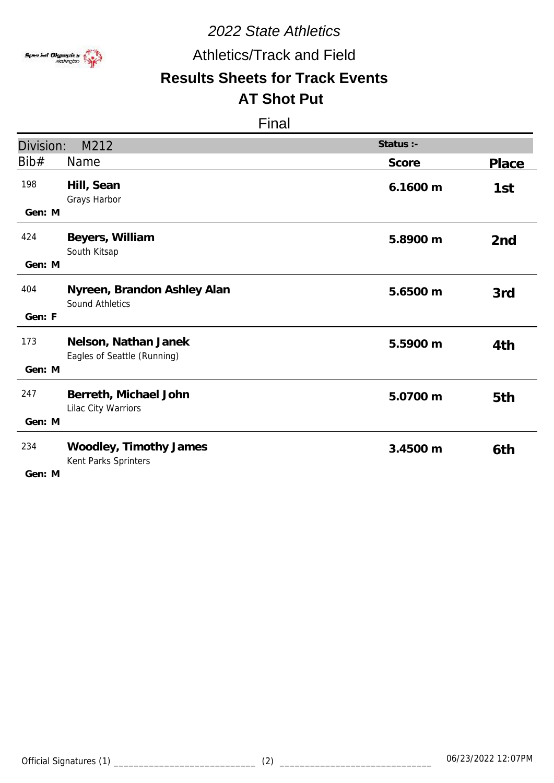

Athletics/Track and Field

### **Results Sheets for Track Events AT Shot Put**

| Division:     | M212                                                  | Status :- |                 |
|---------------|-------------------------------------------------------|-----------|-----------------|
| Bib#          | Name                                                  | Score     | <b>Place</b>    |
| 198<br>Gen: M | Hill, Sean<br>Grays Harbor                            | 6.1600 m  | 1st             |
| 424<br>Gen: M | Beyers, William<br>South Kitsap                       | 5.8900 m  | 2 <sub>nd</sub> |
| 404<br>Gen: F | Nyreen, Brandon Ashley Alan<br><b>Sound Athletics</b> | 5.6500 m  | 3rd             |
| 173<br>Gen: M | Nelson, Nathan Janek<br>Eagles of Seattle (Running)   | 5.5900 m  | 4th             |
| 247<br>Gen: M | Berreth, Michael John<br>Lilac City Warriors          | 5.0700 m  | 5th             |
| 234<br>Gen: M | Woodley, Timothy James<br>Kent Parks Sprinters        | 3.4500 m  | 6th             |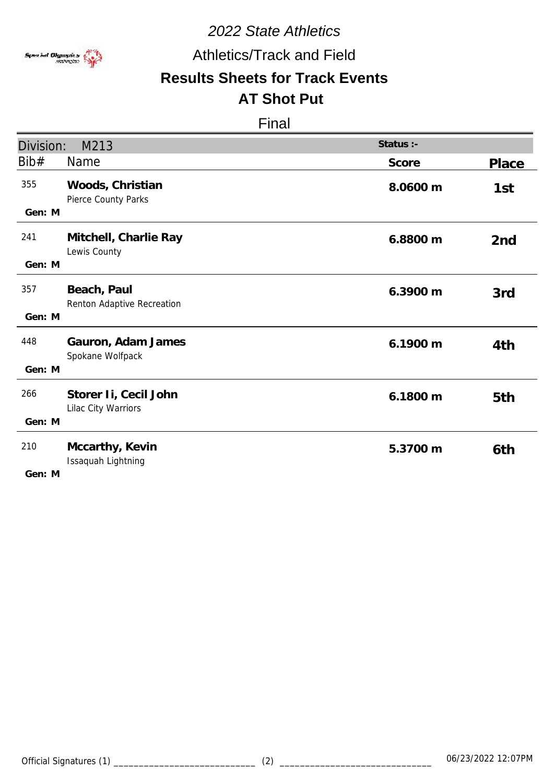

Athletics/Track and Field

### **Results Sheets for Track Events AT Shot Put**

| Division:     | M213                                         | Status :- |                 |
|---------------|----------------------------------------------|-----------|-----------------|
| Bib#          | Name                                         | Score     | Place           |
| 355<br>Gen: M | Woods, Christian<br>Pierce County Parks      | 8.0600 m  | 1st             |
| 241<br>Gen: M | Mitchell, Charlie Ray<br>Lewis County        | 6.8800 m  | 2 <sub>nd</sub> |
| 357<br>Gen: M | Beach, Paul<br>Renton Adaptive Recreation    | 6.3900 m  | 3rd             |
| 448<br>Gen: M | Gauron, Adam James<br>Spokane Wolfpack       | 6.1900 m  | 4th             |
| 266<br>Gen: M | Storer Ii, Cecil John<br>Lilac City Warriors | 6.1800 m  | 5th             |
| 210<br>Gen: M | Mccarthy, Kevin<br>Issaquah Lightning        | 5.3700 m  | 6th             |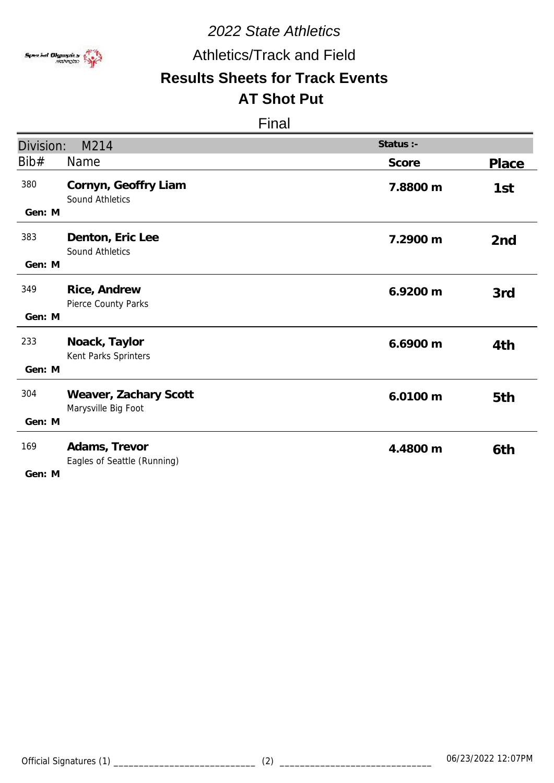

Athletics/Track and Field

### **Results Sheets for Track Events AT Shot Put**

### Final

| Division:               | M214                                         | Status :- |                 |
|-------------------------|----------------------------------------------|-----------|-----------------|
| Bib#                    | Name                                         | Score     | Place           |
| 380<br>Gen: M           | Cornyn, Geoffry Liam<br>Sound Athletics      | 7.8800 m  | 1st             |
| 383<br>Gen: M           | Denton, Eric Lee<br>Sound Athletics          | 7.2900 m  | 2 <sub>nd</sub> |
| 349<br>Gen: M           | Rice, Andrew<br>Pierce County Parks          | 6.9200 m  | 3rd             |
| 233<br>Gen: M           | Noack, Taylor<br>Kent Parks Sprinters        | 6.6900 m  | 4th             |
| 304<br>Gen: M           | Weaver, Zachary Scott<br>Marysville Big Foot | 6.0100 m  | 5th             |
| 169<br>$C_{\Omega}$ . M | Adams, Trevor<br>Eagles of Seattle (Running) | 4.4800 m  | 6th             |

**M Gen:**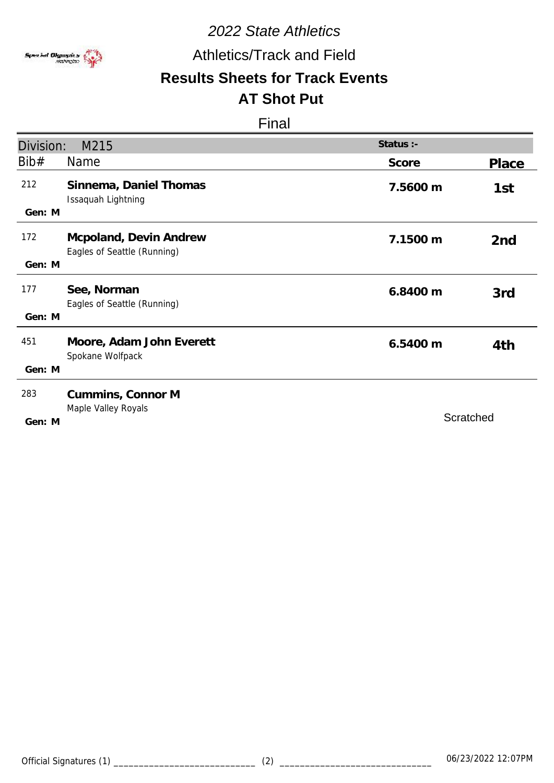

Athletics/Track and Field

### **Results Sheets for Track Events AT Shot Put**

| Division:     | M215                                                  | Status :- |                 |
|---------------|-------------------------------------------------------|-----------|-----------------|
| Bib#          | <b>Name</b>                                           | Score     | Place           |
| 212<br>Gen: M | Sinnema, Daniel Thomas<br>Issaquah Lightning          | 7.5600 m  | 1st             |
| 172<br>Gen: M | Mcpoland, Devin Andrew<br>Eagles of Seattle (Running) | 7.1500 m  | 2 <sub>nd</sub> |
| 177<br>Gen: M | See, Norman<br>Eagles of Seattle (Running)            | 6.8400 m  | 3rd             |
| 451<br>Gen: M | Moore, Adam John Everett<br>Spokane Wolfpack          | 6.5400 m  | 4th             |
| 283<br>Gen: M | Cummins, Connor M<br>Maple Valley Royals              | Scratched |                 |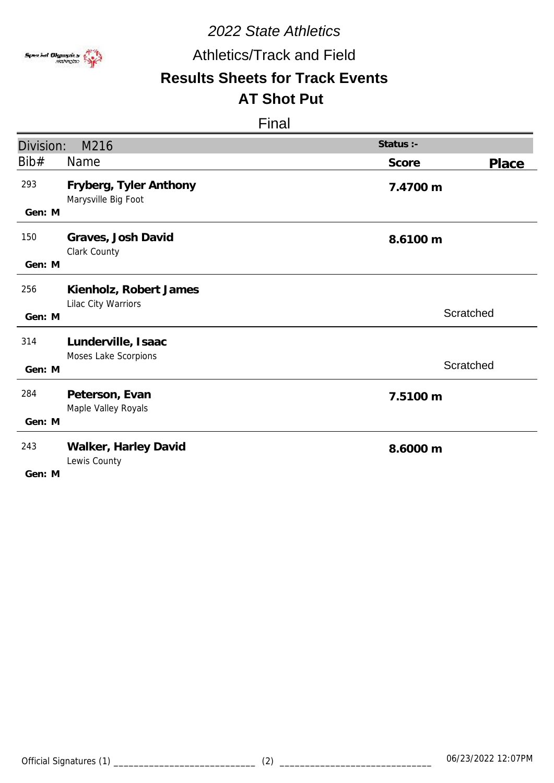

## Athletics/Track and Field

### **Results Sheets for Track Events AT Shot Put**

| Division:     | M216                                          | Status :-      |
|---------------|-----------------------------------------------|----------------|
| Bib#          | Name                                          | Score<br>Place |
| 293<br>Gen: M | Fryberg, Tyler Anthony<br>Marysville Big Foot | 7.4700 m       |
|               |                                               |                |
| 150           | Graves, Josh David<br>Clark County            | 8.6100 m       |
| Gen: M        |                                               |                |
| 256           | Kienholz, Robert James<br>Lilac City Warriors |                |
| Gen: M        |                                               | Scratched      |
| 314           | Lunderville, Isaac                            |                |
| Gen: M        | Moses Lake Scorpions                          | Scratched      |
| 284           | Peterson, Evan                                | 7.5100 m       |
| Gen: M        | Maple Valley Royals                           |                |
| 243           | Walker, Harley David<br>Lewis County          | 8.6000 m       |
| Gen: M        |                                               |                |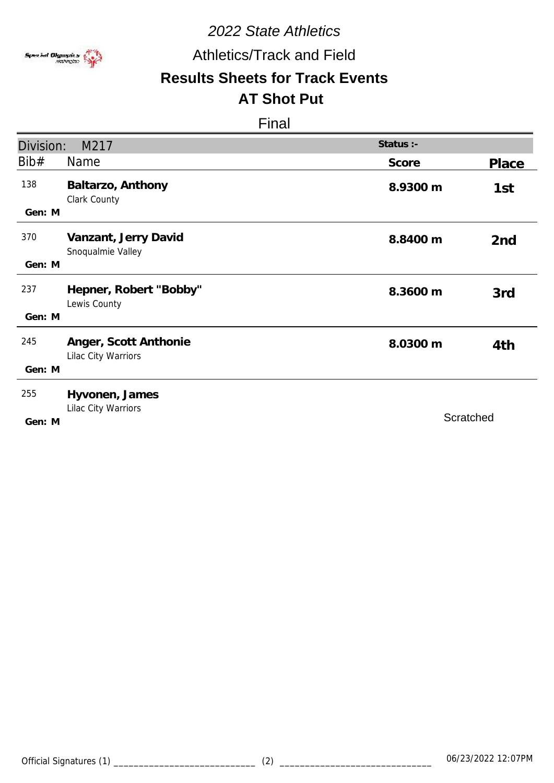

Athletics/Track and Field

# **Results Sheets for Track Events**

# **AT Shot Put**

| Division: | M217                                         | Status :- |                 |
|-----------|----------------------------------------------|-----------|-----------------|
| Bib#      | Name                                         | Score     | Place           |
| 138       | Baltarzo, Anthony<br>Clark County            | 8.9300 m  | 1st             |
| Gen: M    |                                              |           |                 |
| 370       | Vanzant, Jerry David<br>Snoqualmie Valley    | 8.8400 m  | 2 <sub>nd</sub> |
| Gen: M    |                                              |           |                 |
| 237       | Hepner, Robert "Bobby"<br>Lewis County       | 8.3600 m  | 3rd             |
| Gen: M    |                                              |           |                 |
| 245       | Anger, Scott Anthonie<br>Lilac City Warriors | 8.0300 m  | 4th             |
| Gen: M    |                                              |           |                 |
| 255       | Hyvonen, James<br>Lilac City Warriors        |           |                 |
| Gen: M    |                                              | Scratched |                 |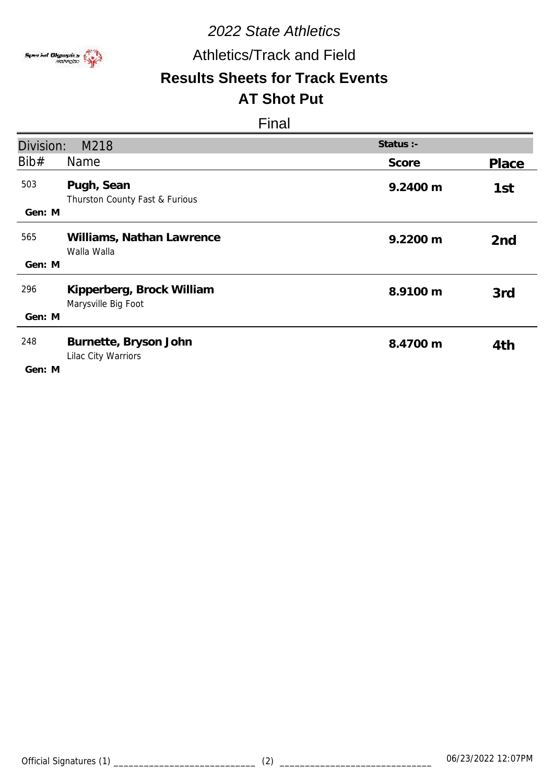

## Athletics/Track and Field

### **Results Sheets for Track Events AT Shot Put**

| Division:     | M218                                             | Status :- |                 |
|---------------|--------------------------------------------------|-----------|-----------------|
| Bib#          | Name                                             | Score     | Place           |
| 503<br>Gen: M | Pugh, Sean<br>Thurston County Fast & Furious     | 9.2400 m  | 1st             |
| 565<br>Gen: M | Williams, Nathan Lawrence<br>Walla Walla         | 9.2200 m  | 2 <sub>nd</sub> |
| 296<br>Gen: M | Kipperberg, Brock William<br>Marysville Big Foot | 8.9100 m  | 3rd             |
| 248<br>Gen: M | Burnette, Bryson John<br>Lilac City Warriors     | 8.4700 m  | 4th             |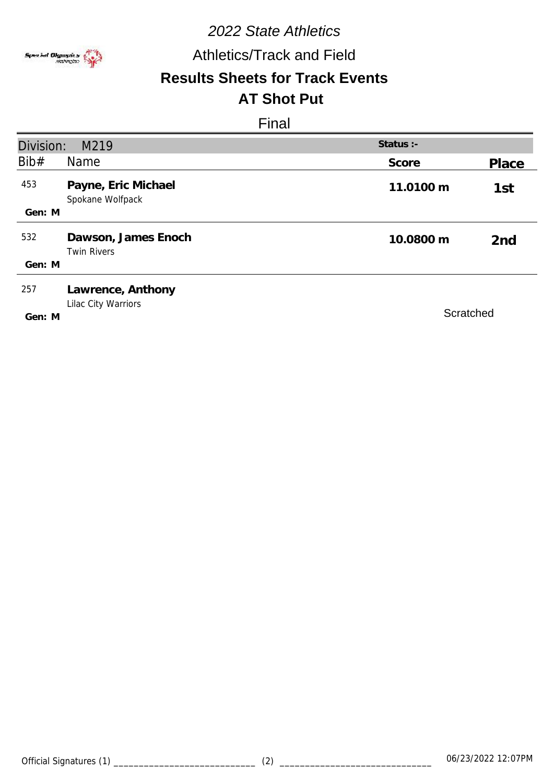

Athletics/Track and Field

# **Results Sheets for Track Events**

# **AT Shot Put**

| Division: | M219                                      | Status :- |                 |
|-----------|-------------------------------------------|-----------|-----------------|
| Bib#      | <b>Name</b>                               | Score     | Place           |
| 453       | Payne, Eric Michael<br>Spokane Wolfpack   | 11.0100 m | 1st             |
| Gen: M    |                                           |           |                 |
| 532       | Dawson, James Enoch<br><b>Twin Rivers</b> | 10.0800 m | 2 <sub>nd</sub> |
| Gen: M    |                                           |           |                 |
| 257       | Lawrence, Anthony<br>Lilac City Warriors  |           |                 |
| Gen: M    |                                           | Scratched |                 |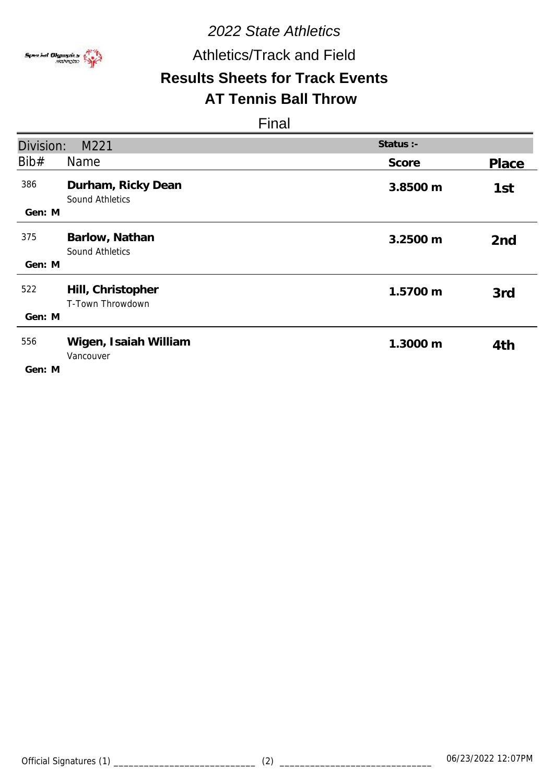

Athletics/Track and Field

# **Results Sheets for Track Events**

### **AT Tennis Ball Throw**

| Division:     | M221                                         | Status :- |                 |
|---------------|----------------------------------------------|-----------|-----------------|
| Bib#          | Name                                         | Score     | Place           |
| 386<br>Gen: M | Durham, Ricky Dean<br><b>Sound Athletics</b> | 3.8500 m  | 1st             |
| 375           | Barlow, Nathan<br><b>Sound Athletics</b>     | 3.2500 m  | 2 <sub>nd</sub> |
| Gen: M        |                                              |           |                 |
| 522           | Hill, Christopher<br>T-Town Throwdown        | 1.5700 m  | 3rd             |
| Gen: M        |                                              |           |                 |
| 556           | Wigen, Isaiah William<br>Vancouver           | 1.3000 m  | 4th             |
| Gen: M        |                                              |           |                 |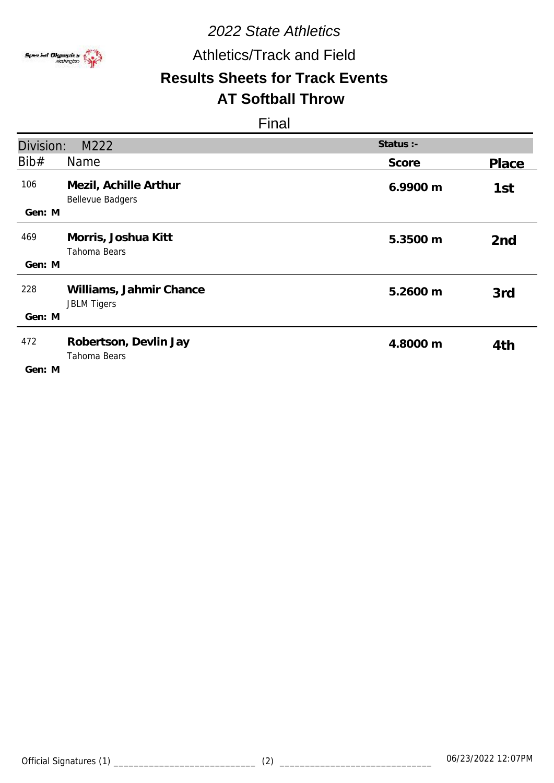

## Athletics/Track and Field

# **Results Sheets for Track Events**

# **AT Softball Throw**

| Division:     | M222                                             | Status :- |                 |
|---------------|--------------------------------------------------|-----------|-----------------|
| Bib#          | Name                                             | Score     | Place           |
| 106<br>Gen: M | Mezil, Achille Arthur<br><b>Bellevue Badgers</b> | 6.9900 m  | 1st             |
| 469<br>Gen: M | Morris, Joshua Kitt<br>Tahoma Bears              | 5.3500 m  | 2 <sub>nd</sub> |
|               |                                                  |           |                 |
| 228           | Williams, Jahmir Chance<br><b>JBLM Tigers</b>    | 5.2600 m  | 3rd             |
| Gen: M        |                                                  |           |                 |
| 472<br>Gen: M | Robertson, Devlin Jay<br>Tahoma Bears            | 4.8000 m  | 4th             |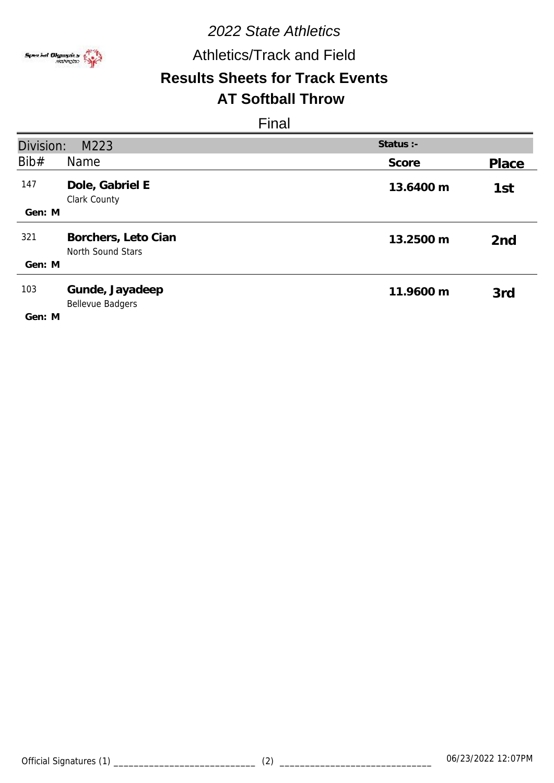

Athletics/Track and Field

# **Results Sheets for Track Events**

## **AT Softball Throw**

| Division:<br>Status :-<br>M223 |                                            |           |                 |
|--------------------------------|--------------------------------------------|-----------|-----------------|
| Bib#                           | Name                                       | Score     | Place           |
| 147                            | Dole, Gabriel E<br>Clark County            | 13.6400 m | 1st             |
| Gen: M                         |                                            |           |                 |
| 321                            | Borchers, Leto Cian<br>North Sound Stars   | 13.2500 m | 2 <sub>nd</sub> |
| Gen: M                         |                                            |           |                 |
| 103                            | Gunde, Jayadeep<br><b>Bellevue Badgers</b> | 11.9600 m | 3rd             |
| Gen: M                         |                                            |           |                 |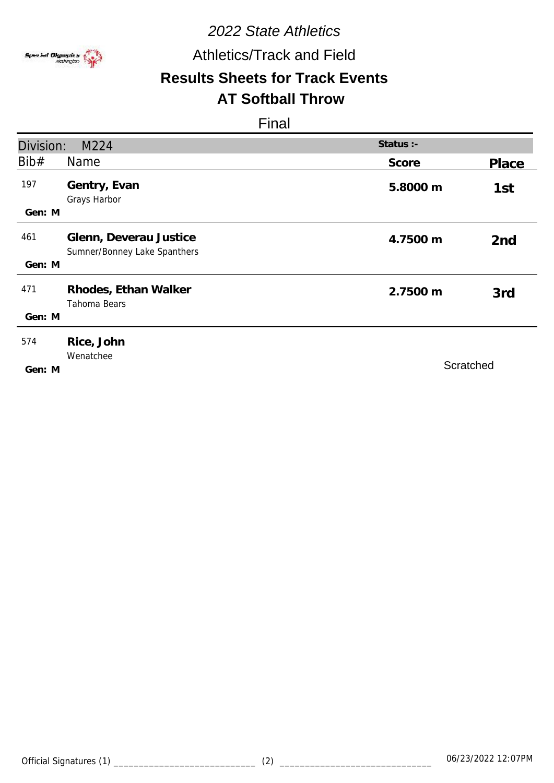

Athletics/Track and Field

# **Results Sheets for Track Events**

## **AT Softball Throw**

| Division:     | M224                                                   | Status :- |                 |
|---------------|--------------------------------------------------------|-----------|-----------------|
| Bib#          | Name                                                   | Score     | Place           |
| 197<br>Gen: M | Gentry, Evan<br>Grays Harbor                           | 5.8000 m  | 1st             |
| 461           | Glenn, Deverau Justice<br>Sumner/Bonney Lake Spanthers | 4.7500 m  | 2 <sub>nd</sub> |
| Gen: M        |                                                        |           |                 |
| 471           | Rhodes, Ethan Walker<br>Tahoma Bears                   | 2.7500 m  | 3rd             |
| Gen: M        |                                                        |           |                 |
| 574<br>Gen: M | Rice, John<br>Wenatchee                                |           | Scratched       |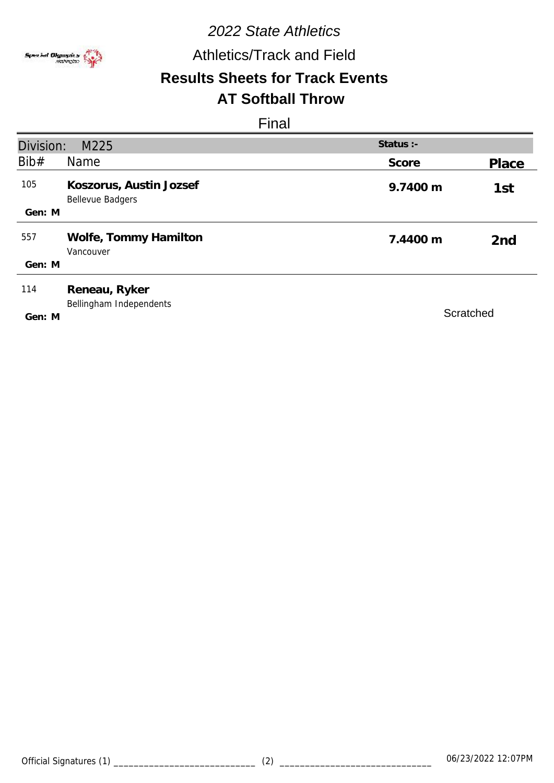

## Athletics/Track and Field

# **Results Sheets for Track Events**

# **AT Softball Throw**

| Division: | M225                                               | Status :- |                 |
|-----------|----------------------------------------------------|-----------|-----------------|
| Bib#      | <b>Name</b>                                        | Score     | Place           |
| 105       | Koszorus, Austin Jozsef<br><b>Bellevue Badgers</b> | 9.7400 m  | 1st             |
| Gen: M    |                                                    |           |                 |
| 557       | Wolfe, Tommy Hamilton<br>Vancouver                 | 7.4400 m  | 2 <sub>nd</sub> |
| Gen: M    |                                                    |           |                 |
| 114       | Reneau, Ryker<br>Bellingham Independents           |           |                 |
| Gen: M    |                                                    | Scratched |                 |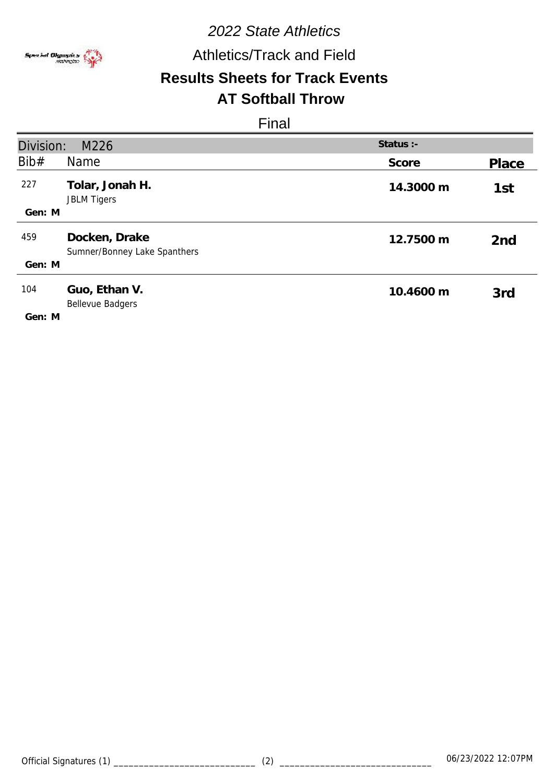

Athletics/Track and Field

### **Results Sheets for Track Events AT Softball Throw**

| Division:<br>Status :-<br>M226 |                                               |           |                 |
|--------------------------------|-----------------------------------------------|-----------|-----------------|
| Bib#                           | <b>Name</b>                                   | Score     | Place           |
| 227                            | Tolar, Jonah H.<br><b>JBLM Tigers</b>         | 14.3000 m | 1st             |
| Gen: M                         |                                               |           |                 |
| 459                            | Docken, Drake<br>Sumner/Bonney Lake Spanthers | 12.7500 m | 2 <sub>nd</sub> |
| Gen: M                         |                                               |           |                 |
| 104                            | Guo, Ethan V.<br>Bellevue Badgers             | 10.4600 m | 3rd             |
| Gen: M                         |                                               |           |                 |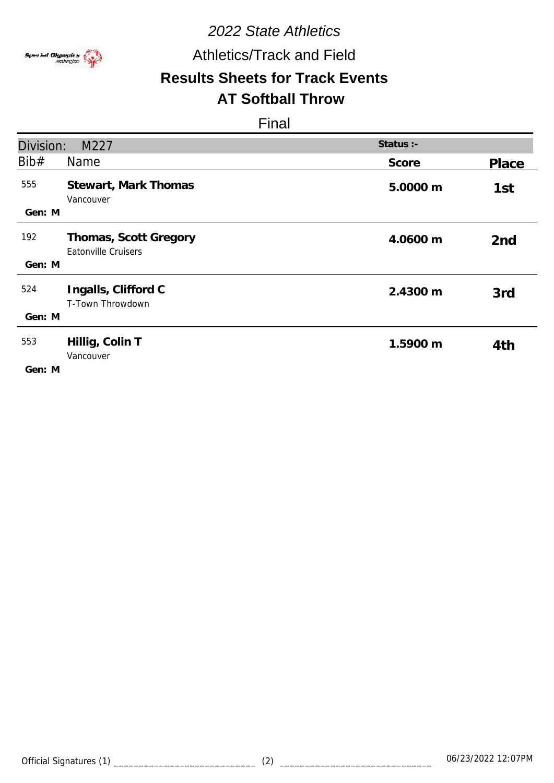

## Athletics/Track and Field

### **Results Sheets for Track Events AT Softball Throw**

| Division:     | M227                                                | Status :- |                 |
|---------------|-----------------------------------------------------|-----------|-----------------|
|               |                                                     |           |                 |
| Bib#          | Name                                                | Score     | Place           |
| 555           | Stewart, Mark Thomas<br>Vancouver                   | 5.0000 m  | 1st             |
| Gen: M        |                                                     |           |                 |
| 192           | Thomas, Scott Gregory<br><b>Eatonville Cruisers</b> | 4.0600 m  | 2 <sub>nd</sub> |
| Gen: M        |                                                     |           |                 |
| 524           | Ingalls, Clifford C<br>T-Town Throwdown             | 2.4300 m  | 3rd             |
| Gen: M        |                                                     |           |                 |
| 553<br>Gen: M | Hillig, Colin T<br>Vancouver                        | 1.5900 m  | 4th             |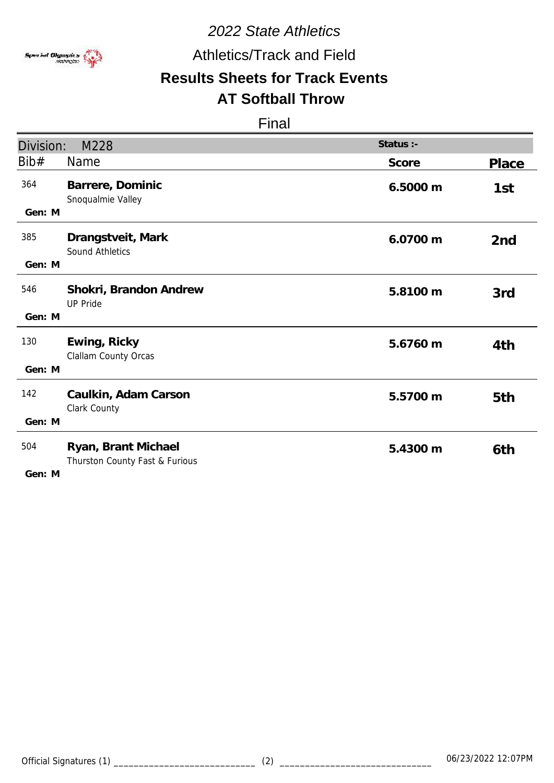

Athletics/Track and Field

# **Results Sheets for Track Events**

## **AT Softball Throw**

| Division:     | M228                                                  | Status :- |                 |
|---------------|-------------------------------------------------------|-----------|-----------------|
| Bib#          | <b>Name</b>                                           | Score     | Place           |
| 364<br>Gen: M | Barrere, Dominic<br>Snoqualmie Valley                 | 6.5000 m  | 1st             |
|               |                                                       |           |                 |
| 385           | Drangstveit, Mark<br>Sound Athletics                  | 6.0700 m  | 2 <sub>nd</sub> |
| Gen: M        |                                                       |           |                 |
| 546           | Shokri, Brandon Andrew<br><b>UP Pride</b>             | 5.8100 m  | 3rd             |
| Gen: M        |                                                       |           |                 |
| 130           | Ewing, Ricky<br>Clallam County Orcas                  | 5.6760 m  | 4th             |
| Gen: M        |                                                       |           |                 |
| 142           | Caulkin, Adam Carson<br>Clark County                  | 5.5700 m  | 5th             |
| Gen: M        |                                                       |           |                 |
| 504<br>Gen: M | Ryan, Brant Michael<br>Thurston County Fast & Furious | 5.4300 m  | 6th             |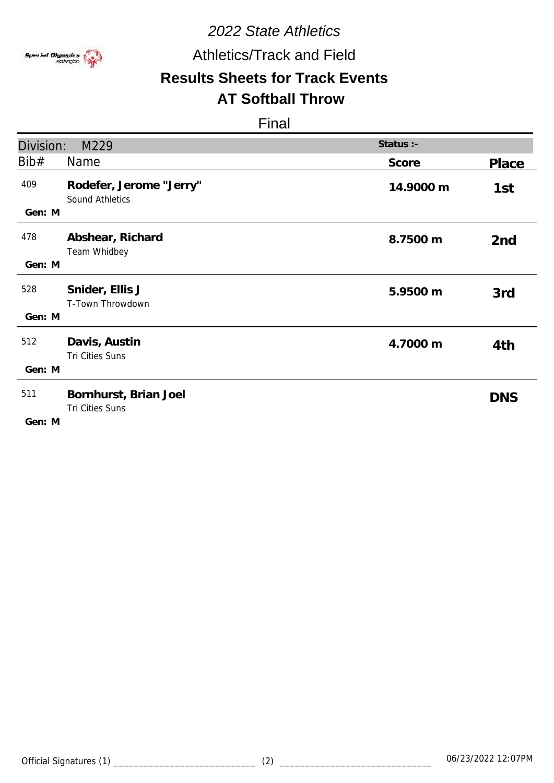

## Athletics/Track and Field

# **Results Sheets for Track Events**

## **AT Softball Throw**

| Division:     | M229                                       | Status :- |                 |
|---------------|--------------------------------------------|-----------|-----------------|
| Bib#          | Name                                       | Score     | Place           |
| 409<br>Gen: M | Rodefer, Jerome "Jerry"<br>Sound Athletics | 14.9000 m | 1st             |
| 478<br>Gen: M | Abshear, Richard<br>Team Whidbey           | 8.7500 m  | 2 <sub>nd</sub> |
| 528<br>Gen: M | Snider, Ellis J<br>T-Town Throwdown        | 5.9500 m  | 3rd             |
| 512<br>Gen: M | Davis, Austin<br>Tri Cities Suns           | 4.7000 m  | 4th             |
| 511<br>Gen: M | Bornhurst, Brian Joel<br>Tri Cities Suns   |           | <b>DNS</b>      |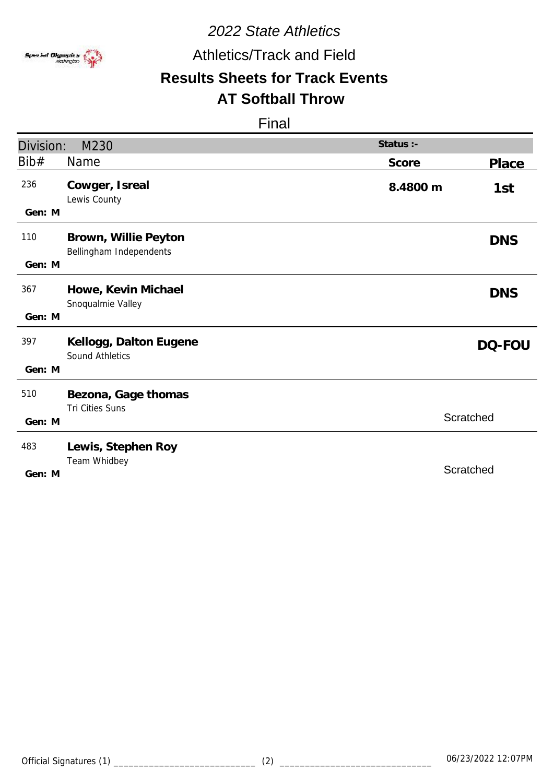

Athletics/Track and Field

# **Results Sheets for Track Events**

### **AT Softball Throw**

| Division:     | M230                                             | Status :-       |
|---------------|--------------------------------------------------|-----------------|
| Bib#          | Name                                             | Score<br>Place  |
| 236<br>Gen: M | Cowger, Isreal<br>Lewis County                   | 8.4800 m<br>1st |
|               |                                                  |                 |
| 110           | Brown, Willie Peyton<br>Bellingham Independents  | <b>DNS</b>      |
| Gen: M        |                                                  |                 |
| 367<br>Gen: M | Howe, Kevin Michael<br>Snoqualmie Valley         | <b>DNS</b>      |
|               |                                                  |                 |
| 397           | Kellogg, Dalton Eugene<br><b>Sound Athletics</b> | DQ-FOU          |
| Gen: M        |                                                  |                 |
| 510           | Bezona, Gage thomas<br>Tri Cities Suns           |                 |
| Gen: M        |                                                  | Scratched       |
| 483           | Lewis, Stephen Roy                               |                 |
|               | Team Whidbey                                     |                 |
| Gen: M        |                                                  | Scratched       |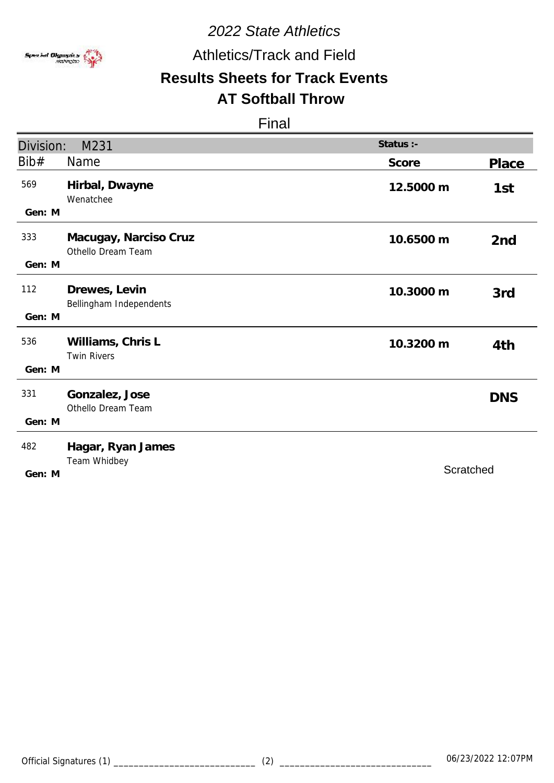

Athletics/Track and Field

# **Results Sheets for Track Events**

## **AT Softball Throw**

| Division: | M231                                        | Status :- |                 |
|-----------|---------------------------------------------|-----------|-----------------|
| Bib#      | Name                                        | Score     | Place           |
| 569       | Hirbal, Dwayne<br>Wenatchee                 | 12.5000 m | 1st             |
| Gen: M    |                                             |           |                 |
| 333       | Macugay, Narciso Cruz<br>Othello Dream Team | 10.6500 m | 2 <sub>nd</sub> |
| Gen: M    |                                             |           |                 |
| 112       | Drewes, Levin<br>Bellingham Independents    | 10.3000 m | 3rd             |
| Gen: M    |                                             |           |                 |
| 536       | Williams, Chris L<br><b>Twin Rivers</b>     | 10.3200 m | 4th             |
| Gen: M    |                                             |           |                 |
| 331       | Gonzalez, Jose<br>Othello Dream Team        |           | <b>DNS</b>      |
| Gen: M    |                                             |           |                 |
| 482       | Hagar, Ryan James<br>Team Whidbey           |           |                 |
| Gen: M    |                                             | Scratched |                 |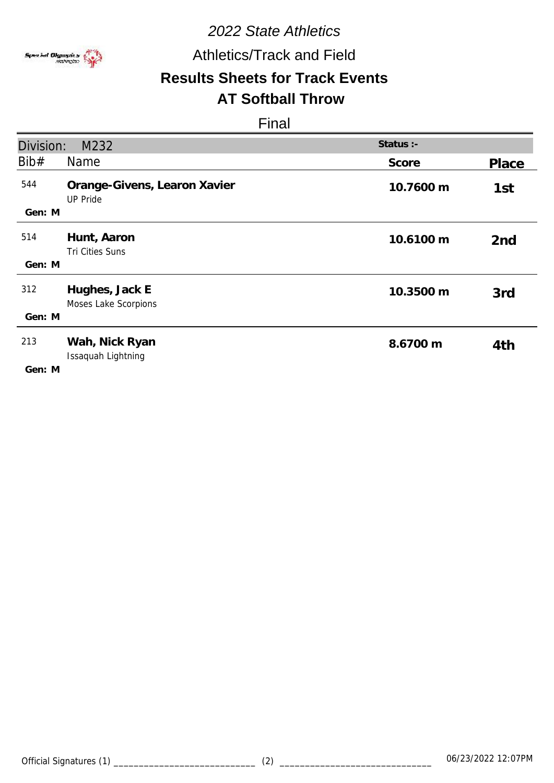

## Athletics/Track and Field

### **Results Sheets for Track Events AT Softball Throw**

| Division:     | M232                                            | Status :- |                 |
|---------------|-------------------------------------------------|-----------|-----------------|
| Bib#          | Name                                            | Score     | Place           |
| 544<br>Gen: M | Orange-Givens, Learon Xavier<br><b>UP Pride</b> | 10.7600 m | 1st             |
| 514<br>Gen: M | Hunt, Aaron<br>Tri Cities Suns                  | 10.6100 m | 2 <sub>nd</sub> |
| 312<br>Gen: M | Hughes, Jack E<br>Moses Lake Scorpions          | 10.3500 m | 3rd             |
| 213<br>Gen: M | Wah, Nick Ryan<br>Issaquah Lightning            | 8.6700 m  | 4th             |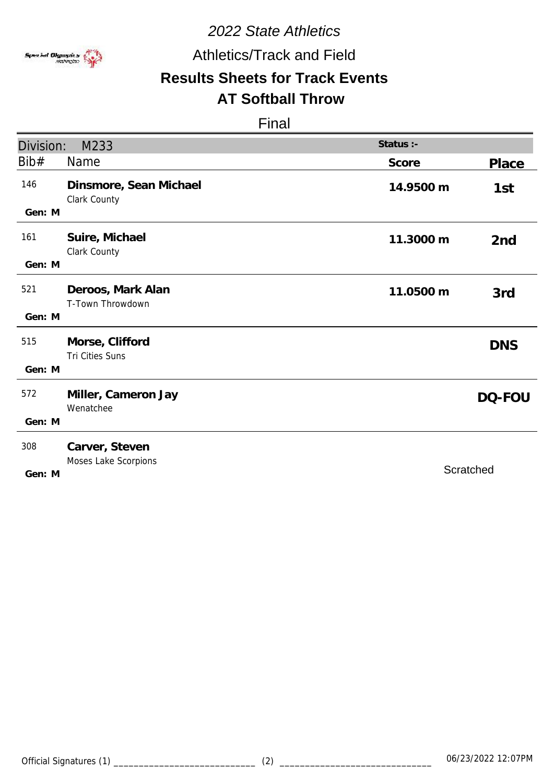

## Athletics/Track and Field

# **Results Sheets for Track Events**

## **AT Softball Throw**

| Division:     | M233                                   | Status :- |                 |
|---------------|----------------------------------------|-----------|-----------------|
| Bib#          | Name                                   | Score     | Place           |
| 146<br>Gen: M | Dinsmore, Sean Michael<br>Clark County | 14.9500 m | 1st             |
|               |                                        |           |                 |
| 161           | Suire, Michael<br>Clark County         | 11.3000 m | 2 <sub>nd</sub> |
| Gen: M        |                                        |           |                 |
| 521           | Deroos, Mark Alan<br>T-Town Throwdown  | 11.0500 m | 3rd             |
| Gen: M        |                                        |           |                 |
| 515           | Morse, Clifford<br>Tri Cities Suns     |           | <b>DNS</b>      |
| Gen: M        |                                        |           |                 |
| 572           | Miller, Cameron Jay<br>Wenatchee       |           | DQ-FOU          |
| Gen: M        |                                        |           |                 |
| 308           | Carver, Steven<br>Moses Lake Scorpions | Scratched |                 |
| Gen: M        |                                        |           |                 |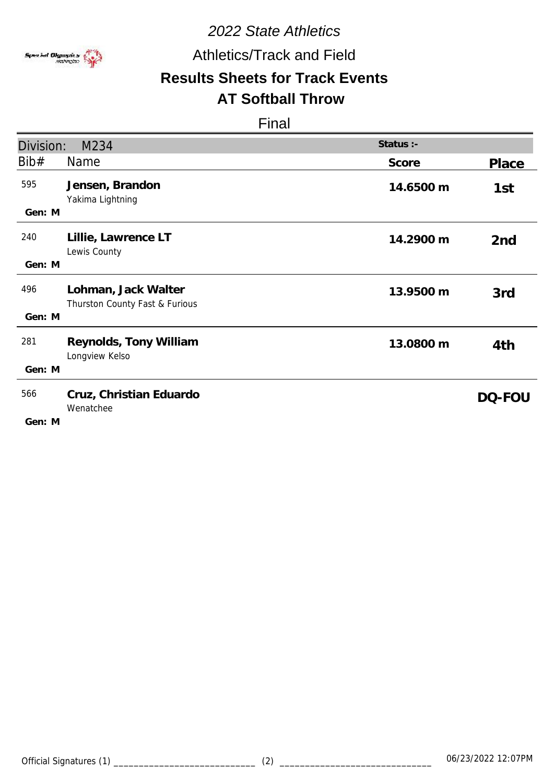

Athletics/Track and Field

# **Results Sheets for Track Events**

# **AT Softball Throw**

| Division:     | M234                                                  | Status :- |                 |
|---------------|-------------------------------------------------------|-----------|-----------------|
| Bib#          | Name                                                  | Score     | <b>Place</b>    |
| 595<br>Gen: M | Jensen, Brandon<br>Yakima Lightning                   | 14.6500 m | 1st             |
| 240<br>Gen: M | Lillie, Lawrence LT<br>Lewis County                   | 14.2900 m | 2 <sub>nd</sub> |
| 496<br>Gen: M | Lohman, Jack Walter<br>Thurston County Fast & Furious | 13.9500 m | 3rd             |
| 281<br>Gen: M | Reynolds, Tony William<br>Longview Kelso              | 13.0800 m | 4th             |
| 566<br>Gen: M | Cruz, Christian Eduardo<br>Wenatchee                  |           | DQ-FOU          |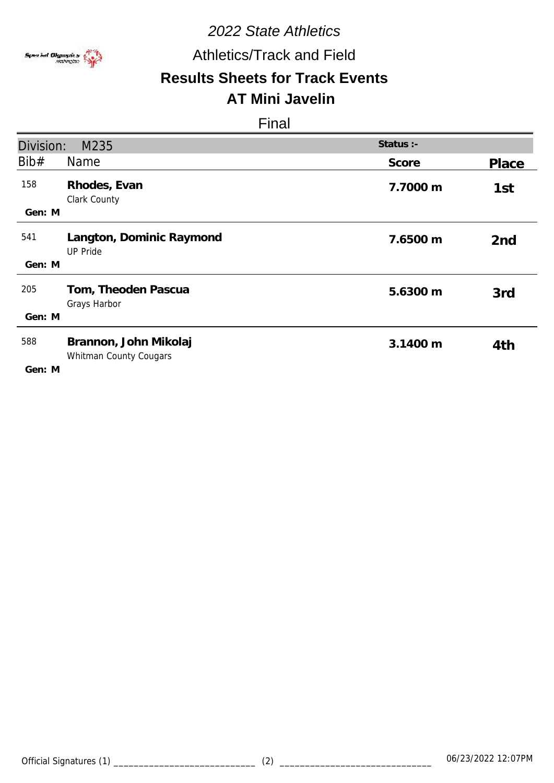

# Athletics/Track and Field

### **Results Sheets for Track Events AT Mini Javelin**

| Division: | M235                                            | Status :- |                 |
|-----------|-------------------------------------------------|-----------|-----------------|
| Bib#      | Name                                            | Score     | Place           |
| 158       | Rhodes, Evan<br>Clark County                    | 7.7000 m  | 1st             |
| Gen: M    |                                                 |           |                 |
| 541       | Langton, Dominic Raymond<br><b>UP Pride</b>     | 7.6500 m  | 2 <sub>nd</sub> |
| Gen: M    |                                                 |           |                 |
| 205       | Tom, Theoden Pascua<br>Grays Harbor             | 5.6300 m  | 3rd             |
| Gen: M    |                                                 |           |                 |
| 588       | Brannon, John Mikolaj<br>Whitman County Cougars | 3.1400 m  | 4th             |
| Gen: M    |                                                 |           |                 |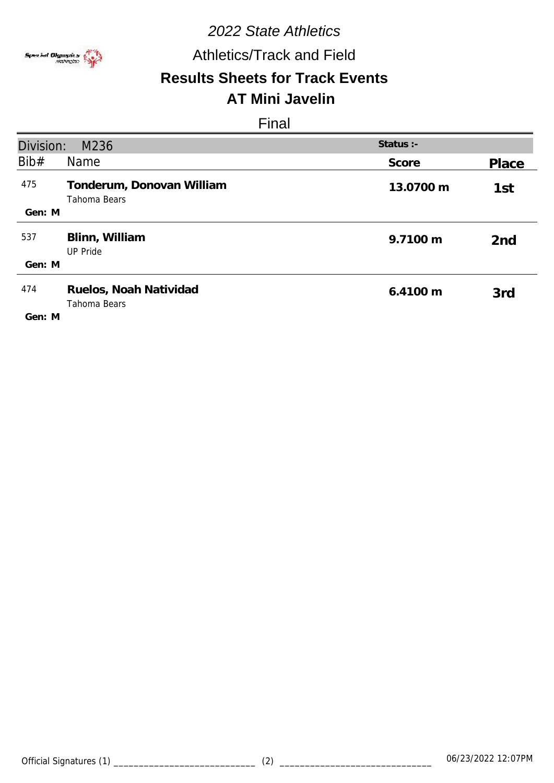

# Athletics/Track and Field

### **Results Sheets for Track Events AT Mini Javelin**

| Division: | M236                                      | Status $:$ - |                 |
|-----------|-------------------------------------------|--------------|-----------------|
| Bib#      | <b>Name</b>                               | Score        | Place           |
| 475       | Tonderum, Donovan William<br>Tahoma Bears | 13.0700 m    | 1st             |
| Gen: M    |                                           |              |                 |
| 537       | Blinn, William<br><b>UP Pride</b>         | 9.7100 m     | 2 <sub>nd</sub> |
| Gen: M    |                                           |              |                 |
| 474       | Ruelos, Noah Natividad<br>Tahoma Bears    | 6.4100 m     | 3rd             |
| Gen: M    |                                           |              |                 |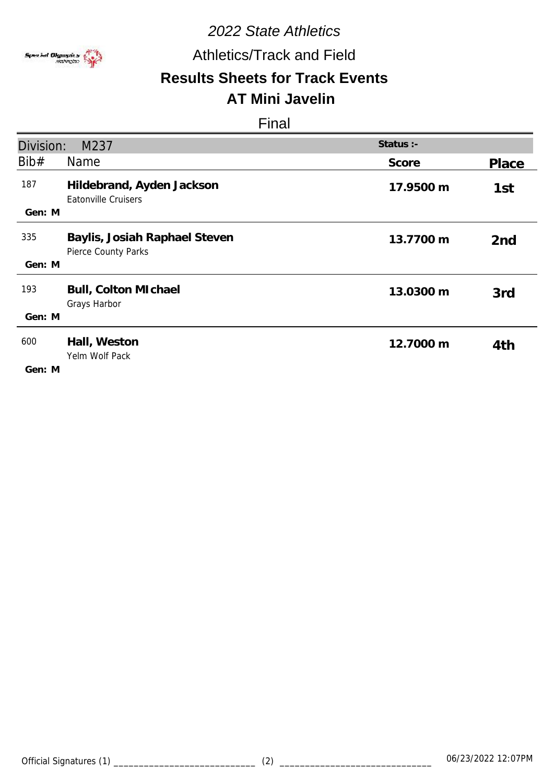

# Athletics/Track and Field

# **Results Sheets for Track Events AT Mini Javelin**

| Division:     | M237                                                    | Status :- |                 |
|---------------|---------------------------------------------------------|-----------|-----------------|
| Bib#          | Name                                                    | Score     | Place           |
| 187<br>Gen: M | Hildebrand, Ayden Jackson<br><b>Eatonville Cruisers</b> | 17.9500 m | 1st             |
|               |                                                         |           |                 |
| 335           | Baylis, Josiah Raphael Steven<br>Pierce County Parks    | 13.7700 m | 2 <sub>nd</sub> |
| Gen: M        |                                                         |           |                 |
| 193           | Bull, Colton MIchael<br>Grays Harbor                    | 13.0300 m | 3rd             |
| Gen: M        |                                                         |           |                 |
| 600<br>Gen: M | Hall, Weston<br>Yelm Wolf Pack                          | 12.7000 m | 4th             |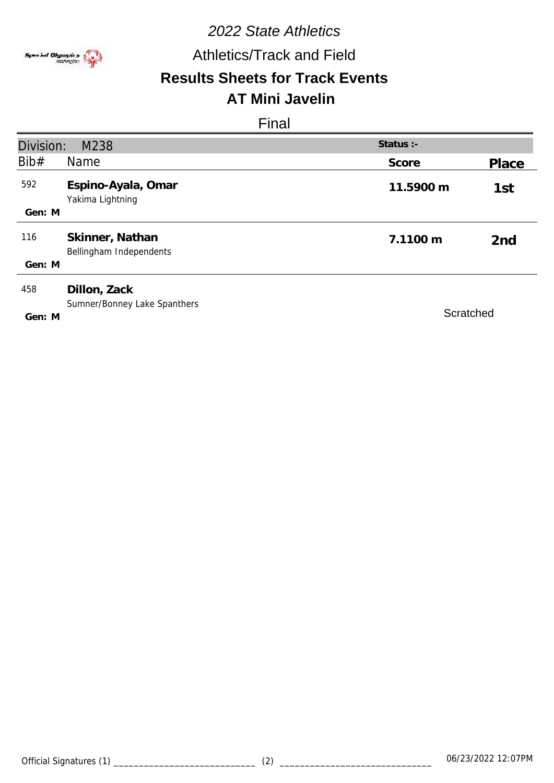

# Athletics/Track and Field

# **Results Sheets for Track Events**

# **AT Mini Javelin**

| Division: | M238                                         | Status :- |                 |
|-----------|----------------------------------------------|-----------|-----------------|
| Bib#      | <b>Name</b>                                  | Score     | Place           |
| 592       | Espino-Ayala, Omar<br>Yakima Lightning       | 11.5900 m | 1st             |
| Gen: M    |                                              |           |                 |
| 116       | Skinner, Nathan<br>Bellingham Independents   | 7.1100 m  | 2 <sub>nd</sub> |
| Gen: M    |                                              |           |                 |
| 458       | Dillon, Zack<br>Sumner/Bonney Lake Spanthers |           |                 |
| Gen: M    |                                              | Scratched |                 |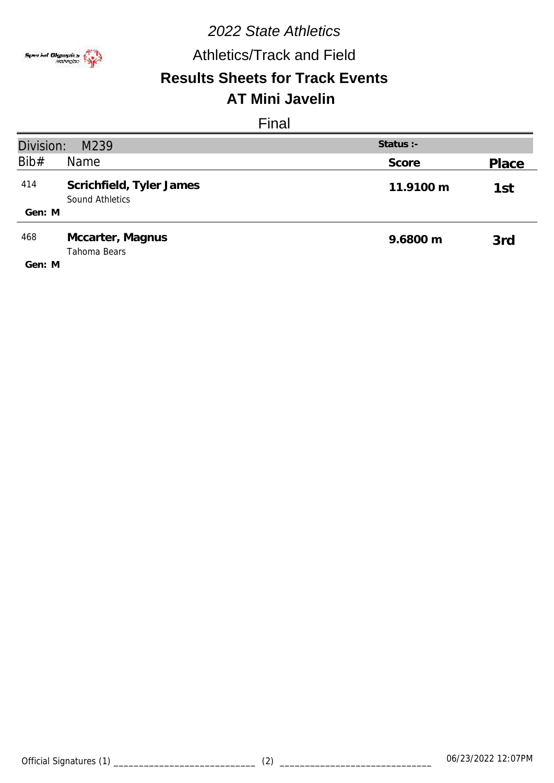

# Athletics/Track and Field

# **Results Sheets for Track Events**

# **AT Mini Javelin**

| Division:<br>Status $:$ -<br>M239 |                                             |           |       |
|-----------------------------------|---------------------------------------------|-----------|-------|
| Bib#                              | <b>Name</b>                                 | Score     | Place |
| 414                               | Scrichfield, Tyler James<br>Sound Athletics | 11.9100 m | 1st   |
| Gen: M                            |                                             |           |       |
| 468                               | Mccarter, Magnus<br>Tahoma Bears            | 9.6800 m  | 3rd   |
| Gen: M                            |                                             |           |       |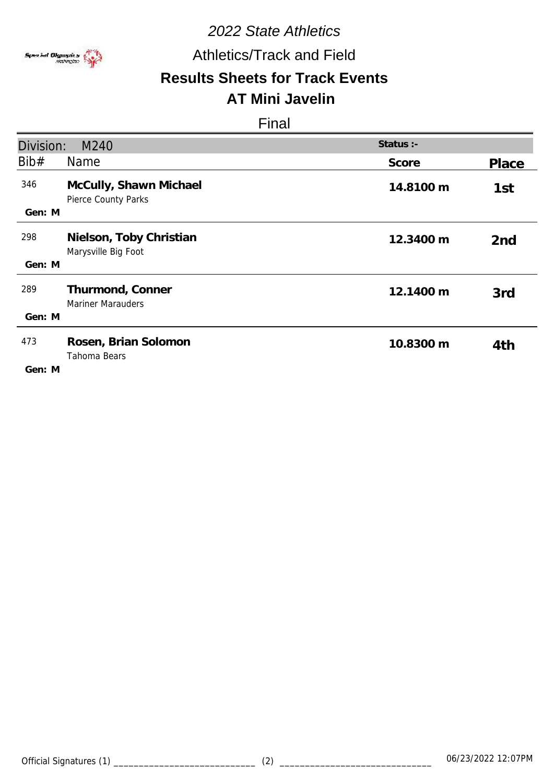

# Athletics/Track and Field

### **Results Sheets for Track Events AT Mini Javelin**

| Division:     | M240                                           | Status :- |                 |
|---------------|------------------------------------------------|-----------|-----------------|
| Bib#          | Name                                           | Score     | Place           |
| 346<br>Gen: M | McCully, Shawn Michael<br>Pierce County Parks  | 14.8100 m | 1st             |
| 298<br>Gen: M | Nielson, Toby Christian<br>Marysville Big Foot | 12.3400 m | 2 <sub>nd</sub> |
| 289<br>Gen: M | Thurmond, Conner<br><b>Mariner Marauders</b>   | 12.1400 m | 3rd             |
| 473<br>Gen: M | Rosen, Brian Solomon<br>Tahoma Bears           | 10.8300 m | 4th             |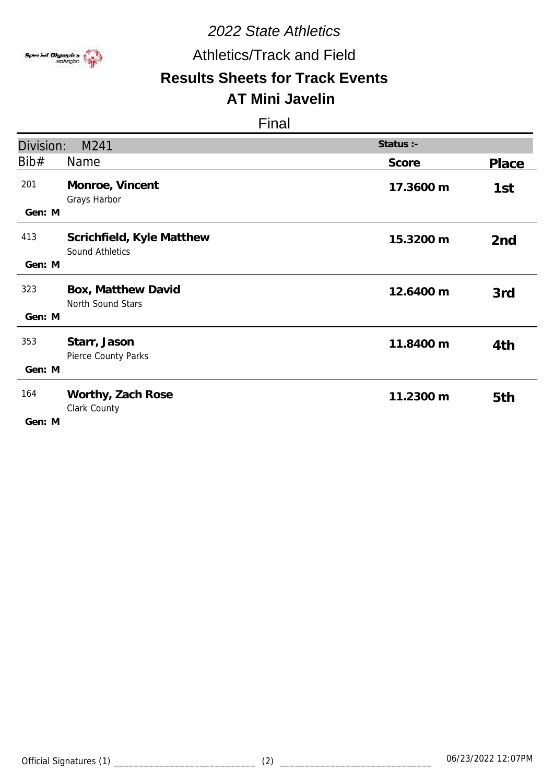

# Athletics/Track and Field

### **Results Sheets for Track Events AT Mini Javelin**

| Division:     | M241                                         | Status :- |                 |
|---------------|----------------------------------------------|-----------|-----------------|
| Bib#          | <b>Name</b>                                  | Score     | Place           |
| 201<br>Gen: M | Monroe, Vincent<br>Grays Harbor              | 17.3600 m | 1st             |
| 413<br>Gen: M | Scrichfield, Kyle Matthew<br>Sound Athletics | 15.3200 m | 2 <sub>nd</sub> |
| 323<br>Gen: M | Box, Matthew David<br>North Sound Stars      | 12.6400 m | 3rd             |
| 353<br>Gen: M | Starr, Jason<br>Pierce County Parks          | 11.8400 m | 4th             |
| 164<br>Gen: M | Worthy, Zach Rose<br>Clark County            | 11.2300 m | 5th             |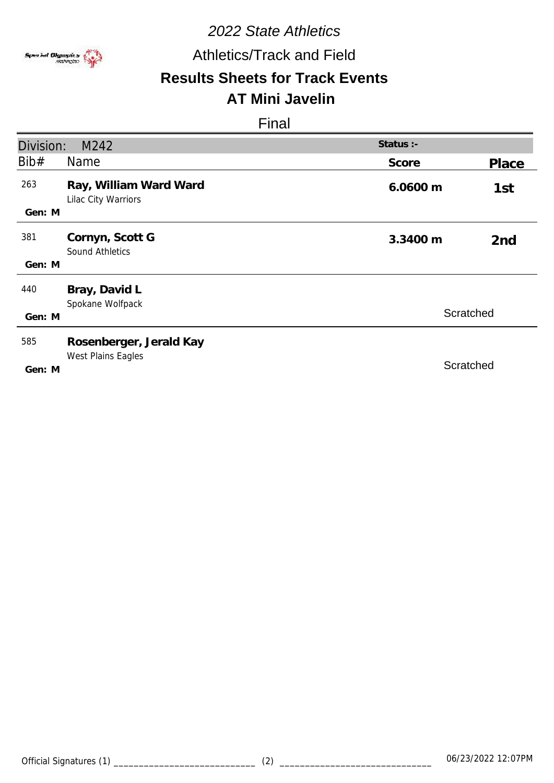

# Athletics/Track and Field

# **Results Sheets for Track Events**

# **AT Mini Javelin**

| Division: | M242                                          | Status :- |                 |
|-----------|-----------------------------------------------|-----------|-----------------|
| Bib#      | <b>Name</b>                                   | Score     | Place           |
| 263       | Ray, William Ward Ward<br>Lilac City Warriors | 6.0600 m  | 1st             |
| Gen: M    |                                               |           |                 |
| 381       | Cornyn, Scott G<br><b>Sound Athletics</b>     | 3.3400 m  | 2 <sub>nd</sub> |
| Gen: M    |                                               |           |                 |
| 440       | Bray, David L<br>Spokane Wolfpack             |           |                 |
| Gen: M    |                                               |           | Scratched       |
| 585       | Rosenberger, Jerald Kay                       |           |                 |
| Gen: M    | West Plains Eagles                            |           | Scratched       |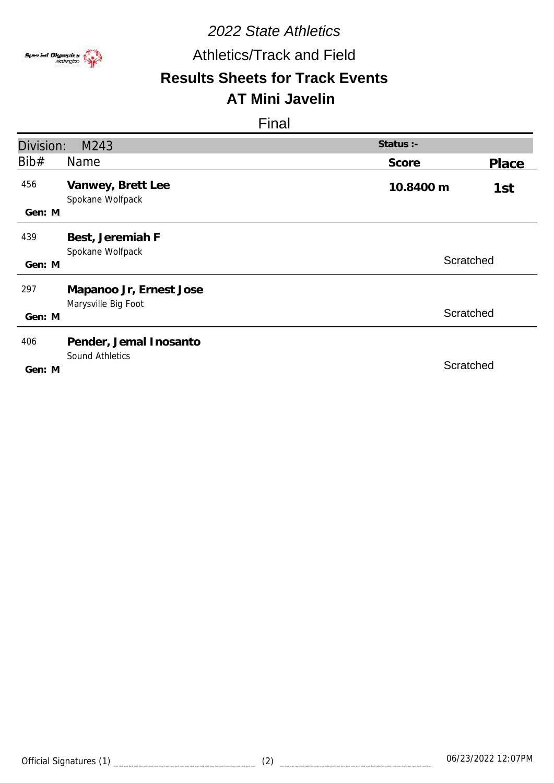

# Athletics/Track and Field

# **Results Sheets for Track Events**

## **AT Mini Javelin**

| Division: | M243                                  | Status :- |       |
|-----------|---------------------------------------|-----------|-------|
| Bib#      | Name                                  | Score     | Place |
| 456       | Vanwey, Brett Lee<br>Spokane Wolfpack | 10.8400 m | 1st   |
| Gen: M    |                                       |           |       |
| 439       | Best, Jeremiah F<br>Spokane Wolfpack  |           |       |
| Gen: M    |                                       | Scratched |       |
| 297       | Mapanoo Jr, Ernest Jose               |           |       |
| Gen: M    | Marysville Big Foot                   | Scratched |       |
| 406       | Pender, Jemal Inosanto                |           |       |
| Gen: M    | <b>Sound Athletics</b>                | Scratched |       |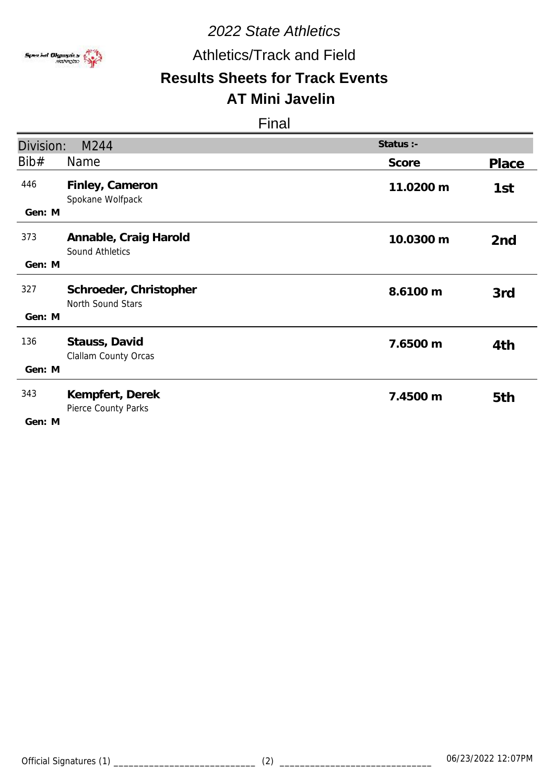

# Athletics/Track and Field

### **Results Sheets for Track Events AT Mini Javelin**

| Division:     | M244                                        | Status :- |                 |
|---------------|---------------------------------------------|-----------|-----------------|
| Bib#          | Name                                        | Score     | <b>Place</b>    |
| 446<br>Gen: M | Finley, Cameron<br>Spokane Wolfpack         | 11.0200 m | 1st             |
| 373<br>Gen: M | Annable, Craig Harold<br>Sound Athletics    | 10.0300 m | 2 <sub>nd</sub> |
| 327<br>Gen: M | Schroeder, Christopher<br>North Sound Stars | 8.6100 m  | 3rd             |
| 136<br>Gen: M | Stauss, David<br>Clallam County Orcas       | 7.6500 m  | 4th             |
| 343<br>Gen: M | Kempfert, Derek<br>Pierce County Parks      | 7.4500 m  | 5th             |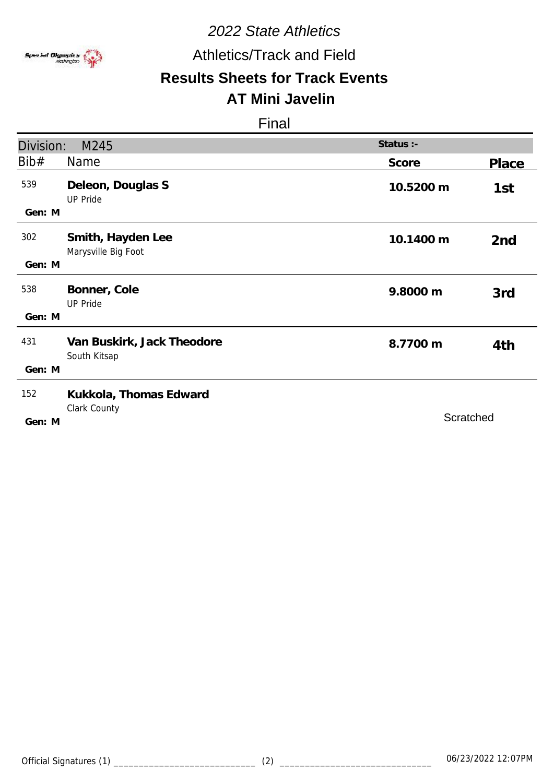

# Athletics/Track and Field

# **Results Sheets for Track Events**

# **AT Mini Javelin**

| Division: | M245                                       | Status :- |                 |
|-----------|--------------------------------------------|-----------|-----------------|
| Bib#      | Name                                       | Score     | Place           |
| 539       | Deleon, Douglas S<br><b>UP Pride</b>       | 10.5200 m | 1st             |
| Gen: M    |                                            |           |                 |
| 302       | Smith, Hayden Lee<br>Marysville Big Foot   | 10.1400 m | 2 <sub>nd</sub> |
| Gen: M    |                                            |           |                 |
| 538       | Bonner, Cole<br><b>UP Pride</b>            | 9.8000 m  | 3rd             |
| Gen: M    |                                            |           |                 |
| 431       | Van Buskirk, Jack Theodore<br>South Kitsap | 8.7700 m  | 4th             |
| Gen: M    |                                            |           |                 |
| 152       | Kukkola, Thomas Edward                     |           |                 |
| Gen: M    | Clark County                               | Scratched |                 |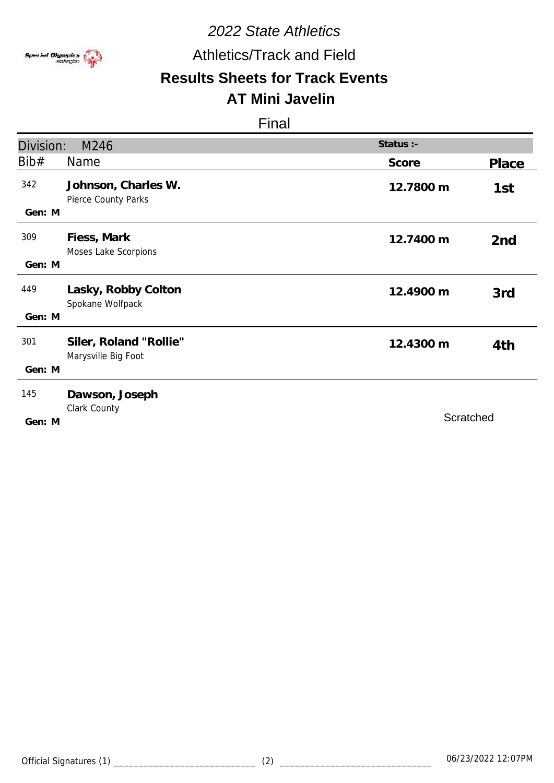

Athletics/Track and Field

# **Results Sheets for Track Events**

# **AT Mini Javelin**

| Division:     | M246                                          | Status :- |                 |
|---------------|-----------------------------------------------|-----------|-----------------|
| Bib#          | Name                                          | Score     | Place           |
| 342<br>Gen: M | Johnson, Charles W.<br>Pierce County Parks    | 12.7800 m | 1st             |
| 309<br>Gen: M | Fiess, Mark<br>Moses Lake Scorpions           | 12.7400 m | 2 <sub>nd</sub> |
| 449<br>Gen: M | Lasky, Robby Colton<br>Spokane Wolfpack       | 12.4900 m | 3rd             |
| 301<br>Gen: M | Siler, Roland "Rollie"<br>Marysville Big Foot | 12.4300 m | 4th             |
| 145<br>Gen: M | Dawson, Joseph<br>Clark County                | Scratched |                 |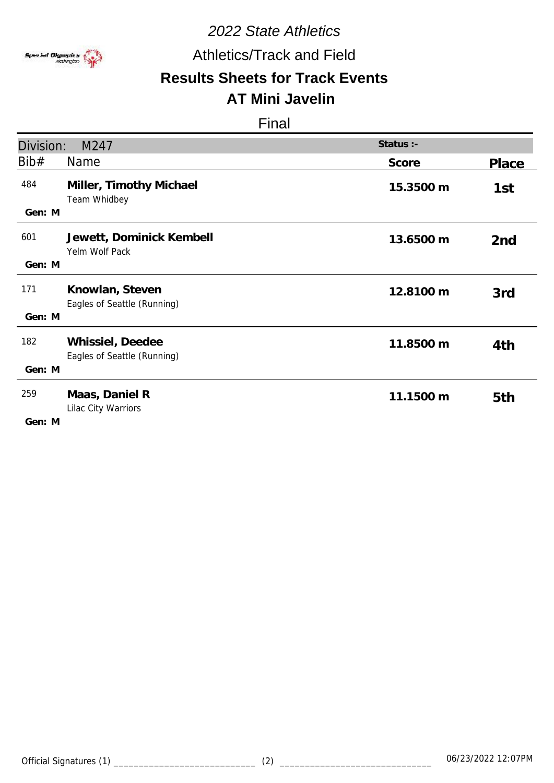

# Athletics/Track and Field

# **Results Sheets for Track Events AT Mini Javelin**

| Division:     | M247                                            | Status :- |                 |
|---------------|-------------------------------------------------|-----------|-----------------|
| Bib#          | <b>Name</b>                                     | Score     | Place           |
| 484<br>Gen: M | Miller, Timothy Michael<br>Team Whidbey         | 15.3500 m | 1st             |
| 601<br>Gen: M | Jewett, Dominick Kembell<br>Yelm Wolf Pack      | 13.6500 m | 2 <sub>nd</sub> |
| 171<br>Gen: M | Knowlan, Steven<br>Eagles of Seattle (Running)  | 12.8100 m | 3rd             |
| 182<br>Gen: M | Whissiel, Deedee<br>Eagles of Seattle (Running) | 11.8500 m | 4th             |
| 259<br>Gen: M | Maas, Daniel R<br>Lilac City Warriors           | 11.1500 m | 5th             |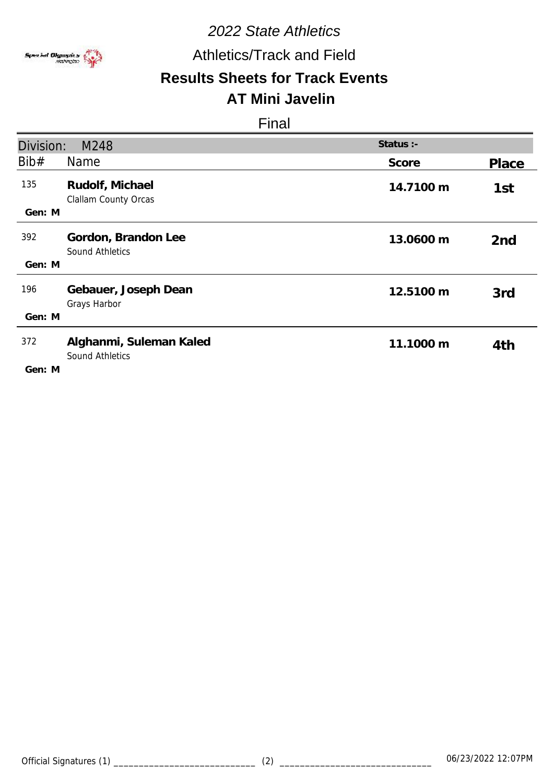

# Athletics/Track and Field

## **Results Sheets for Track Events AT Mini Javelin**

| Division:     | M248                                              | Status :- |                 |
|---------------|---------------------------------------------------|-----------|-----------------|
| Bib#          | Name                                              | Score     | Place           |
| 135<br>Gen: M | Rudolf, Michael<br>Clallam County Orcas           | 14.7100 m | 1st             |
| 392           | Gordon, Brandon Lee<br><b>Sound Athletics</b>     | 13.0600 m | 2 <sub>nd</sub> |
| Gen: M        |                                                   |           |                 |
| 196           | Gebauer, Joseph Dean<br>Grays Harbor              | 12.5100 m | 3rd             |
| Gen: M        |                                                   |           |                 |
| 372           | Alghanmi, Suleman Kaled<br><b>Sound Athletics</b> | 11.1000 m | 4th             |
| Gen: M        |                                                   |           |                 |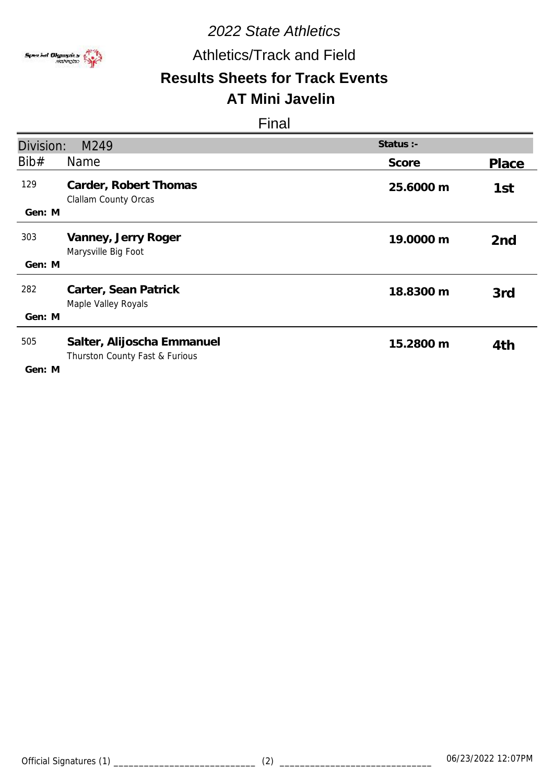

# Athletics/Track and Field

### **Results Sheets for Track Events AT Mini Javelin**

| Division:     | M249                                                         | Status :- |                 |
|---------------|--------------------------------------------------------------|-----------|-----------------|
| Bib#          | <b>Name</b>                                                  | Score     | Place           |
| 129<br>Gen: M | Carder, Robert Thomas<br><b>Clallam County Orcas</b>         | 25.6000 m | 1st             |
|               |                                                              |           |                 |
| 303           | Vanney, Jerry Roger<br>Marysville Big Foot                   | 19.0000 m | 2 <sub>nd</sub> |
| Gen: M        |                                                              |           |                 |
| 282           | Carter, Sean Patrick<br>Maple Valley Royals                  | 18.8300 m | 3rd             |
| Gen: M        |                                                              |           |                 |
| 505<br>Gen: M | Salter, Alijoscha Emmanuel<br>Thurston County Fast & Furious | 15.2800 m | 4th             |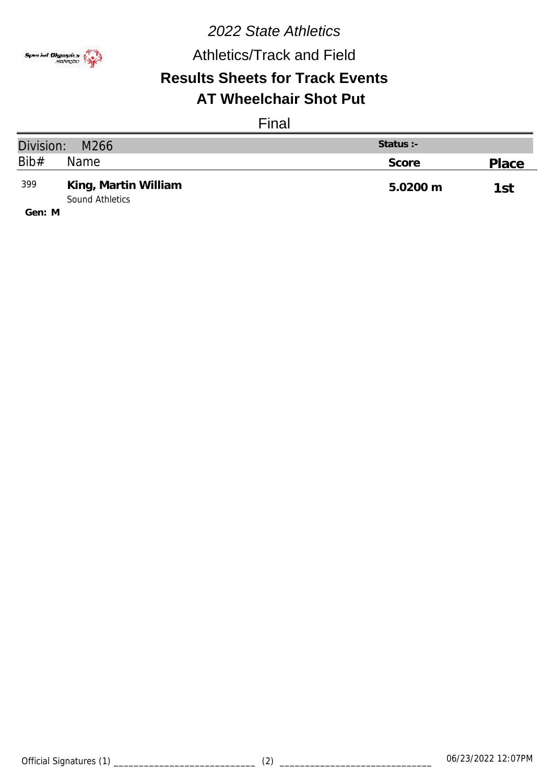

# *2022 State Athletics* **Results Sheets for Track Events** Athletics/Track and Field **AT Wheelchair Shot Put**

### Final

| Division:<br>M266                       |                                         | Status :- |       |
|-----------------------------------------|-----------------------------------------|-----------|-------|
| Bib#                                    | Name                                    | Score     | Place |
| 399                                     | King, Martin William<br>Sound Athletics | 5.0200 m  | 1st   |
| $C_{\alpha}$ $\alpha$ , $\beta$ $\beta$ |                                         |           |       |

**M Gen:**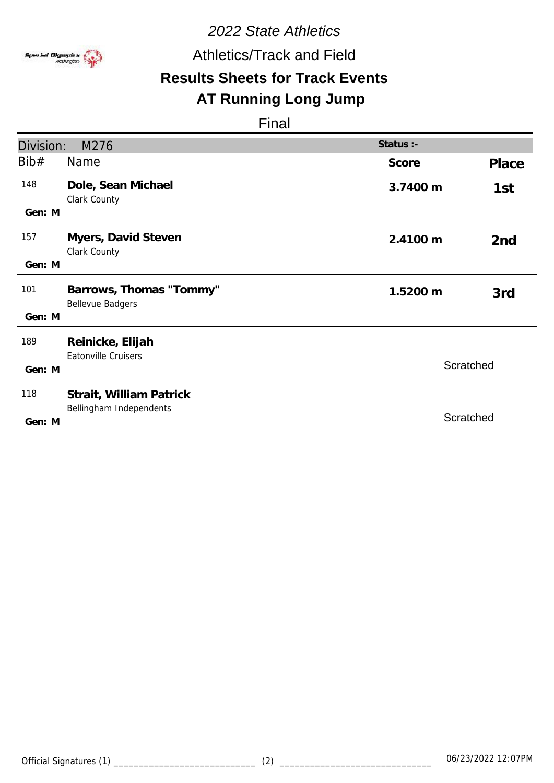

Athletics/Track and Field

# **Results Sheets for Track Events**

## **AT Running Long Jump**

| Division: | M276                                               | Status :- |                 |
|-----------|----------------------------------------------------|-----------|-----------------|
| Bib#      | <b>Name</b>                                        | Score     | Place           |
| 148       | Dole, Sean Michael<br>Clark County                 | 3.7400 m  | 1st             |
| Gen: M    |                                                    |           |                 |
| 157       | Myers, David Steven<br>Clark County                | 2.4100 m  | 2 <sub>nd</sub> |
| Gen: M    |                                                    |           |                 |
| 101       | Barrows, Thomas "Tommy"<br><b>Bellevue Badgers</b> | 1.5200 m  | 3rd             |
| Gen: M    |                                                    |           |                 |
| 189       | Reinicke, Elijah<br><b>Eatonville Cruisers</b>     |           |                 |
| Gen: M    |                                                    | Scratched |                 |
| 118       | Strait, William Patrick                            |           |                 |
| Gen: M    | Bellingham Independents                            | Scratched |                 |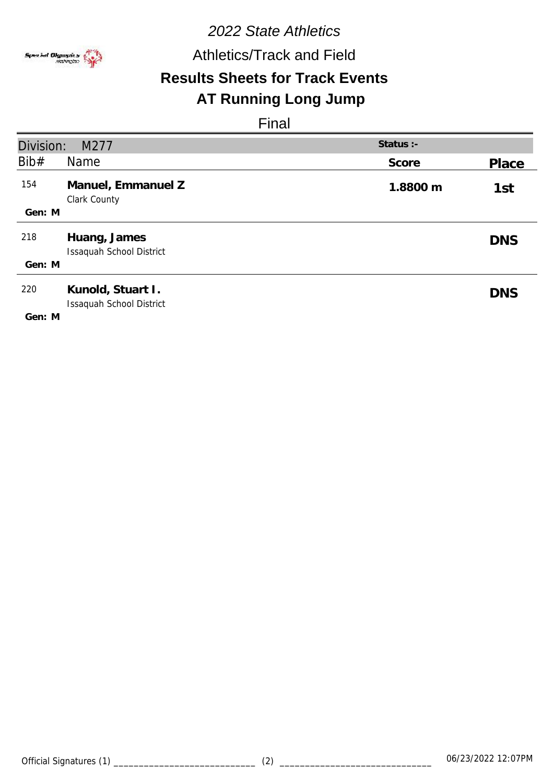

Athletics/Track and Field

# **Results Sheets for Track Events**

## **AT Running Long Jump**

| Division: | M277                                          | Status :- |            |
|-----------|-----------------------------------------------|-----------|------------|
| Bib#      | Name                                          | Score     | Place      |
| 154       | Manuel, Emmanuel Z<br>Clark County            | 1.8800 m  | 1st        |
| Gen: M    |                                               |           |            |
| 218       | Huang, James<br>Issaquah School District      |           | <b>DNS</b> |
| Gen: M    |                                               |           |            |
| 220       | Kunold, Stuart I.<br>Issaquah School District |           | <b>DNS</b> |
| Gen: M    |                                               |           |            |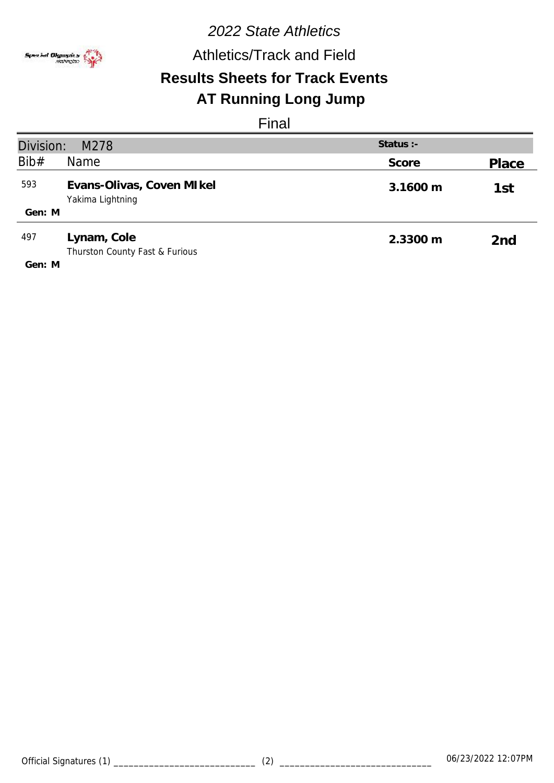

Athletics/Track and Field

# **Results Sheets for Track Events**

# **AT Running Long Jump**

| Division:<br>Status $:$ -<br>M278 |                                                |          |       |
|-----------------------------------|------------------------------------------------|----------|-------|
| Bib#                              | Name                                           | Score    | Place |
| 593                               | Evans-Olivas, Coven MI kel<br>Yakima Lightning | 3.1600 m | 1st   |
| Gen: M                            |                                                |          |       |
| 497                               | Lynam, Cole<br>Thurston County Fast & Furious  | 2.3300 m | 2nd   |
| Gen: M                            |                                                |          |       |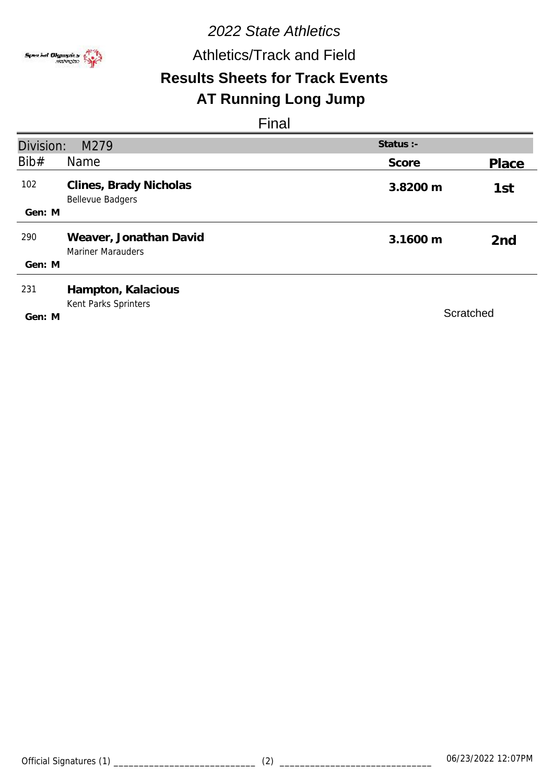

Athletics/Track and Field

# **Results Sheets for Track Events**

# **AT Running Long Jump**

| Division: | M279                                               | Status :- |                 |
|-----------|----------------------------------------------------|-----------|-----------------|
| Bib#      | Name                                               | Score     | Place           |
| 102       | Clines, Brady Nicholas<br><b>Bellevue Badgers</b>  | 3.8200 m  | 1st             |
| Gen: M    |                                                    |           |                 |
| 290       | Weaver, Jonathan David<br><b>Mariner Marauders</b> | 3.1600 m  | 2 <sub>nd</sub> |
| Gen: M    |                                                    |           |                 |
| 231       | Hampton, Kalacious<br>Kent Parks Sprinters         |           |                 |
| Gen: M    |                                                    | Scratched |                 |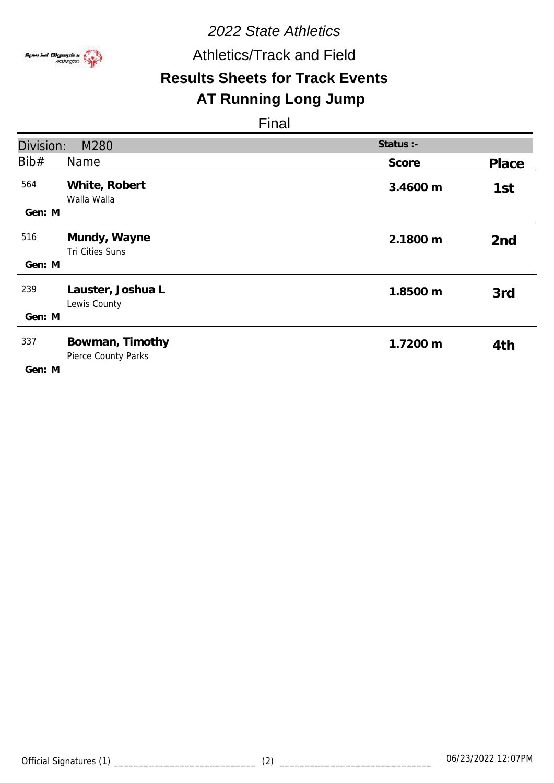

Athletics/Track and Field

# **Results Sheets for Track Events**

# **AT Running Long Jump**

| Division:     | M280                                   | Status :- |                 |
|---------------|----------------------------------------|-----------|-----------------|
| Bib#          | <b>Name</b>                            | Score     | Place           |
| 564<br>Gen: M | White, Robert<br>Walla Walla           | 3.4600 m  | 1st             |
| 516<br>Gen: M | Mundy, Wayne<br>Tri Cities Suns        | 2.1800 m  | 2 <sub>nd</sub> |
| 239<br>Gen: M | Lauster, Joshua L<br>Lewis County      | 1.8500 m  | 3rd             |
| 337<br>Gen: M | Bowman, Timothy<br>Pierce County Parks | 1.7200 m  | 4th             |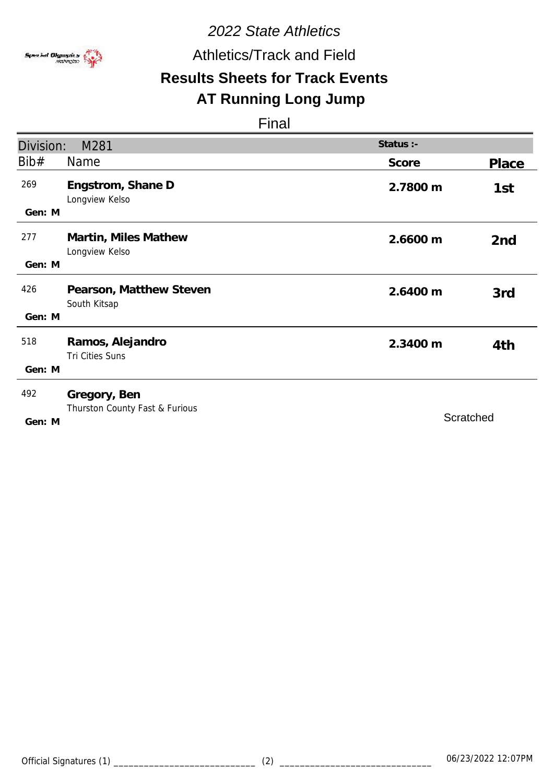

Athletics/Track and Field

# **Results Sheets for Track Events**

# **AT Running Long Jump**

| Division:     | M281                                           | Status :- |                 |
|---------------|------------------------------------------------|-----------|-----------------|
| Bib#          | <b>Name</b>                                    | Score     | Place           |
| 269<br>Gen: M | Engstrom, Shane D<br>Longview Kelso            | 2.7800 m  | 1st             |
| 277<br>Gen: M | Martin, Miles Mathew<br>Longview Kelso         | 2.6600 m  | 2 <sub>nd</sub> |
| 426<br>Gen: M | Pearson, Matthew Steven<br>South Kitsap        | 2.6400 m  | 3rd             |
| 518<br>Gen: M | Ramos, Alejandro<br>Tri Cities Suns            | 2.3400 m  | 4th             |
| 492<br>Gen: M | Gregory, Ben<br>Thurston County Fast & Furious |           | Scratched       |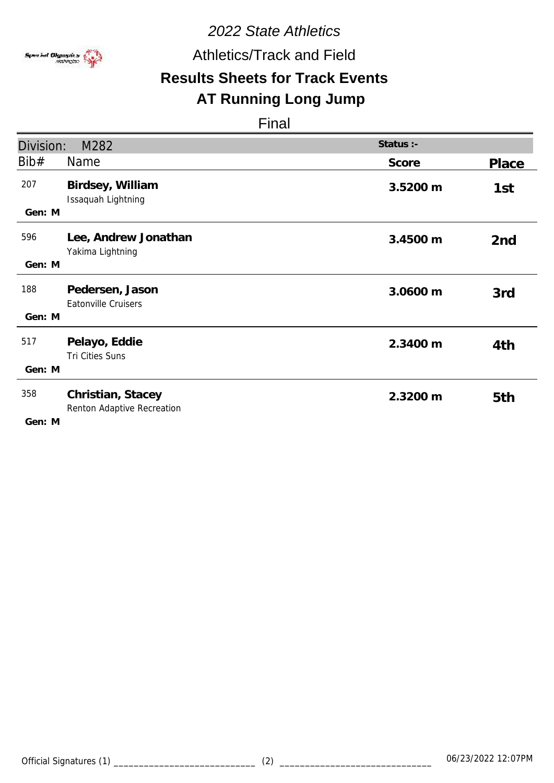

Athletics/Track and Field

# **Results Sheets for Track Events**

# **AT Running Long Jump**

| Division:     | M282                                            | Status :- |                 |
|---------------|-------------------------------------------------|-----------|-----------------|
| Bib#          | <b>Name</b>                                     | Score     | Place           |
| 207<br>Gen: M | Birdsey, William<br>Issaquah Lightning          | 3.5200 m  | 1st             |
| 596<br>Gen: M | Lee, Andrew Jonathan<br>Yakima Lightning        | 3.4500 m  | 2 <sub>nd</sub> |
| 188<br>Gen: M | Pedersen, Jason<br><b>Eatonville Cruisers</b>   | 3.0600 m  | 3rd             |
| 517<br>Gen: M | Pelayo, Eddie<br>Tri Cities Suns                | 2.3400 m  | 4th             |
| 358<br>Gen: M | Christian, Stacey<br>Renton Adaptive Recreation | 2.3200 m  | 5th             |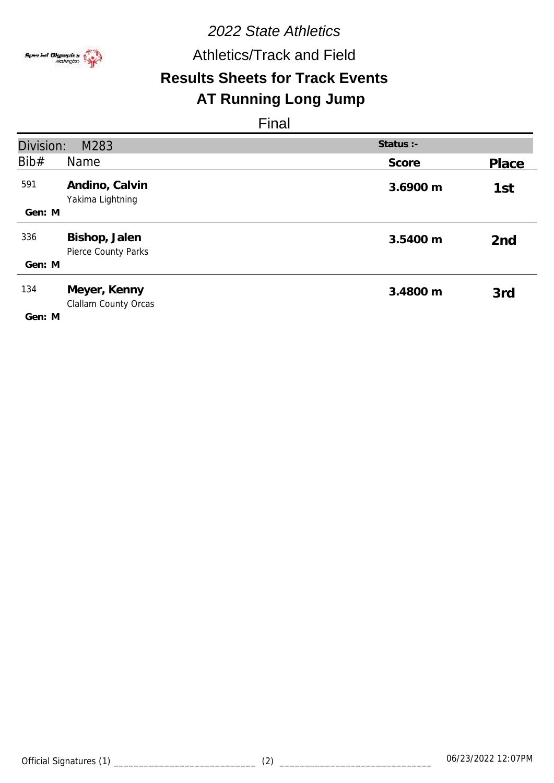

# *2022 State Athletics* Athletics/Track and Field

# **Results Sheets for Track Events**

# **AT Running Long Jump**

| Division: | M283                                        | Status :- |                 |
|-----------|---------------------------------------------|-----------|-----------------|
| Bib#      | Name                                        | Score     | Place           |
| 591       | Andino, Calvin<br>Yakima Lightning          | 3.6900 m  | 1st             |
| Gen: M    |                                             |           |                 |
| 336       | Bishop, Jalen<br><b>Pierce County Parks</b> | 3.5400 m  | 2 <sub>nd</sub> |
| Gen: M    |                                             |           |                 |
| 134       | Meyer, Kenny<br>Clallam County Orcas        | 3.4800 m  | 3rd             |
| Gen: M    |                                             |           |                 |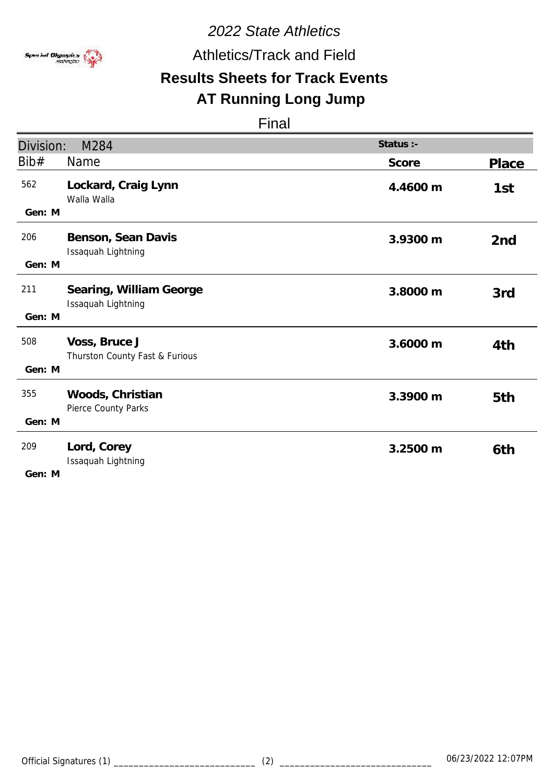

Athletics/Track and Field

# **Results Sheets for Track Events**

# **AT Running Long Jump**

Final

| Division:               | M284                                            | Status :- |                 |
|-------------------------|-------------------------------------------------|-----------|-----------------|
| Bib#                    | Name                                            | Score     | <b>Place</b>    |
| 562<br>Gen: M           | Lockard, Craig Lynn<br>Walla Walla              | 4.4600 m  | 1st             |
| 206<br>Gen: M           | Benson, Sean Davis<br>Issaquah Lightning        | 3.9300 m  | 2 <sub>nd</sub> |
| 211<br>Gen: M           | Searing, William George<br>Issaquah Lightning   | 3.8000 m  | 3rd             |
| 508<br>Gen: M           | Voss, Bruce J<br>Thurston County Fast & Furious | 3.6000 m  | 4th             |
| 355<br>Gen: M           | Woods, Christian<br>Pierce County Parks         | 3.3900 m  | 5th             |
| 209<br>$C_{\Omega}$ . M | Lord, Corey<br>Issaquah Lightning               | 3.2500 m  | 6th             |

**M Gen:**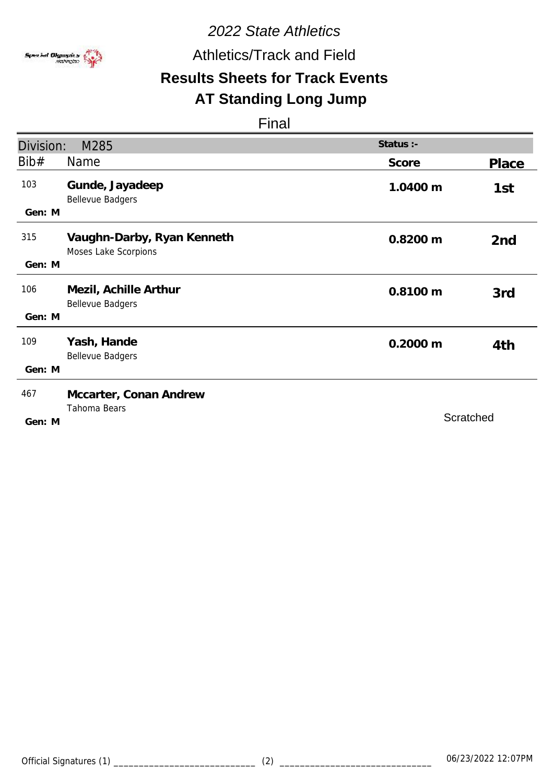

Athletics/Track and Field

# **Results Sheets for Track Events**

# **AT Standing Long Jump**

| Division: | M285                                               | Status :-          |           |
|-----------|----------------------------------------------------|--------------------|-----------|
| Bib#      | <b>Name</b>                                        | Score              | Place     |
| 103       | Gunde, Jayadeep<br><b>Bellevue Badgers</b>         | 1.0400 m           | 1st       |
| Gen: M    |                                                    |                    |           |
| 315       | Vaughn-Darby, Ryan Kenneth<br>Moses Lake Scorpions | 0.8200 m           | 2nd       |
| Gen: M    |                                                    |                    |           |
| 106       | Mezil, Achille Arthur<br><b>Bellevue Badgers</b>   | 0.8100 m           | 3rd       |
| Gen: M    |                                                    |                    |           |
| 109       | Yash, Hande<br><b>Bellevue Badgers</b>             | $0.2000 \text{ m}$ | 4th       |
| Gen: M    |                                                    |                    |           |
| 467       | Mccarter, Conan Andrew                             |                    |           |
| Gen: M    | Tahoma Bears                                       |                    | Scratched |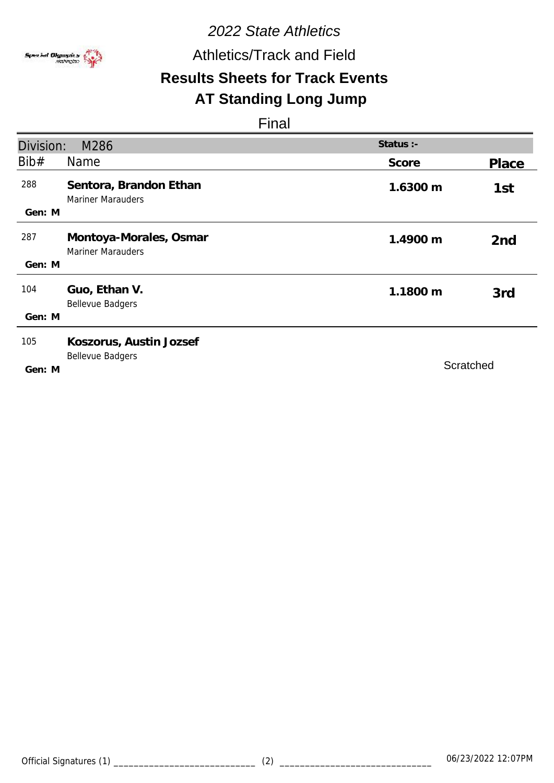

Athletics/Track and Field

# **Results Sheets for Track Events**

# **AT Standing Long Jump**

| Division:     | M286                                               | Status :- |                 |
|---------------|----------------------------------------------------|-----------|-----------------|
| Bib#          | Name                                               | Score     | Place           |
| 288           | Sentora, Brandon Ethan<br><b>Mariner Marauders</b> | 1.6300 m  | 1st             |
| Gen: M        |                                                    |           |                 |
| 287           | Montoya-Morales, Osmar<br><b>Mariner Marauders</b> | 1.4900 m  | 2 <sub>nd</sub> |
| Gen: M        |                                                    |           |                 |
| 104           | Guo, Ethan V.<br><b>Bellevue Badgers</b>           | 1.1800 m  | 3rd             |
| Gen: M        |                                                    |           |                 |
| 105<br>Gen: M | Koszorus, Austin Jozsef<br><b>Bellevue Badgers</b> | Scratched |                 |
|               |                                                    |           |                 |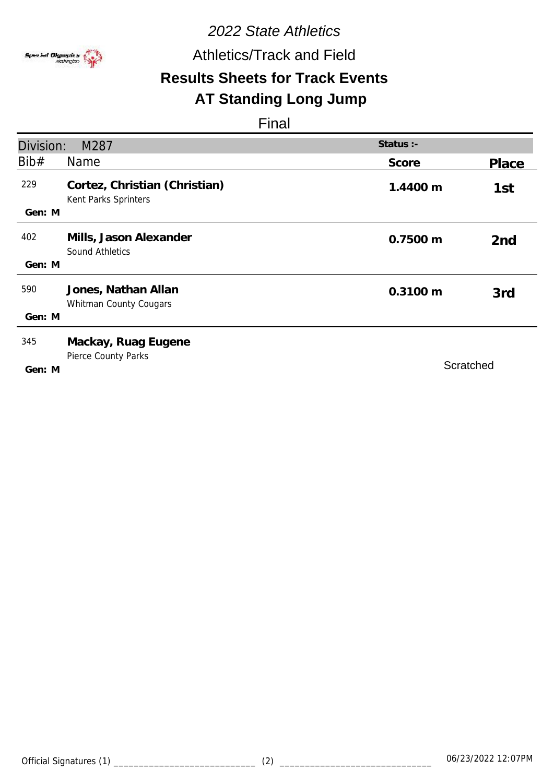

Athletics/Track and Field

# **Results Sheets for Track Events**

# **AT Standing Long Jump**

| Division:     | M287                                                  | Status :-          |                 |
|---------------|-------------------------------------------------------|--------------------|-----------------|
| Bib#          | Name                                                  | Score              | Place           |
| 229<br>Gen: M | Cortez, Christian (Christian)<br>Kent Parks Sprinters | 1.4400 m           | 1st             |
| 402<br>Gen: M | Mills, Jason Alexander<br>Sound Athletics             | 0.7500 m           | 2 <sub>nd</sub> |
| 590<br>Gen: M | Jones, Nathan Allan<br>Whitman County Cougars         | $0.3100 \text{ m}$ | 3rd             |
| 345<br>Gen: M | Mackay, Ruag Eugene<br>Pierce County Parks            | Scratched          |                 |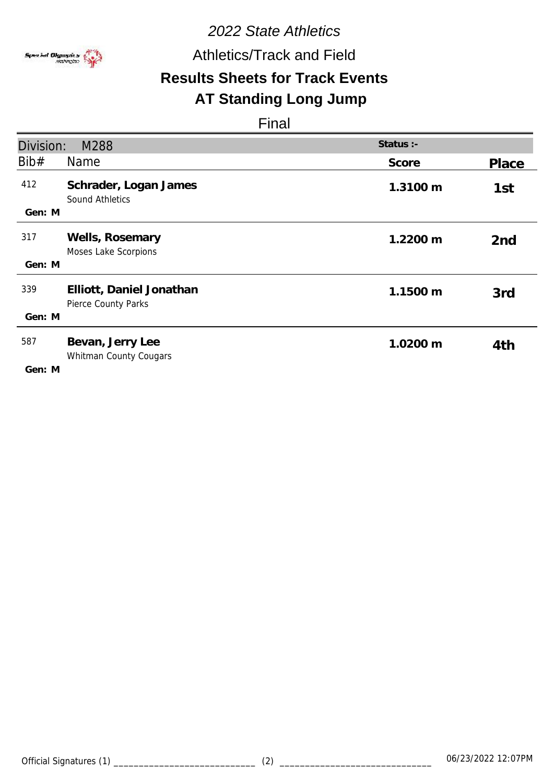

Athletics/Track and Field

# **Results Sheets for Track Events**

# **AT Standing Long Jump**

| Division:     | M288                                                   | Status :- |                 |
|---------------|--------------------------------------------------------|-----------|-----------------|
| Bib#          | <b>Name</b>                                            | Score     | Place           |
| 412<br>Gen: M | Schrader, Logan James<br>Sound Athletics               | 1.3100 m  | 1st             |
| 317<br>Gen: M | Wells, Rosemary<br>Moses Lake Scorpions                | 1.2200 m  | 2 <sub>nd</sub> |
| 339<br>Gen: M | Elliott, Daniel Jonathan<br><b>Pierce County Parks</b> | 1.1500 m  | 3rd             |
| 587<br>Gen: M | Bevan, Jerry Lee<br>Whitman County Cougars             | 1.0200 m  | 4th             |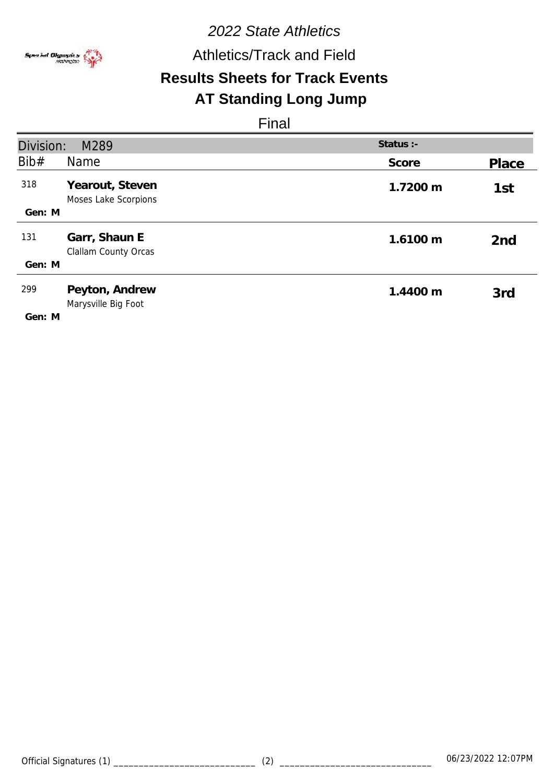

# *2022 State Athletics* **Results Sheets for Track Events** Athletics/Track and Field **AT Standing Long Jump**

| Division: | M289                                         | Status :- |                 |
|-----------|----------------------------------------------|-----------|-----------------|
| Bib#      | <b>Name</b>                                  | Score     | Place           |
| 318       | Yearout, Steven<br>Moses Lake Scorpions      | 1.7200 m  | 1st             |
| Gen: M    |                                              |           |                 |
| 131       | Garr, Shaun E<br><b>Clallam County Orcas</b> | 1.6100 m  | 2 <sub>nd</sub> |
| Gen: M    |                                              |           |                 |
| 299       | Peyton, Andrew<br>Marysville Big Foot        | 1.4400 m  | 3rd             |
| Gen: M    |                                              |           |                 |